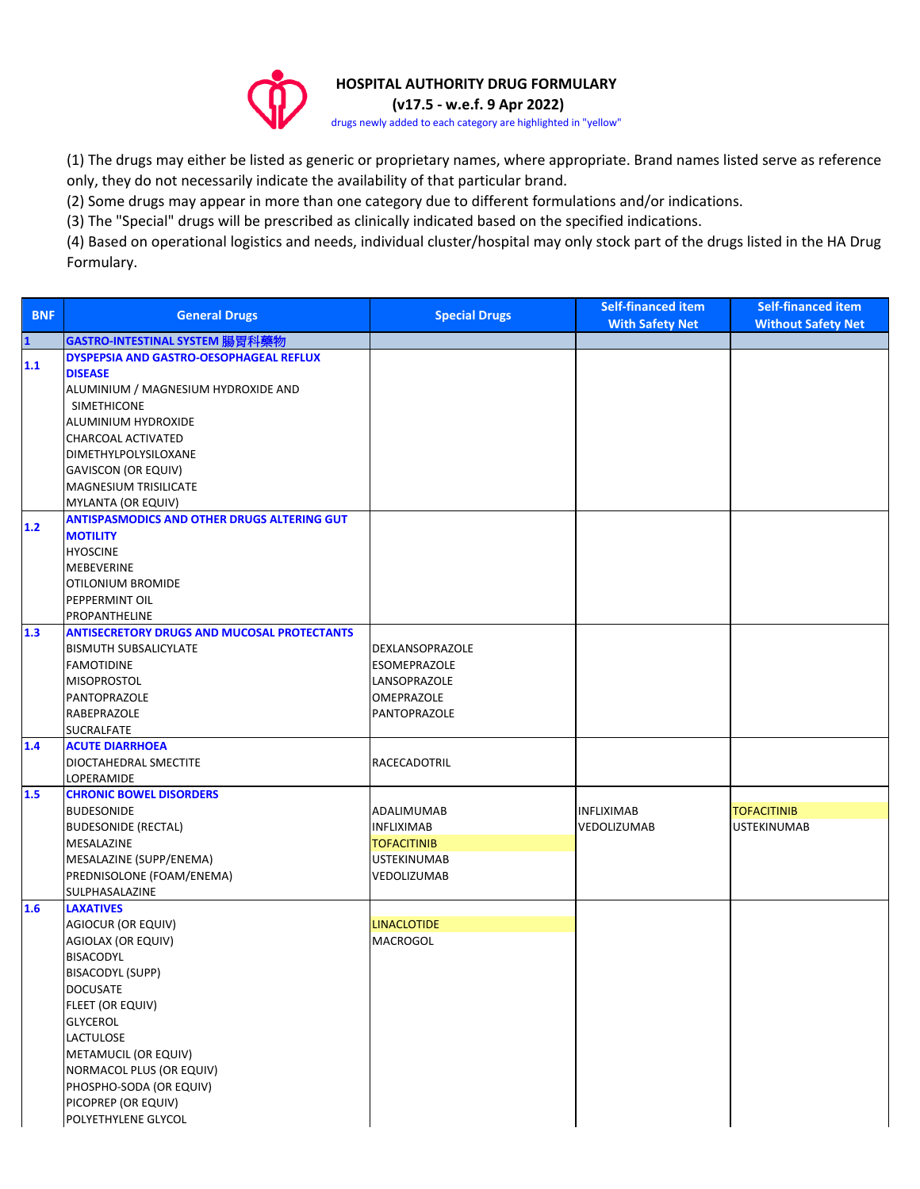

(1) The drugs may either be listed as generic or proprietary names, where appropriate. Brand names listed serve as reference only, they do not necessarily indicate the availability of that particular brand.

(2) Some drugs may appear in more than one category due to different formulations and/or indications.

(3) The "Special" drugs will be prescribed as clinically indicated based on the specified indications.

(4) Based on operational logistics and needs, individual cluster/hospital may only stock part of the drugs listed in the HA Drug Formulary.

| <b>BNF</b>   | <b>General Drugs</b>                               | <b>Special Drugs</b> | <b>Self-financed item</b><br><b>With Safety Net</b> | <b>Self-financed item</b> |
|--------------|----------------------------------------------------|----------------------|-----------------------------------------------------|---------------------------|
| $\mathbf{1}$ | GASTRO-INTESTINAL SYSTEM 腸胃科藥物                     |                      |                                                     | <b>Without Safety Net</b> |
|              | DYSPEPSIA AND GASTRO-OESOPHAGEAL REFLUX            |                      |                                                     |                           |
| 1.1          | <b>DISEASE</b>                                     |                      |                                                     |                           |
|              | ALUMINIUM / MAGNESIUM HYDROXIDE AND                |                      |                                                     |                           |
|              | <b>SIMETHICONE</b>                                 |                      |                                                     |                           |
|              | ALUMINIUM HYDROXIDE                                |                      |                                                     |                           |
|              | CHARCOAL ACTIVATED                                 |                      |                                                     |                           |
|              | DIMETHYLPOLYSILOXANE                               |                      |                                                     |                           |
|              | <b>GAVISCON (OR EQUIV)</b>                         |                      |                                                     |                           |
|              | <b>MAGNESIUM TRISILICATE</b>                       |                      |                                                     |                           |
|              | MYLANTA (OR EQUIV)                                 |                      |                                                     |                           |
| 1.2          | <b>ANTISPASMODICS AND OTHER DRUGS ALTERING GUT</b> |                      |                                                     |                           |
|              | <b>MOTILITY</b>                                    |                      |                                                     |                           |
|              | <b>HYOSCINE</b>                                    |                      |                                                     |                           |
|              | MEBEVERINE                                         |                      |                                                     |                           |
|              | OTILONIUM BROMIDE                                  |                      |                                                     |                           |
|              | PEPPERMINT OIL                                     |                      |                                                     |                           |
|              | <b>PROPANTHELINE</b>                               |                      |                                                     |                           |
| 1.3          | <b>ANTISECRETORY DRUGS AND MUCOSAL PROTECTANTS</b> |                      |                                                     |                           |
|              | <b>BISMUTH SUBSALICYLATE</b>                       | DEXLANSOPRAZOLE      |                                                     |                           |
|              | <b>FAMOTIDINE</b>                                  | <b>ESOMEPRAZOLE</b>  |                                                     |                           |
|              | <b>MISOPROSTOL</b>                                 | LANSOPRAZOLE         |                                                     |                           |
|              | PANTOPRAZOLE                                       | OMEPRAZOLE           |                                                     |                           |
|              | <b>RABEPRAZOLE</b>                                 | PANTOPRAZOLE         |                                                     |                           |
| 1.4          | <b>SUCRALFATE</b><br><b>ACUTE DIARRHOEA</b>        |                      |                                                     |                           |
|              | DIOCTAHEDRAL SMECTITE                              | RACECADOTRIL         |                                                     |                           |
|              | LOPERAMIDE                                         |                      |                                                     |                           |
| 1.5          | <b>CHRONIC BOWEL DISORDERS</b>                     |                      |                                                     |                           |
|              | <b>BUDESONIDE</b>                                  | ADALIMUMAB           | <b>INFLIXIMAB</b>                                   | <b>TOFACITINIB</b>        |
|              | <b>BUDESONIDE (RECTAL)</b>                         | <b>INFLIXIMAB</b>    | VEDOLIZUMAB                                         | <b>USTEKINUMAB</b>        |
|              | MESALAZINE                                         | <b>TOFACITINIB</b>   |                                                     |                           |
|              | MESALAZINE (SUPP/ENEMA)                            | <b>USTEKINUMAB</b>   |                                                     |                           |
|              | PREDNISOLONE (FOAM/ENEMA)                          | VEDOLIZUMAB          |                                                     |                           |
|              | SULPHASALAZINE                                     |                      |                                                     |                           |
| 1.6          | <b>LAXATIVES</b>                                   |                      |                                                     |                           |
|              | AGIOCUR (OR EQUIV)                                 | <b>LINACLOTIDE</b>   |                                                     |                           |
|              | AGIOLAX (OR EQUIV)                                 | <b>MACROGOL</b>      |                                                     |                           |
|              | BISACODYL                                          |                      |                                                     |                           |
|              | <b>BISACODYL (SUPP)</b>                            |                      |                                                     |                           |
|              | <b>DOCUSATE</b>                                    |                      |                                                     |                           |
|              | FLEET (OR EQUIV)                                   |                      |                                                     |                           |
|              | <b>GLYCEROL</b>                                    |                      |                                                     |                           |
|              | <b>LACTULOSE</b>                                   |                      |                                                     |                           |
|              | METAMUCIL (OR EQUIV)                               |                      |                                                     |                           |
|              | NORMACOL PLUS (OR EQUIV)                           |                      |                                                     |                           |
|              | PHOSPHO-SODA (OR EQUIV)                            |                      |                                                     |                           |
|              | PICOPREP (OR EQUIV)                                |                      |                                                     |                           |
|              | POLYETHYLENE GLYCOL                                |                      |                                                     |                           |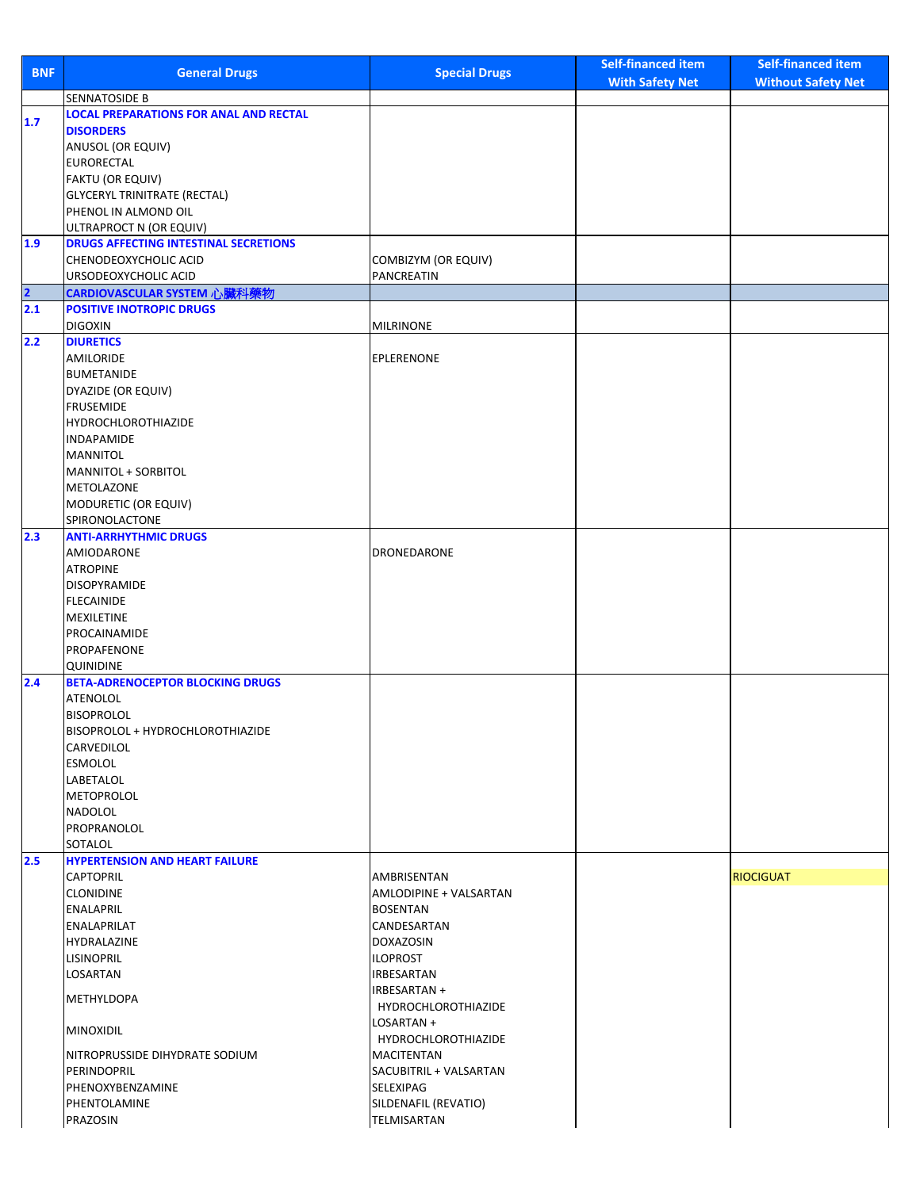| <b>BNF</b>     | <b>General Drugs</b>                                        | <b>Special Drugs</b>                      | <b>Self-financed item</b><br><b>With Safety Net</b> | <b>Self-financed item</b><br><b>Without Safety Net</b> |
|----------------|-------------------------------------------------------------|-------------------------------------------|-----------------------------------------------------|--------------------------------------------------------|
|                | <b>SENNATOSIDE B</b>                                        |                                           |                                                     |                                                        |
| 1.7            | <b>LOCAL PREPARATIONS FOR ANAL AND RECTAL</b>               |                                           |                                                     |                                                        |
|                | <b>DISORDERS</b>                                            |                                           |                                                     |                                                        |
|                | ANUSOL (OR EQUIV)                                           |                                           |                                                     |                                                        |
|                | <b>EURORECTAL</b>                                           |                                           |                                                     |                                                        |
|                | FAKTU (OR EQUIV)                                            |                                           |                                                     |                                                        |
|                | <b>GLYCERYL TRINITRATE (RECTAL)</b><br>PHENOL IN ALMOND OIL |                                           |                                                     |                                                        |
|                | ULTRAPROCT N (OR EQUIV)                                     |                                           |                                                     |                                                        |
| 1.9            | DRUGS AFFECTING INTESTINAL SECRETIONS                       |                                           |                                                     |                                                        |
|                | CHENODEOXYCHOLIC ACID                                       | COMBIZYM (OR EQUIV)                       |                                                     |                                                        |
|                | URSODEOXYCHOLIC ACID                                        | PANCREATIN                                |                                                     |                                                        |
| $\overline{2}$ | CARDIOVASCULAR SYSTEM 心臟科藥物                                 |                                           |                                                     |                                                        |
| 2.1            | <b>POSITIVE INOTROPIC DRUGS</b>                             |                                           |                                                     |                                                        |
|                | <b>DIGOXIN</b>                                              | <b>MILRINONE</b>                          |                                                     |                                                        |
| 2.2            | <b>DIURETICS</b>                                            |                                           |                                                     |                                                        |
|                | <b>AMILORIDE</b>                                            | EPLERENONE                                |                                                     |                                                        |
|                | <b>BUMETANIDE</b>                                           |                                           |                                                     |                                                        |
|                | DYAZIDE (OR EQUIV)<br><b>FRUSEMIDE</b>                      |                                           |                                                     |                                                        |
|                | <b>HYDROCHLOROTHIAZIDE</b>                                  |                                           |                                                     |                                                        |
|                | <b>INDAPAMIDE</b>                                           |                                           |                                                     |                                                        |
|                | <b>MANNITOL</b>                                             |                                           |                                                     |                                                        |
|                | MANNITOL + SORBITOL                                         |                                           |                                                     |                                                        |
|                | <b>METOLAZONE</b>                                           |                                           |                                                     |                                                        |
|                | MODURETIC (OR EQUIV)                                        |                                           |                                                     |                                                        |
|                | SPIRONOLACTONE                                              |                                           |                                                     |                                                        |
| 2.3            | <b>ANTI-ARRHYTHMIC DRUGS</b>                                |                                           |                                                     |                                                        |
|                | AMIODARONE                                                  | <b>DRONEDARONE</b>                        |                                                     |                                                        |
|                | <b>ATROPINE</b><br><b>DISOPYRAMIDE</b>                      |                                           |                                                     |                                                        |
|                | <b>FLECAINIDE</b>                                           |                                           |                                                     |                                                        |
|                | MEXILETINE                                                  |                                           |                                                     |                                                        |
|                | PROCAINAMIDE                                                |                                           |                                                     |                                                        |
|                | PROPAFENONE                                                 |                                           |                                                     |                                                        |
|                | QUINIDINE                                                   |                                           |                                                     |                                                        |
| 2.4            | <b>BETA-ADRENOCEPTOR BLOCKING DRUGS</b>                     |                                           |                                                     |                                                        |
|                | <b>ATENOLOL</b>                                             |                                           |                                                     |                                                        |
|                | <b>BISOPROLOL</b>                                           |                                           |                                                     |                                                        |
|                | BISOPROLOL + HYDROCHLOROTHIAZIDE                            |                                           |                                                     |                                                        |
|                | CARVEDILOL<br><b>ESMOLOL</b>                                |                                           |                                                     |                                                        |
|                | LABETALOL                                                   |                                           |                                                     |                                                        |
|                | METOPROLOL                                                  |                                           |                                                     |                                                        |
|                | NADOLOL                                                     |                                           |                                                     |                                                        |
|                | PROPRANOLOL                                                 |                                           |                                                     |                                                        |
|                | SOTALOL                                                     |                                           |                                                     |                                                        |
| 2.5            | <b>HYPERTENSION AND HEART FAILURE</b>                       |                                           |                                                     |                                                        |
|                | CAPTOPRIL                                                   | AMBRISENTAN                               |                                                     | <b>RIOCIGUAT</b>                                       |
|                | <b>CLONIDINE</b><br><b>ENALAPRIL</b>                        | AMLODIPINE + VALSARTAN<br><b>BOSENTAN</b> |                                                     |                                                        |
|                | ENALAPRILAT                                                 | CANDESARTAN                               |                                                     |                                                        |
|                | HYDRALAZINE                                                 | <b>DOXAZOSIN</b>                          |                                                     |                                                        |
|                | <b>LISINOPRIL</b>                                           | <b>ILOPROST</b>                           |                                                     |                                                        |
|                | LOSARTAN                                                    | IRBESARTAN                                |                                                     |                                                        |
|                |                                                             | IRBESARTAN+                               |                                                     |                                                        |
|                | METHYLDOPA                                                  | <b>HYDROCHLOROTHIAZIDE</b>                |                                                     |                                                        |
|                | <b>MINOXIDIL</b>                                            | LOSARTAN +                                |                                                     |                                                        |
|                |                                                             | <b>HYDROCHLOROTHIAZIDE</b>                |                                                     |                                                        |
|                | NITROPRUSSIDE DIHYDRATE SODIUM                              | <b>MACITENTAN</b>                         |                                                     |                                                        |
|                | PERINDOPRIL                                                 | SACUBITRIL + VALSARTAN<br>SELEXIPAG       |                                                     |                                                        |
|                | PHENOXYBENZAMINE<br>PHENTOLAMINE                            | SILDENAFIL (REVATIO)                      |                                                     |                                                        |
|                | PRAZOSIN                                                    | <b>TELMISARTAN</b>                        |                                                     |                                                        |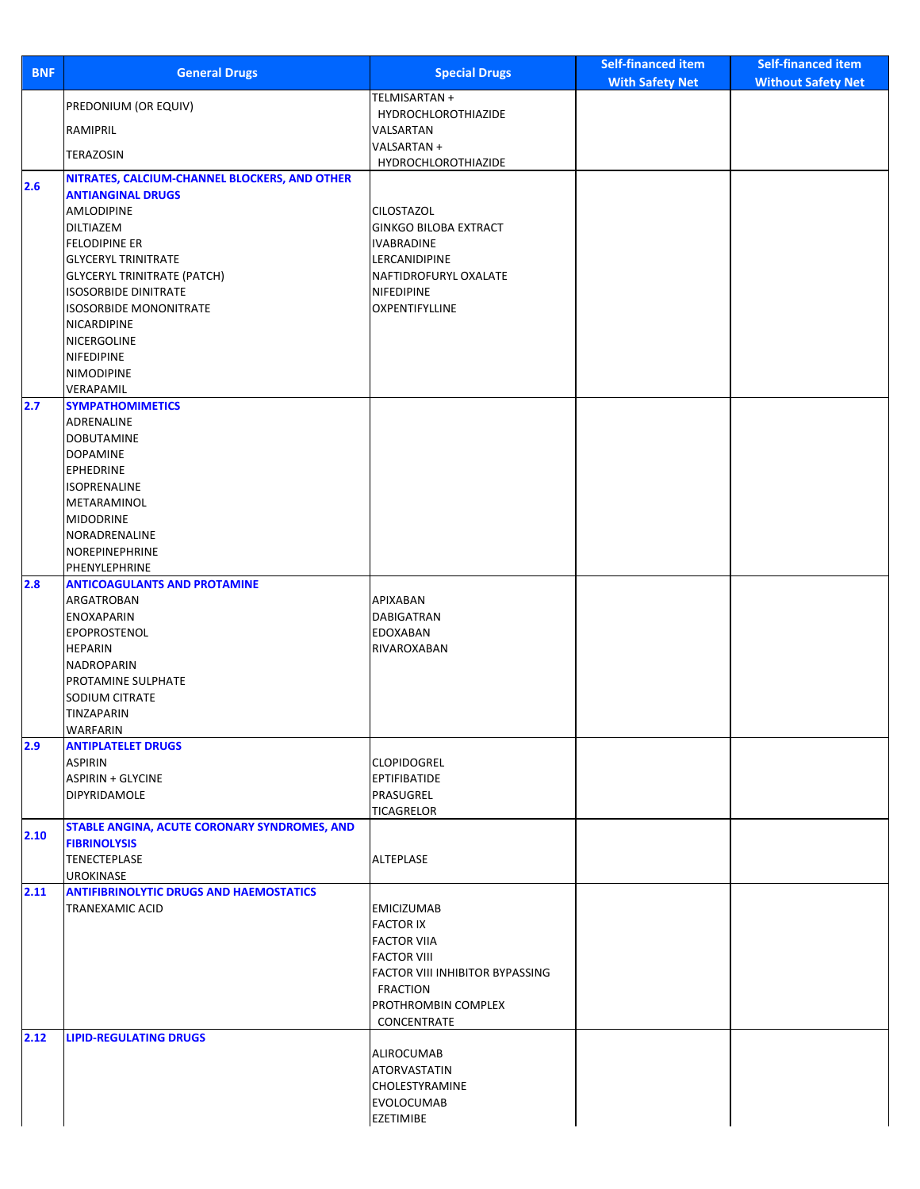| <b>With Safety Net</b><br><b>Without Safety Net</b><br>TELMISARTAN +<br>PREDONIUM (OR EQUIV)<br><b>HYDROCHLOROTHIAZIDE</b><br>RAMIPRIL<br>VALSARTAN<br>VALSARTAN +<br>TERAZOSIN<br><b>HYDROCHLOROTHIAZIDE</b><br>NITRATES, CALCIUM-CHANNEL BLOCKERS, AND OTHER<br>2.6<br><b>ANTIANGINAL DRUGS</b><br><b>AMLODIPINE</b><br><b>CILOSTAZOL</b><br>DILTIAZEM<br><b>GINKGO BILOBA EXTRACT</b><br><b>FELODIPINE ER</b><br><b>IVABRADINE</b><br><b>GLYCERYL TRINITRATE</b><br>LERCANIDIPINE<br><b>GLYCERYL TRINITRATE (PATCH)</b><br>NAFTIDROFURYL OXALATE<br><b>ISOSORBIDE DINITRATE</b><br>NIFEDIPINE<br><b>ISOSORBIDE MONONITRATE</b><br>OXPENTIFYLLINE<br>NICARDIPINE<br>NICERGOLINE<br><b>NIFEDIPINE</b><br><b>NIMODIPINE</b><br>VERAPAMIL<br>2.7<br><b>SYMPATHOMIMETICS</b><br>ADRENALINE<br><b>DOBUTAMINE</b><br><b>DOPAMINE</b><br><b>EPHEDRINE</b><br><b>ISOPRENALINE</b><br>METARAMINOL<br><b>MIDODRINE</b><br>NORADRENALINE<br>NOREPINEPHRINE<br>PHENYLEPHRINE<br><b>ANTICOAGULANTS AND PROTAMINE</b><br>2.8<br>ARGATROBAN<br><b>APIXABAN</b><br><b>ENOXAPARIN</b><br>DABIGATRAN<br>EPOPROSTENOL<br><b>EDOXABAN</b><br><b>HEPARIN</b><br>RIVAROXABAN<br><b>NADROPARIN</b><br>PROTAMINE SULPHATE<br>SODIUM CITRATE<br>TINZAPARIN<br>WARFARIN<br>2.9<br><b>ANTIPLATELET DRUGS</b> |  |
|-------------------------------------------------------------------------------------------------------------------------------------------------------------------------------------------------------------------------------------------------------------------------------------------------------------------------------------------------------------------------------------------------------------------------------------------------------------------------------------------------------------------------------------------------------------------------------------------------------------------------------------------------------------------------------------------------------------------------------------------------------------------------------------------------------------------------------------------------------------------------------------------------------------------------------------------------------------------------------------------------------------------------------------------------------------------------------------------------------------------------------------------------------------------------------------------------------------------------------------------------------------------------------------|--|
|                                                                                                                                                                                                                                                                                                                                                                                                                                                                                                                                                                                                                                                                                                                                                                                                                                                                                                                                                                                                                                                                                                                                                                                                                                                                                     |  |
|                                                                                                                                                                                                                                                                                                                                                                                                                                                                                                                                                                                                                                                                                                                                                                                                                                                                                                                                                                                                                                                                                                                                                                                                                                                                                     |  |
|                                                                                                                                                                                                                                                                                                                                                                                                                                                                                                                                                                                                                                                                                                                                                                                                                                                                                                                                                                                                                                                                                                                                                                                                                                                                                     |  |
|                                                                                                                                                                                                                                                                                                                                                                                                                                                                                                                                                                                                                                                                                                                                                                                                                                                                                                                                                                                                                                                                                                                                                                                                                                                                                     |  |
|                                                                                                                                                                                                                                                                                                                                                                                                                                                                                                                                                                                                                                                                                                                                                                                                                                                                                                                                                                                                                                                                                                                                                                                                                                                                                     |  |
|                                                                                                                                                                                                                                                                                                                                                                                                                                                                                                                                                                                                                                                                                                                                                                                                                                                                                                                                                                                                                                                                                                                                                                                                                                                                                     |  |
|                                                                                                                                                                                                                                                                                                                                                                                                                                                                                                                                                                                                                                                                                                                                                                                                                                                                                                                                                                                                                                                                                                                                                                                                                                                                                     |  |
|                                                                                                                                                                                                                                                                                                                                                                                                                                                                                                                                                                                                                                                                                                                                                                                                                                                                                                                                                                                                                                                                                                                                                                                                                                                                                     |  |
|                                                                                                                                                                                                                                                                                                                                                                                                                                                                                                                                                                                                                                                                                                                                                                                                                                                                                                                                                                                                                                                                                                                                                                                                                                                                                     |  |
|                                                                                                                                                                                                                                                                                                                                                                                                                                                                                                                                                                                                                                                                                                                                                                                                                                                                                                                                                                                                                                                                                                                                                                                                                                                                                     |  |
|                                                                                                                                                                                                                                                                                                                                                                                                                                                                                                                                                                                                                                                                                                                                                                                                                                                                                                                                                                                                                                                                                                                                                                                                                                                                                     |  |
|                                                                                                                                                                                                                                                                                                                                                                                                                                                                                                                                                                                                                                                                                                                                                                                                                                                                                                                                                                                                                                                                                                                                                                                                                                                                                     |  |
|                                                                                                                                                                                                                                                                                                                                                                                                                                                                                                                                                                                                                                                                                                                                                                                                                                                                                                                                                                                                                                                                                                                                                                                                                                                                                     |  |
|                                                                                                                                                                                                                                                                                                                                                                                                                                                                                                                                                                                                                                                                                                                                                                                                                                                                                                                                                                                                                                                                                                                                                                                                                                                                                     |  |
|                                                                                                                                                                                                                                                                                                                                                                                                                                                                                                                                                                                                                                                                                                                                                                                                                                                                                                                                                                                                                                                                                                                                                                                                                                                                                     |  |
|                                                                                                                                                                                                                                                                                                                                                                                                                                                                                                                                                                                                                                                                                                                                                                                                                                                                                                                                                                                                                                                                                                                                                                                                                                                                                     |  |
|                                                                                                                                                                                                                                                                                                                                                                                                                                                                                                                                                                                                                                                                                                                                                                                                                                                                                                                                                                                                                                                                                                                                                                                                                                                                                     |  |
|                                                                                                                                                                                                                                                                                                                                                                                                                                                                                                                                                                                                                                                                                                                                                                                                                                                                                                                                                                                                                                                                                                                                                                                                                                                                                     |  |
|                                                                                                                                                                                                                                                                                                                                                                                                                                                                                                                                                                                                                                                                                                                                                                                                                                                                                                                                                                                                                                                                                                                                                                                                                                                                                     |  |
|                                                                                                                                                                                                                                                                                                                                                                                                                                                                                                                                                                                                                                                                                                                                                                                                                                                                                                                                                                                                                                                                                                                                                                                                                                                                                     |  |
|                                                                                                                                                                                                                                                                                                                                                                                                                                                                                                                                                                                                                                                                                                                                                                                                                                                                                                                                                                                                                                                                                                                                                                                                                                                                                     |  |
|                                                                                                                                                                                                                                                                                                                                                                                                                                                                                                                                                                                                                                                                                                                                                                                                                                                                                                                                                                                                                                                                                                                                                                                                                                                                                     |  |
|                                                                                                                                                                                                                                                                                                                                                                                                                                                                                                                                                                                                                                                                                                                                                                                                                                                                                                                                                                                                                                                                                                                                                                                                                                                                                     |  |
|                                                                                                                                                                                                                                                                                                                                                                                                                                                                                                                                                                                                                                                                                                                                                                                                                                                                                                                                                                                                                                                                                                                                                                                                                                                                                     |  |
|                                                                                                                                                                                                                                                                                                                                                                                                                                                                                                                                                                                                                                                                                                                                                                                                                                                                                                                                                                                                                                                                                                                                                                                                                                                                                     |  |
|                                                                                                                                                                                                                                                                                                                                                                                                                                                                                                                                                                                                                                                                                                                                                                                                                                                                                                                                                                                                                                                                                                                                                                                                                                                                                     |  |
|                                                                                                                                                                                                                                                                                                                                                                                                                                                                                                                                                                                                                                                                                                                                                                                                                                                                                                                                                                                                                                                                                                                                                                                                                                                                                     |  |
|                                                                                                                                                                                                                                                                                                                                                                                                                                                                                                                                                                                                                                                                                                                                                                                                                                                                                                                                                                                                                                                                                                                                                                                                                                                                                     |  |
|                                                                                                                                                                                                                                                                                                                                                                                                                                                                                                                                                                                                                                                                                                                                                                                                                                                                                                                                                                                                                                                                                                                                                                                                                                                                                     |  |
|                                                                                                                                                                                                                                                                                                                                                                                                                                                                                                                                                                                                                                                                                                                                                                                                                                                                                                                                                                                                                                                                                                                                                                                                                                                                                     |  |
|                                                                                                                                                                                                                                                                                                                                                                                                                                                                                                                                                                                                                                                                                                                                                                                                                                                                                                                                                                                                                                                                                                                                                                                                                                                                                     |  |
|                                                                                                                                                                                                                                                                                                                                                                                                                                                                                                                                                                                                                                                                                                                                                                                                                                                                                                                                                                                                                                                                                                                                                                                                                                                                                     |  |
|                                                                                                                                                                                                                                                                                                                                                                                                                                                                                                                                                                                                                                                                                                                                                                                                                                                                                                                                                                                                                                                                                                                                                                                                                                                                                     |  |
|                                                                                                                                                                                                                                                                                                                                                                                                                                                                                                                                                                                                                                                                                                                                                                                                                                                                                                                                                                                                                                                                                                                                                                                                                                                                                     |  |
|                                                                                                                                                                                                                                                                                                                                                                                                                                                                                                                                                                                                                                                                                                                                                                                                                                                                                                                                                                                                                                                                                                                                                                                                                                                                                     |  |
|                                                                                                                                                                                                                                                                                                                                                                                                                                                                                                                                                                                                                                                                                                                                                                                                                                                                                                                                                                                                                                                                                                                                                                                                                                                                                     |  |
|                                                                                                                                                                                                                                                                                                                                                                                                                                                                                                                                                                                                                                                                                                                                                                                                                                                                                                                                                                                                                                                                                                                                                                                                                                                                                     |  |
| <b>ASPIRIN</b><br><b>CLOPIDOGREL</b>                                                                                                                                                                                                                                                                                                                                                                                                                                                                                                                                                                                                                                                                                                                                                                                                                                                                                                                                                                                                                                                                                                                                                                                                                                                |  |
| <b>ASPIRIN + GLYCINE</b><br><b>EPTIFIBATIDE</b>                                                                                                                                                                                                                                                                                                                                                                                                                                                                                                                                                                                                                                                                                                                                                                                                                                                                                                                                                                                                                                                                                                                                                                                                                                     |  |
| DIPYRIDAMOLE<br>PRASUGREL                                                                                                                                                                                                                                                                                                                                                                                                                                                                                                                                                                                                                                                                                                                                                                                                                                                                                                                                                                                                                                                                                                                                                                                                                                                           |  |
| <b>TICAGRELOR</b>                                                                                                                                                                                                                                                                                                                                                                                                                                                                                                                                                                                                                                                                                                                                                                                                                                                                                                                                                                                                                                                                                                                                                                                                                                                                   |  |
| STABLE ANGINA, ACUTE CORONARY SYNDROMES, AND<br>2.10                                                                                                                                                                                                                                                                                                                                                                                                                                                                                                                                                                                                                                                                                                                                                                                                                                                                                                                                                                                                                                                                                                                                                                                                                                |  |
| <b>FIBRINOLYSIS</b><br>TENECTEPLASE<br>ALTEPLASE                                                                                                                                                                                                                                                                                                                                                                                                                                                                                                                                                                                                                                                                                                                                                                                                                                                                                                                                                                                                                                                                                                                                                                                                                                    |  |
| UROKINASE                                                                                                                                                                                                                                                                                                                                                                                                                                                                                                                                                                                                                                                                                                                                                                                                                                                                                                                                                                                                                                                                                                                                                                                                                                                                           |  |
| 2.11<br><b>ANTIFIBRINOLYTIC DRUGS AND HAEMOSTATICS</b>                                                                                                                                                                                                                                                                                                                                                                                                                                                                                                                                                                                                                                                                                                                                                                                                                                                                                                                                                                                                                                                                                                                                                                                                                              |  |
| TRANEXAMIC ACID<br><b>EMICIZUMAB</b>                                                                                                                                                                                                                                                                                                                                                                                                                                                                                                                                                                                                                                                                                                                                                                                                                                                                                                                                                                                                                                                                                                                                                                                                                                                |  |
| <b>FACTOR IX</b>                                                                                                                                                                                                                                                                                                                                                                                                                                                                                                                                                                                                                                                                                                                                                                                                                                                                                                                                                                                                                                                                                                                                                                                                                                                                    |  |
| <b>FACTOR VIIA</b>                                                                                                                                                                                                                                                                                                                                                                                                                                                                                                                                                                                                                                                                                                                                                                                                                                                                                                                                                                                                                                                                                                                                                                                                                                                                  |  |
| <b>FACTOR VIII</b>                                                                                                                                                                                                                                                                                                                                                                                                                                                                                                                                                                                                                                                                                                                                                                                                                                                                                                                                                                                                                                                                                                                                                                                                                                                                  |  |
| <b>FACTOR VIII INHIBITOR BYPASSING</b>                                                                                                                                                                                                                                                                                                                                                                                                                                                                                                                                                                                                                                                                                                                                                                                                                                                                                                                                                                                                                                                                                                                                                                                                                                              |  |
| <b>FRACTION</b>                                                                                                                                                                                                                                                                                                                                                                                                                                                                                                                                                                                                                                                                                                                                                                                                                                                                                                                                                                                                                                                                                                                                                                                                                                                                     |  |
| PROTHROMBIN COMPLEX                                                                                                                                                                                                                                                                                                                                                                                                                                                                                                                                                                                                                                                                                                                                                                                                                                                                                                                                                                                                                                                                                                                                                                                                                                                                 |  |
| CONCENTRATE<br>2.12<br><b>LIPID-REGULATING DRUGS</b>                                                                                                                                                                                                                                                                                                                                                                                                                                                                                                                                                                                                                                                                                                                                                                                                                                                                                                                                                                                                                                                                                                                                                                                                                                |  |
| <b>ALIROCUMAB</b>                                                                                                                                                                                                                                                                                                                                                                                                                                                                                                                                                                                                                                                                                                                                                                                                                                                                                                                                                                                                                                                                                                                                                                                                                                                                   |  |
| <b>ATORVASTATIN</b>                                                                                                                                                                                                                                                                                                                                                                                                                                                                                                                                                                                                                                                                                                                                                                                                                                                                                                                                                                                                                                                                                                                                                                                                                                                                 |  |
| CHOLESTYRAMINE                                                                                                                                                                                                                                                                                                                                                                                                                                                                                                                                                                                                                                                                                                                                                                                                                                                                                                                                                                                                                                                                                                                                                                                                                                                                      |  |
| <b>EVOLOCUMAB</b>                                                                                                                                                                                                                                                                                                                                                                                                                                                                                                                                                                                                                                                                                                                                                                                                                                                                                                                                                                                                                                                                                                                                                                                                                                                                   |  |
| EZETIMIBE                                                                                                                                                                                                                                                                                                                                                                                                                                                                                                                                                                                                                                                                                                                                                                                                                                                                                                                                                                                                                                                                                                                                                                                                                                                                           |  |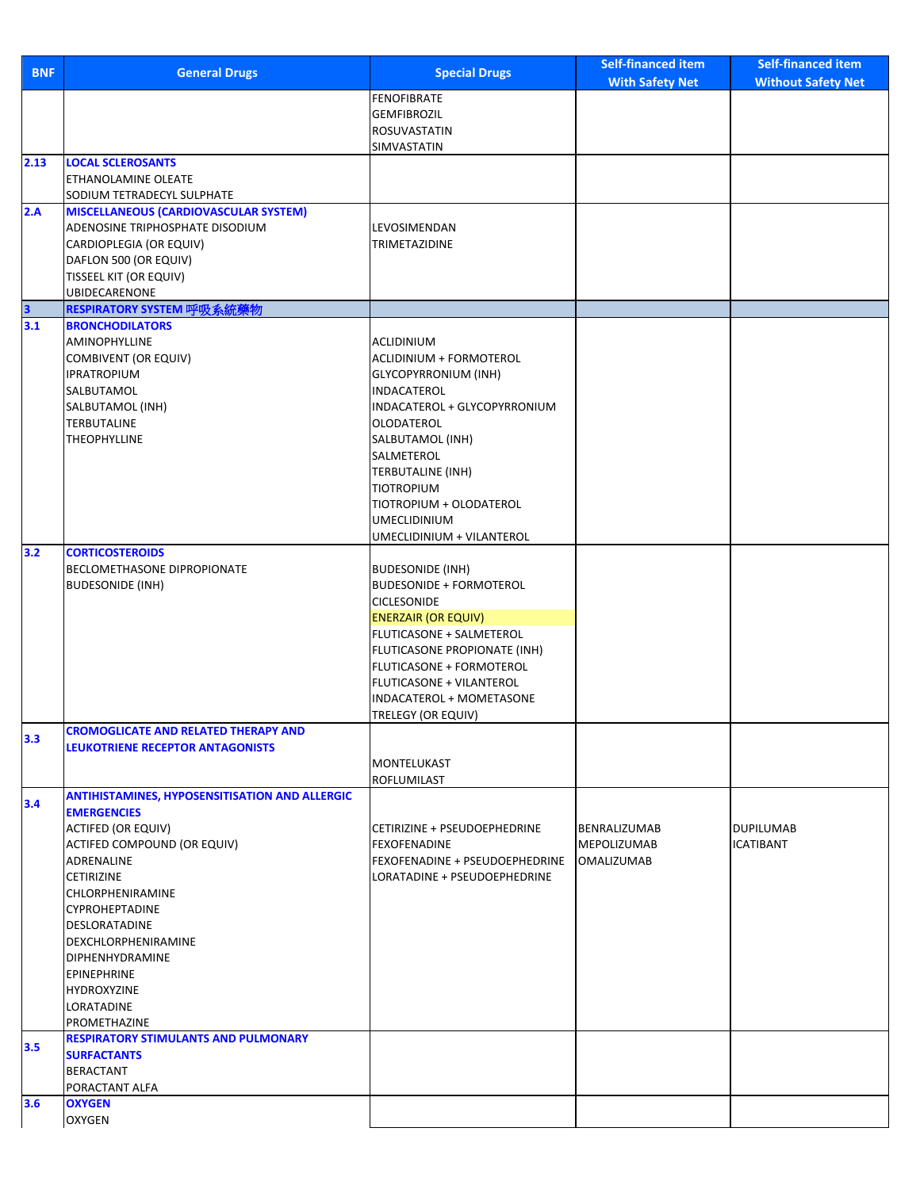| <b>BNF</b>              | <b>General Drugs</b>                                  | <b>Special Drugs</b>                                            | <b>Self-financed item</b>               | <b>Self-financed item</b> |
|-------------------------|-------------------------------------------------------|-----------------------------------------------------------------|-----------------------------------------|---------------------------|
|                         |                                                       |                                                                 | <b>With Safety Net</b>                  | <b>Without Safety Net</b> |
|                         |                                                       | <b>FENOFIBRATE</b>                                              |                                         |                           |
|                         |                                                       | <b>GEMFIBROZIL</b>                                              |                                         |                           |
|                         |                                                       | ROSUVASTATIN                                                    |                                         |                           |
| 2.13                    | <b>LOCAL SCLEROSANTS</b>                              | SIMVASTATIN                                                     |                                         |                           |
|                         | ETHANOLAMINE OLEATE                                   |                                                                 |                                         |                           |
|                         | SODIUM TETRADECYL SULPHATE                            |                                                                 |                                         |                           |
| 2.A                     | <b>MISCELLANEOUS (CARDIOVASCULAR SYSTEM)</b>          |                                                                 |                                         |                           |
|                         | ADENOSINE TRIPHOSPHATE DISODIUM                       | LEVOSIMENDAN                                                    |                                         |                           |
|                         | CARDIOPLEGIA (OR EQUIV)                               | <b>TRIMETAZIDINE</b>                                            |                                         |                           |
|                         | DAFLON 500 (OR EQUIV)                                 |                                                                 |                                         |                           |
|                         | TISSEEL KIT (OR EQUIV)                                |                                                                 |                                         |                           |
|                         | UBIDECARENONE                                         |                                                                 |                                         |                           |
| $\overline{\mathbf{3}}$ | RESPIRATORY SYSTEM 呼吸系統藥物                             |                                                                 |                                         |                           |
| 3.1                     | <b>BRONCHODILATORS</b>                                |                                                                 |                                         |                           |
|                         | <b>AMINOPHYLLINE</b>                                  | ACLIDINIUM                                                      |                                         |                           |
|                         | COMBIVENT (OR EQUIV)                                  | ACLIDINIUM + FORMOTEROL                                         |                                         |                           |
|                         | <b>IPRATROPIUM</b>                                    | <b>GLYCOPYRRONIUM (INH)</b>                                     |                                         |                           |
|                         | SALBUTAMOL<br>SALBUTAMOL (INH)                        | INDACATEROL<br>INDACATEROL + GLYCOPYRRONIUM                     |                                         |                           |
|                         | TERBUTALINE                                           | <b>OLODATEROL</b>                                               |                                         |                           |
|                         | <b>THEOPHYLLINE</b>                                   | SALBUTAMOL (INH)                                                |                                         |                           |
|                         |                                                       | SALMETEROL                                                      |                                         |                           |
|                         |                                                       | <b>TERBUTALINE (INH)</b>                                        |                                         |                           |
|                         |                                                       | <b>TIOTROPIUM</b>                                               |                                         |                           |
|                         |                                                       | TIOTROPIUM + OLODATEROL                                         |                                         |                           |
|                         |                                                       | <b>UMECLIDINIUM</b>                                             |                                         |                           |
|                         |                                                       | UMECLIDINIUM + VILANTEROL                                       |                                         |                           |
| 3.2                     | <b>CORTICOSTEROIDS</b>                                |                                                                 |                                         |                           |
|                         | BECLOMETHASONE DIPROPIONATE                           | <b>BUDESONIDE (INH)</b>                                         |                                         |                           |
|                         | <b>BUDESONIDE (INH)</b>                               | <b>BUDESONIDE + FORMOTEROL</b>                                  |                                         |                           |
|                         |                                                       | <b>CICLESONIDE</b>                                              |                                         |                           |
|                         |                                                       | <b>ENERZAIR (OR EQUIV)</b>                                      |                                         |                           |
|                         |                                                       | FLUTICASONE + SALMETEROL                                        |                                         |                           |
|                         |                                                       | FLUTICASONE PROPIONATE (INH)<br><b>FLUTICASONE + FORMOTEROL</b> |                                         |                           |
|                         |                                                       | <b>FLUTICASONE + VILANTEROL</b>                                 |                                         |                           |
|                         |                                                       | INDACATEROL + MOMETASONE                                        |                                         |                           |
|                         |                                                       | TRELEGY (OR EQUIV)                                              |                                         |                           |
|                         | <b>CROMOGLICATE AND RELATED THERAPY AND</b>           |                                                                 |                                         |                           |
| 3.3                     | LEUKOTRIENE RECEPTOR ANTAGONISTS                      |                                                                 |                                         |                           |
|                         |                                                       | MONTELUKAST                                                     |                                         |                           |
|                         |                                                       | <b>ROFLUMILAST</b>                                              |                                         |                           |
| 3.4                     | <b>ANTIHISTAMINES, HYPOSENSITISATION AND ALLERGIC</b> |                                                                 |                                         |                           |
|                         | <b>EMERGENCIES</b>                                    |                                                                 |                                         |                           |
|                         | ACTIFED (OR EQUIV)                                    | CETIRIZINE + PSEUDOEPHEDRINE                                    | BENRALIZUMAB                            | <b>DUPILUMAB</b>          |
|                         | ACTIFED COMPOUND (OR EQUIV)<br>ADRENALINE             | <b>FEXOFENADINE</b><br>FEXOFENADINE + PSEUDOEPHEDRINE           | <b>MEPOLIZUMAB</b><br><b>OMALIZUMAB</b> | <b>ICATIBANT</b>          |
|                         | <b>CETIRIZINE</b>                                     | LORATADINE + PSEUDOEPHEDRINE                                    |                                         |                           |
|                         | CHLORPHENIRAMINE                                      |                                                                 |                                         |                           |
|                         | <b>CYPROHEPTADINE</b>                                 |                                                                 |                                         |                           |
|                         | DESLORATADINE                                         |                                                                 |                                         |                           |
|                         | DEXCHLORPHENIRAMINE                                   |                                                                 |                                         |                           |
|                         | <b>DIPHENHYDRAMINE</b>                                |                                                                 |                                         |                           |
|                         | EPINEPHRINE                                           |                                                                 |                                         |                           |
|                         | HYDROXYZINE                                           |                                                                 |                                         |                           |
|                         | LORATADINE                                            |                                                                 |                                         |                           |
|                         | PROMETHAZINE                                          |                                                                 |                                         |                           |
| 3.5                     | <b>RESPIRATORY STIMULANTS AND PULMONARY</b>           |                                                                 |                                         |                           |
|                         | <b>SURFACTANTS</b>                                    |                                                                 |                                         |                           |
|                         | <b>BERACTANT</b>                                      |                                                                 |                                         |                           |
| 3.6                     | PORACTANT ALFA<br><b>OXYGEN</b>                       |                                                                 |                                         |                           |
|                         | <b>OXYGEN</b>                                         |                                                                 |                                         |                           |
|                         |                                                       |                                                                 |                                         |                           |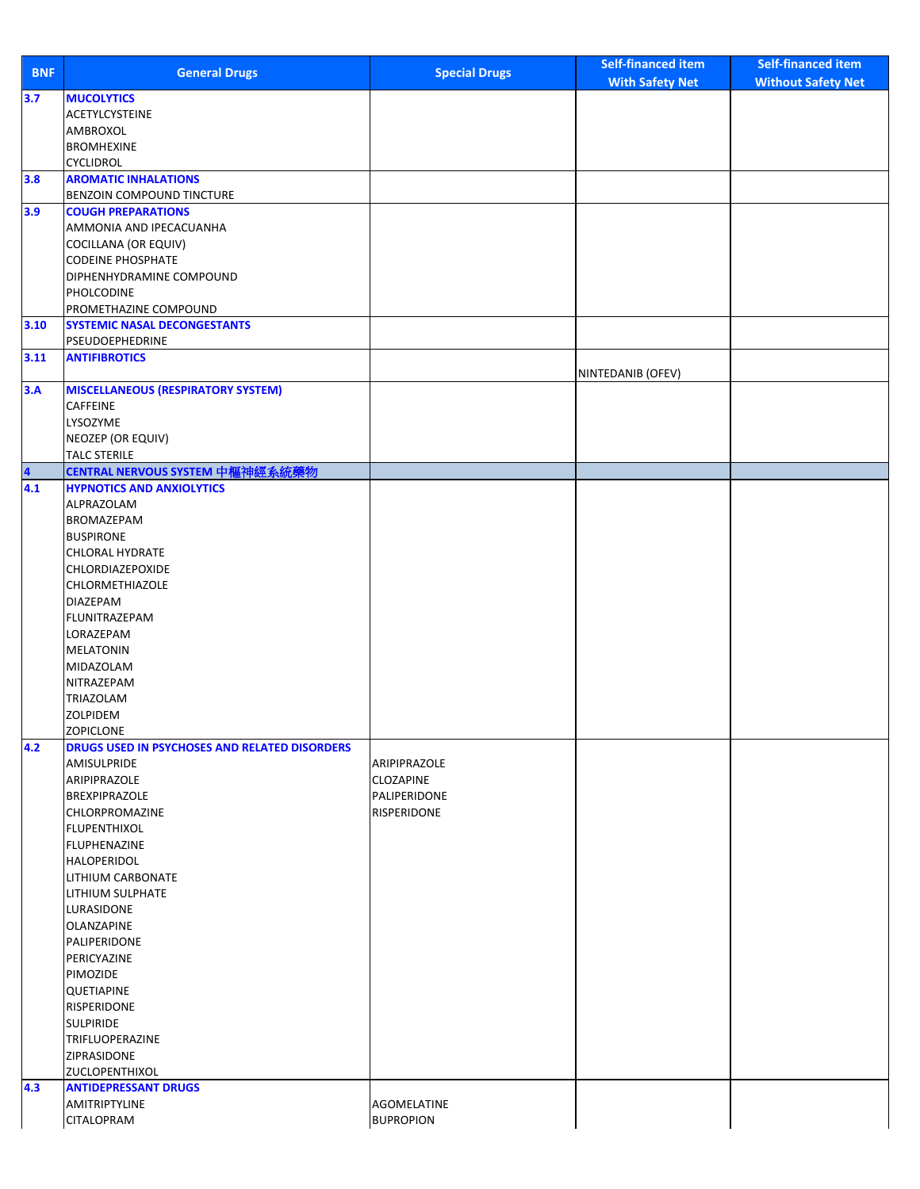| <b>BNF</b> | <b>General Drugs</b>                                 | <b>Special Drugs</b>             | <b>Self-financed item</b> | <b>Self-financed item</b> |
|------------|------------------------------------------------------|----------------------------------|---------------------------|---------------------------|
| 3.7        | <b>MUCOLYTICS</b>                                    |                                  | <b>With Safety Net</b>    | <b>Without Safety Net</b> |
|            | <b>ACETYLCYSTEINE</b>                                |                                  |                           |                           |
|            | AMBROXOL                                             |                                  |                           |                           |
|            | <b>BROMHEXINE</b>                                    |                                  |                           |                           |
|            | <b>CYCLIDROL</b>                                     |                                  |                           |                           |
| 3.8        | <b>AROMATIC INHALATIONS</b>                          |                                  |                           |                           |
|            | BENZOIN COMPOUND TINCTURE                            |                                  |                           |                           |
| 3.9        | <b>COUGH PREPARATIONS</b><br>AMMONIA AND IPECACUANHA |                                  |                           |                           |
|            | <b>COCILLANA (OR EQUIV)</b>                          |                                  |                           |                           |
|            | <b>CODEINE PHOSPHATE</b>                             |                                  |                           |                           |
|            | DIPHENHYDRAMINE COMPOUND                             |                                  |                           |                           |
|            | PHOLCODINE                                           |                                  |                           |                           |
|            | PROMETHAZINE COMPOUND                                |                                  |                           |                           |
| 3.10       | <b>SYSTEMIC NASAL DECONGESTANTS</b>                  |                                  |                           |                           |
|            | PSEUDOEPHEDRINE                                      |                                  |                           |                           |
| 3.11       | <b>ANTIFIBROTICS</b>                                 |                                  | NINTEDANIB (OFEV)         |                           |
| 3.A        | <b>MISCELLANEOUS (RESPIRATORY SYSTEM)</b>            |                                  |                           |                           |
|            | <b>CAFFEINE</b>                                      |                                  |                           |                           |
|            | LYSOZYME                                             |                                  |                           |                           |
|            | NEOZEP (OR EQUIV)                                    |                                  |                           |                           |
|            | <b>TALC STERILE</b>                                  |                                  |                           |                           |
| 4          | CENTRAL NERVOUS SYSTEM 中樞神經系統藥物                      |                                  |                           |                           |
| 4.1        | <b>HYPNOTICS AND ANXIOLYTICS</b><br>ALPRAZOLAM       |                                  |                           |                           |
|            | BROMAZEPAM                                           |                                  |                           |                           |
|            | <b>BUSPIRONE</b>                                     |                                  |                           |                           |
|            | <b>CHLORAL HYDRATE</b>                               |                                  |                           |                           |
|            | CHLORDIAZEPOXIDE                                     |                                  |                           |                           |
|            | CHLORMETHIAZOLE                                      |                                  |                           |                           |
|            | <b>DIAZEPAM</b>                                      |                                  |                           |                           |
|            | FLUNITRAZEPAM                                        |                                  |                           |                           |
|            | LORAZEPAM<br><b>MELATONIN</b>                        |                                  |                           |                           |
|            | MIDAZOLAM                                            |                                  |                           |                           |
|            | NITRAZEPAM                                           |                                  |                           |                           |
|            | TRIAZOLAM                                            |                                  |                           |                           |
|            | ZOLPIDEM                                             |                                  |                           |                           |
|            | <b>ZOPICLONE</b>                                     |                                  |                           |                           |
| 4.2        | DRUGS USED IN PSYCHOSES AND RELATED DISORDERS        |                                  |                           |                           |
|            | AMISULPRIDE<br>ARIPIPRAZOLE                          | ARIPIPRAZOLE                     |                           |                           |
|            | BREXPIPRAZOLE                                        | <b>CLOZAPINE</b><br>PALIPERIDONE |                           |                           |
|            | CHLORPROMAZINE                                       | RISPERIDONE                      |                           |                           |
|            | <b>FLUPENTHIXOL</b>                                  |                                  |                           |                           |
|            | FLUPHENAZINE                                         |                                  |                           |                           |
|            | HALOPERIDOL                                          |                                  |                           |                           |
|            | LITHIUM CARBONATE                                    |                                  |                           |                           |
|            | LITHIUM SULPHATE                                     |                                  |                           |                           |
|            | LURASIDONE<br>OLANZAPINE                             |                                  |                           |                           |
|            | PALIPERIDONE                                         |                                  |                           |                           |
|            | PERICYAZINE                                          |                                  |                           |                           |
|            | PIMOZIDE                                             |                                  |                           |                           |
|            | QUETIAPINE                                           |                                  |                           |                           |
|            | RISPERIDONE                                          |                                  |                           |                           |
|            | <b>SULPIRIDE</b>                                     |                                  |                           |                           |
|            | TRIFLUOPERAZINE                                      |                                  |                           |                           |
|            | ZIPRASIDONE<br>ZUCLOPENTHIXOL                        |                                  |                           |                           |
| 4.3        | <b>ANTIDEPRESSANT DRUGS</b>                          |                                  |                           |                           |
|            | <b>AMITRIPTYLINE</b>                                 | <b>AGOMELATINE</b>               |                           |                           |
|            | <b>CITALOPRAM</b>                                    | <b>BUPROPION</b>                 |                           |                           |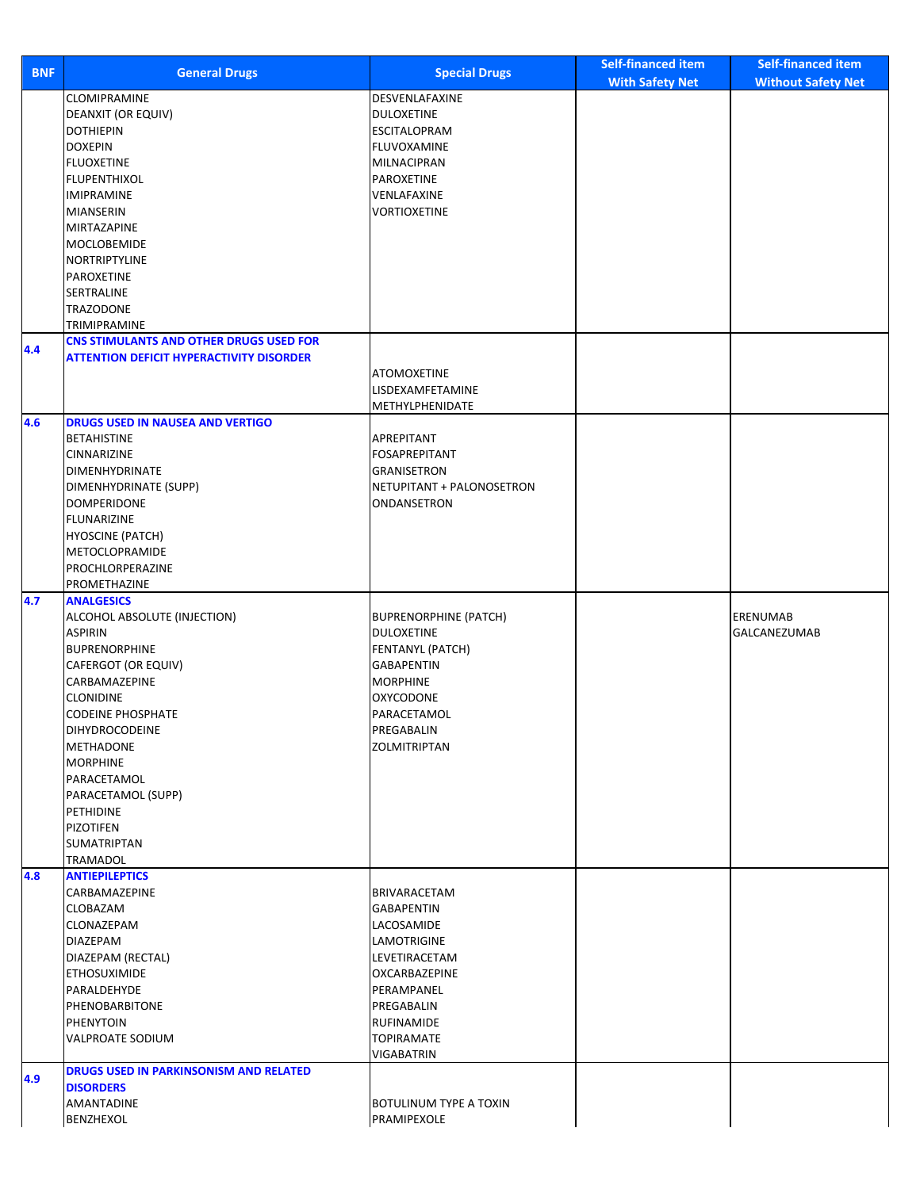| <b>With Safety Net</b><br><b>Without Safety Net</b><br>CLOMIPRAMINE<br>DESVENLAFAXINE<br>DEANXIT (OR EQUIV)<br><b>DULOXETINE</b><br><b>DOTHIEPIN</b><br><b>ESCITALOPRAM</b><br><b>DOXEPIN</b><br>FLUVOXAMINE<br><b>FLUOXETINE</b><br>MILNACIPRAN<br><b>FLUPENTHIXOL</b><br>PAROXETINE<br><b>IMIPRAMINE</b><br>VENLAFAXINE<br><b>MIANSERIN</b><br><b>VORTIOXETINE</b><br>MIRTAZAPINE<br>MOCLOBEMIDE<br>NORTRIPTYLINE<br>PAROXETINE<br>SERTRALINE<br>TRAZODONE<br>TRIMIPRAMINE<br>CNS STIMULANTS AND OTHER DRUGS USED FOR<br><b>ATTENTION DEFICIT HYPERACTIVITY DISORDER</b><br><b>ATOMOXETINE</b><br>LISDEXAMFETAMINE<br>METHYLPHENIDATE<br><b>DRUGS USED IN NAUSEA AND VERTIGO</b><br><b>BETAHISTINE</b><br>APREPITANT<br>CINNARIZINE<br><b>FOSAPREPITANT</b><br>DIMENHYDRINATE<br><b>GRANISETRON</b><br>NETUPITANT + PALONOSETRON<br>DIMENHYDRINATE (SUPP)<br><b>DOMPERIDONE</b><br>ONDANSETRON<br><b>FLUNARIZINE</b><br><b>HYOSCINE (PATCH)</b><br>METOCLOPRAMIDE<br>PROCHLORPERAZINE<br>PROMETHAZINE<br>4.7<br><b>ANALGESICS</b><br>ALCOHOL ABSOLUTE (INJECTION)<br><b>BUPRENORPHINE (PATCH)</b><br><b>ERENUMAB</b><br><b>ASPIRIN</b><br><b>DULOXETINE</b><br><b>GALCANEZUMAB</b><br><b>BUPRENORPHINE</b><br>FENTANYL (PATCH)<br>CAFERGOT (OR EQUIV)<br><b>GABAPENTIN</b><br>CARBAMAZEPINE<br><b>MORPHINE</b><br><b>CLONIDINE</b><br><b>OXYCODONE</b><br><b>CODEINE PHOSPHATE</b><br>PARACETAMOL<br><b>DIHYDROCODEINE</b><br>PREGABALIN<br><b>METHADONE</b><br>ZOLMITRIPTAN<br><b>MORPHINE</b><br>PARACETAMOL<br>PARACETAMOL (SUPP)<br>PETHIDINE<br><b>PIZOTIFEN</b><br>SUMATRIPTAN<br>TRAMADOL<br><b>ANTIEPILEPTICS</b><br>CARBAMAZEPINE<br><b>BRIVARACETAM</b><br>CLOBAZAM<br>GABAPENTIN<br>CLONAZEPAM<br>LACOSAMIDE<br><b>DIAZEPAM</b><br>LAMOTRIGINE<br>DIAZEPAM (RECTAL)<br>LEVETIRACETAM<br>ETHOSUXIMIDE<br>OXCARBAZEPINE<br>PARALDEHYDE<br>PERAMPANEL<br>PHENOBARBITONE<br>PREGABALIN<br><b>PHENYTOIN</b><br><b>RUFINAMIDE</b><br>VALPROATE SODIUM<br><b>TOPIRAMATE</b><br><b>VIGABATRIN</b><br>DRUGS USED IN PARKINSONISM AND RELATED<br><b>DISORDERS</b><br>AMANTADINE<br><b>BOTULINUM TYPE A TOXIN</b><br>BENZHEXOL<br>PRAMIPEXOLE | <b>BNF</b> | <b>General Drugs</b> | <b>Special Drugs</b> | <b>Self-financed item</b> | <b>Self-financed item</b> |
|-------------------------------------------------------------------------------------------------------------------------------------------------------------------------------------------------------------------------------------------------------------------------------------------------------------------------------------------------------------------------------------------------------------------------------------------------------------------------------------------------------------------------------------------------------------------------------------------------------------------------------------------------------------------------------------------------------------------------------------------------------------------------------------------------------------------------------------------------------------------------------------------------------------------------------------------------------------------------------------------------------------------------------------------------------------------------------------------------------------------------------------------------------------------------------------------------------------------------------------------------------------------------------------------------------------------------------------------------------------------------------------------------------------------------------------------------------------------------------------------------------------------------------------------------------------------------------------------------------------------------------------------------------------------------------------------------------------------------------------------------------------------------------------------------------------------------------------------------------------------------------------------------------------------------------------------------------------------------------------------------------------------------------------------------------------------------------------------------------------------------------------------------|------------|----------------------|----------------------|---------------------------|---------------------------|
|                                                                                                                                                                                                                                                                                                                                                                                                                                                                                                                                                                                                                                                                                                                                                                                                                                                                                                                                                                                                                                                                                                                                                                                                                                                                                                                                                                                                                                                                                                                                                                                                                                                                                                                                                                                                                                                                                                                                                                                                                                                                                                                                                 |            |                      |                      |                           |                           |
|                                                                                                                                                                                                                                                                                                                                                                                                                                                                                                                                                                                                                                                                                                                                                                                                                                                                                                                                                                                                                                                                                                                                                                                                                                                                                                                                                                                                                                                                                                                                                                                                                                                                                                                                                                                                                                                                                                                                                                                                                                                                                                                                                 |            |                      |                      |                           |                           |
|                                                                                                                                                                                                                                                                                                                                                                                                                                                                                                                                                                                                                                                                                                                                                                                                                                                                                                                                                                                                                                                                                                                                                                                                                                                                                                                                                                                                                                                                                                                                                                                                                                                                                                                                                                                                                                                                                                                                                                                                                                                                                                                                                 |            |                      |                      |                           |                           |
|                                                                                                                                                                                                                                                                                                                                                                                                                                                                                                                                                                                                                                                                                                                                                                                                                                                                                                                                                                                                                                                                                                                                                                                                                                                                                                                                                                                                                                                                                                                                                                                                                                                                                                                                                                                                                                                                                                                                                                                                                                                                                                                                                 |            |                      |                      |                           |                           |
|                                                                                                                                                                                                                                                                                                                                                                                                                                                                                                                                                                                                                                                                                                                                                                                                                                                                                                                                                                                                                                                                                                                                                                                                                                                                                                                                                                                                                                                                                                                                                                                                                                                                                                                                                                                                                                                                                                                                                                                                                                                                                                                                                 |            |                      |                      |                           |                           |
|                                                                                                                                                                                                                                                                                                                                                                                                                                                                                                                                                                                                                                                                                                                                                                                                                                                                                                                                                                                                                                                                                                                                                                                                                                                                                                                                                                                                                                                                                                                                                                                                                                                                                                                                                                                                                                                                                                                                                                                                                                                                                                                                                 |            |                      |                      |                           |                           |
|                                                                                                                                                                                                                                                                                                                                                                                                                                                                                                                                                                                                                                                                                                                                                                                                                                                                                                                                                                                                                                                                                                                                                                                                                                                                                                                                                                                                                                                                                                                                                                                                                                                                                                                                                                                                                                                                                                                                                                                                                                                                                                                                                 |            |                      |                      |                           |                           |
|                                                                                                                                                                                                                                                                                                                                                                                                                                                                                                                                                                                                                                                                                                                                                                                                                                                                                                                                                                                                                                                                                                                                                                                                                                                                                                                                                                                                                                                                                                                                                                                                                                                                                                                                                                                                                                                                                                                                                                                                                                                                                                                                                 |            |                      |                      |                           |                           |
|                                                                                                                                                                                                                                                                                                                                                                                                                                                                                                                                                                                                                                                                                                                                                                                                                                                                                                                                                                                                                                                                                                                                                                                                                                                                                                                                                                                                                                                                                                                                                                                                                                                                                                                                                                                                                                                                                                                                                                                                                                                                                                                                                 |            |                      |                      |                           |                           |
|                                                                                                                                                                                                                                                                                                                                                                                                                                                                                                                                                                                                                                                                                                                                                                                                                                                                                                                                                                                                                                                                                                                                                                                                                                                                                                                                                                                                                                                                                                                                                                                                                                                                                                                                                                                                                                                                                                                                                                                                                                                                                                                                                 |            |                      |                      |                           |                           |
|                                                                                                                                                                                                                                                                                                                                                                                                                                                                                                                                                                                                                                                                                                                                                                                                                                                                                                                                                                                                                                                                                                                                                                                                                                                                                                                                                                                                                                                                                                                                                                                                                                                                                                                                                                                                                                                                                                                                                                                                                                                                                                                                                 |            |                      |                      |                           |                           |
|                                                                                                                                                                                                                                                                                                                                                                                                                                                                                                                                                                                                                                                                                                                                                                                                                                                                                                                                                                                                                                                                                                                                                                                                                                                                                                                                                                                                                                                                                                                                                                                                                                                                                                                                                                                                                                                                                                                                                                                                                                                                                                                                                 |            |                      |                      |                           |                           |
|                                                                                                                                                                                                                                                                                                                                                                                                                                                                                                                                                                                                                                                                                                                                                                                                                                                                                                                                                                                                                                                                                                                                                                                                                                                                                                                                                                                                                                                                                                                                                                                                                                                                                                                                                                                                                                                                                                                                                                                                                                                                                                                                                 |            |                      |                      |                           |                           |
|                                                                                                                                                                                                                                                                                                                                                                                                                                                                                                                                                                                                                                                                                                                                                                                                                                                                                                                                                                                                                                                                                                                                                                                                                                                                                                                                                                                                                                                                                                                                                                                                                                                                                                                                                                                                                                                                                                                                                                                                                                                                                                                                                 |            |                      |                      |                           |                           |
|                                                                                                                                                                                                                                                                                                                                                                                                                                                                                                                                                                                                                                                                                                                                                                                                                                                                                                                                                                                                                                                                                                                                                                                                                                                                                                                                                                                                                                                                                                                                                                                                                                                                                                                                                                                                                                                                                                                                                                                                                                                                                                                                                 |            |                      |                      |                           |                           |
|                                                                                                                                                                                                                                                                                                                                                                                                                                                                                                                                                                                                                                                                                                                                                                                                                                                                                                                                                                                                                                                                                                                                                                                                                                                                                                                                                                                                                                                                                                                                                                                                                                                                                                                                                                                                                                                                                                                                                                                                                                                                                                                                                 | 4.4        |                      |                      |                           |                           |
|                                                                                                                                                                                                                                                                                                                                                                                                                                                                                                                                                                                                                                                                                                                                                                                                                                                                                                                                                                                                                                                                                                                                                                                                                                                                                                                                                                                                                                                                                                                                                                                                                                                                                                                                                                                                                                                                                                                                                                                                                                                                                                                                                 |            |                      |                      |                           |                           |
|                                                                                                                                                                                                                                                                                                                                                                                                                                                                                                                                                                                                                                                                                                                                                                                                                                                                                                                                                                                                                                                                                                                                                                                                                                                                                                                                                                                                                                                                                                                                                                                                                                                                                                                                                                                                                                                                                                                                                                                                                                                                                                                                                 |            |                      |                      |                           |                           |
|                                                                                                                                                                                                                                                                                                                                                                                                                                                                                                                                                                                                                                                                                                                                                                                                                                                                                                                                                                                                                                                                                                                                                                                                                                                                                                                                                                                                                                                                                                                                                                                                                                                                                                                                                                                                                                                                                                                                                                                                                                                                                                                                                 |            |                      |                      |                           |                           |
|                                                                                                                                                                                                                                                                                                                                                                                                                                                                                                                                                                                                                                                                                                                                                                                                                                                                                                                                                                                                                                                                                                                                                                                                                                                                                                                                                                                                                                                                                                                                                                                                                                                                                                                                                                                                                                                                                                                                                                                                                                                                                                                                                 | 4.6        |                      |                      |                           |                           |
|                                                                                                                                                                                                                                                                                                                                                                                                                                                                                                                                                                                                                                                                                                                                                                                                                                                                                                                                                                                                                                                                                                                                                                                                                                                                                                                                                                                                                                                                                                                                                                                                                                                                                                                                                                                                                                                                                                                                                                                                                                                                                                                                                 |            |                      |                      |                           |                           |
|                                                                                                                                                                                                                                                                                                                                                                                                                                                                                                                                                                                                                                                                                                                                                                                                                                                                                                                                                                                                                                                                                                                                                                                                                                                                                                                                                                                                                                                                                                                                                                                                                                                                                                                                                                                                                                                                                                                                                                                                                                                                                                                                                 |            |                      |                      |                           |                           |
|                                                                                                                                                                                                                                                                                                                                                                                                                                                                                                                                                                                                                                                                                                                                                                                                                                                                                                                                                                                                                                                                                                                                                                                                                                                                                                                                                                                                                                                                                                                                                                                                                                                                                                                                                                                                                                                                                                                                                                                                                                                                                                                                                 |            |                      |                      |                           |                           |
|                                                                                                                                                                                                                                                                                                                                                                                                                                                                                                                                                                                                                                                                                                                                                                                                                                                                                                                                                                                                                                                                                                                                                                                                                                                                                                                                                                                                                                                                                                                                                                                                                                                                                                                                                                                                                                                                                                                                                                                                                                                                                                                                                 |            |                      |                      |                           |                           |
|                                                                                                                                                                                                                                                                                                                                                                                                                                                                                                                                                                                                                                                                                                                                                                                                                                                                                                                                                                                                                                                                                                                                                                                                                                                                                                                                                                                                                                                                                                                                                                                                                                                                                                                                                                                                                                                                                                                                                                                                                                                                                                                                                 |            |                      |                      |                           |                           |
|                                                                                                                                                                                                                                                                                                                                                                                                                                                                                                                                                                                                                                                                                                                                                                                                                                                                                                                                                                                                                                                                                                                                                                                                                                                                                                                                                                                                                                                                                                                                                                                                                                                                                                                                                                                                                                                                                                                                                                                                                                                                                                                                                 |            |                      |                      |                           |                           |
|                                                                                                                                                                                                                                                                                                                                                                                                                                                                                                                                                                                                                                                                                                                                                                                                                                                                                                                                                                                                                                                                                                                                                                                                                                                                                                                                                                                                                                                                                                                                                                                                                                                                                                                                                                                                                                                                                                                                                                                                                                                                                                                                                 |            |                      |                      |                           |                           |
|                                                                                                                                                                                                                                                                                                                                                                                                                                                                                                                                                                                                                                                                                                                                                                                                                                                                                                                                                                                                                                                                                                                                                                                                                                                                                                                                                                                                                                                                                                                                                                                                                                                                                                                                                                                                                                                                                                                                                                                                                                                                                                                                                 |            |                      |                      |                           |                           |
|                                                                                                                                                                                                                                                                                                                                                                                                                                                                                                                                                                                                                                                                                                                                                                                                                                                                                                                                                                                                                                                                                                                                                                                                                                                                                                                                                                                                                                                                                                                                                                                                                                                                                                                                                                                                                                                                                                                                                                                                                                                                                                                                                 |            |                      |                      |                           |                           |
|                                                                                                                                                                                                                                                                                                                                                                                                                                                                                                                                                                                                                                                                                                                                                                                                                                                                                                                                                                                                                                                                                                                                                                                                                                                                                                                                                                                                                                                                                                                                                                                                                                                                                                                                                                                                                                                                                                                                                                                                                                                                                                                                                 |            |                      |                      |                           |                           |
|                                                                                                                                                                                                                                                                                                                                                                                                                                                                                                                                                                                                                                                                                                                                                                                                                                                                                                                                                                                                                                                                                                                                                                                                                                                                                                                                                                                                                                                                                                                                                                                                                                                                                                                                                                                                                                                                                                                                                                                                                                                                                                                                                 |            |                      |                      |                           |                           |
|                                                                                                                                                                                                                                                                                                                                                                                                                                                                                                                                                                                                                                                                                                                                                                                                                                                                                                                                                                                                                                                                                                                                                                                                                                                                                                                                                                                                                                                                                                                                                                                                                                                                                                                                                                                                                                                                                                                                                                                                                                                                                                                                                 |            |                      |                      |                           |                           |
|                                                                                                                                                                                                                                                                                                                                                                                                                                                                                                                                                                                                                                                                                                                                                                                                                                                                                                                                                                                                                                                                                                                                                                                                                                                                                                                                                                                                                                                                                                                                                                                                                                                                                                                                                                                                                                                                                                                                                                                                                                                                                                                                                 |            |                      |                      |                           |                           |
|                                                                                                                                                                                                                                                                                                                                                                                                                                                                                                                                                                                                                                                                                                                                                                                                                                                                                                                                                                                                                                                                                                                                                                                                                                                                                                                                                                                                                                                                                                                                                                                                                                                                                                                                                                                                                                                                                                                                                                                                                                                                                                                                                 |            |                      |                      |                           |                           |
|                                                                                                                                                                                                                                                                                                                                                                                                                                                                                                                                                                                                                                                                                                                                                                                                                                                                                                                                                                                                                                                                                                                                                                                                                                                                                                                                                                                                                                                                                                                                                                                                                                                                                                                                                                                                                                                                                                                                                                                                                                                                                                                                                 |            |                      |                      |                           |                           |
|                                                                                                                                                                                                                                                                                                                                                                                                                                                                                                                                                                                                                                                                                                                                                                                                                                                                                                                                                                                                                                                                                                                                                                                                                                                                                                                                                                                                                                                                                                                                                                                                                                                                                                                                                                                                                                                                                                                                                                                                                                                                                                                                                 |            |                      |                      |                           |                           |
|                                                                                                                                                                                                                                                                                                                                                                                                                                                                                                                                                                                                                                                                                                                                                                                                                                                                                                                                                                                                                                                                                                                                                                                                                                                                                                                                                                                                                                                                                                                                                                                                                                                                                                                                                                                                                                                                                                                                                                                                                                                                                                                                                 |            |                      |                      |                           |                           |
|                                                                                                                                                                                                                                                                                                                                                                                                                                                                                                                                                                                                                                                                                                                                                                                                                                                                                                                                                                                                                                                                                                                                                                                                                                                                                                                                                                                                                                                                                                                                                                                                                                                                                                                                                                                                                                                                                                                                                                                                                                                                                                                                                 |            |                      |                      |                           |                           |
|                                                                                                                                                                                                                                                                                                                                                                                                                                                                                                                                                                                                                                                                                                                                                                                                                                                                                                                                                                                                                                                                                                                                                                                                                                                                                                                                                                                                                                                                                                                                                                                                                                                                                                                                                                                                                                                                                                                                                                                                                                                                                                                                                 |            |                      |                      |                           |                           |
|                                                                                                                                                                                                                                                                                                                                                                                                                                                                                                                                                                                                                                                                                                                                                                                                                                                                                                                                                                                                                                                                                                                                                                                                                                                                                                                                                                                                                                                                                                                                                                                                                                                                                                                                                                                                                                                                                                                                                                                                                                                                                                                                                 |            |                      |                      |                           |                           |
|                                                                                                                                                                                                                                                                                                                                                                                                                                                                                                                                                                                                                                                                                                                                                                                                                                                                                                                                                                                                                                                                                                                                                                                                                                                                                                                                                                                                                                                                                                                                                                                                                                                                                                                                                                                                                                                                                                                                                                                                                                                                                                                                                 |            |                      |                      |                           |                           |
|                                                                                                                                                                                                                                                                                                                                                                                                                                                                                                                                                                                                                                                                                                                                                                                                                                                                                                                                                                                                                                                                                                                                                                                                                                                                                                                                                                                                                                                                                                                                                                                                                                                                                                                                                                                                                                                                                                                                                                                                                                                                                                                                                 |            |                      |                      |                           |                           |
|                                                                                                                                                                                                                                                                                                                                                                                                                                                                                                                                                                                                                                                                                                                                                                                                                                                                                                                                                                                                                                                                                                                                                                                                                                                                                                                                                                                                                                                                                                                                                                                                                                                                                                                                                                                                                                                                                                                                                                                                                                                                                                                                                 |            |                      |                      |                           |                           |
|                                                                                                                                                                                                                                                                                                                                                                                                                                                                                                                                                                                                                                                                                                                                                                                                                                                                                                                                                                                                                                                                                                                                                                                                                                                                                                                                                                                                                                                                                                                                                                                                                                                                                                                                                                                                                                                                                                                                                                                                                                                                                                                                                 |            |                      |                      |                           |                           |
|                                                                                                                                                                                                                                                                                                                                                                                                                                                                                                                                                                                                                                                                                                                                                                                                                                                                                                                                                                                                                                                                                                                                                                                                                                                                                                                                                                                                                                                                                                                                                                                                                                                                                                                                                                                                                                                                                                                                                                                                                                                                                                                                                 |            |                      |                      |                           |                           |
|                                                                                                                                                                                                                                                                                                                                                                                                                                                                                                                                                                                                                                                                                                                                                                                                                                                                                                                                                                                                                                                                                                                                                                                                                                                                                                                                                                                                                                                                                                                                                                                                                                                                                                                                                                                                                                                                                                                                                                                                                                                                                                                                                 | 4.8        |                      |                      |                           |                           |
|                                                                                                                                                                                                                                                                                                                                                                                                                                                                                                                                                                                                                                                                                                                                                                                                                                                                                                                                                                                                                                                                                                                                                                                                                                                                                                                                                                                                                                                                                                                                                                                                                                                                                                                                                                                                                                                                                                                                                                                                                                                                                                                                                 |            |                      |                      |                           |                           |
|                                                                                                                                                                                                                                                                                                                                                                                                                                                                                                                                                                                                                                                                                                                                                                                                                                                                                                                                                                                                                                                                                                                                                                                                                                                                                                                                                                                                                                                                                                                                                                                                                                                                                                                                                                                                                                                                                                                                                                                                                                                                                                                                                 |            |                      |                      |                           |                           |
|                                                                                                                                                                                                                                                                                                                                                                                                                                                                                                                                                                                                                                                                                                                                                                                                                                                                                                                                                                                                                                                                                                                                                                                                                                                                                                                                                                                                                                                                                                                                                                                                                                                                                                                                                                                                                                                                                                                                                                                                                                                                                                                                                 |            |                      |                      |                           |                           |
|                                                                                                                                                                                                                                                                                                                                                                                                                                                                                                                                                                                                                                                                                                                                                                                                                                                                                                                                                                                                                                                                                                                                                                                                                                                                                                                                                                                                                                                                                                                                                                                                                                                                                                                                                                                                                                                                                                                                                                                                                                                                                                                                                 |            |                      |                      |                           |                           |
|                                                                                                                                                                                                                                                                                                                                                                                                                                                                                                                                                                                                                                                                                                                                                                                                                                                                                                                                                                                                                                                                                                                                                                                                                                                                                                                                                                                                                                                                                                                                                                                                                                                                                                                                                                                                                                                                                                                                                                                                                                                                                                                                                 |            |                      |                      |                           |                           |
|                                                                                                                                                                                                                                                                                                                                                                                                                                                                                                                                                                                                                                                                                                                                                                                                                                                                                                                                                                                                                                                                                                                                                                                                                                                                                                                                                                                                                                                                                                                                                                                                                                                                                                                                                                                                                                                                                                                                                                                                                                                                                                                                                 |            |                      |                      |                           |                           |
|                                                                                                                                                                                                                                                                                                                                                                                                                                                                                                                                                                                                                                                                                                                                                                                                                                                                                                                                                                                                                                                                                                                                                                                                                                                                                                                                                                                                                                                                                                                                                                                                                                                                                                                                                                                                                                                                                                                                                                                                                                                                                                                                                 |            |                      |                      |                           |                           |
|                                                                                                                                                                                                                                                                                                                                                                                                                                                                                                                                                                                                                                                                                                                                                                                                                                                                                                                                                                                                                                                                                                                                                                                                                                                                                                                                                                                                                                                                                                                                                                                                                                                                                                                                                                                                                                                                                                                                                                                                                                                                                                                                                 |            |                      |                      |                           |                           |
|                                                                                                                                                                                                                                                                                                                                                                                                                                                                                                                                                                                                                                                                                                                                                                                                                                                                                                                                                                                                                                                                                                                                                                                                                                                                                                                                                                                                                                                                                                                                                                                                                                                                                                                                                                                                                                                                                                                                                                                                                                                                                                                                                 |            |                      |                      |                           |                           |
|                                                                                                                                                                                                                                                                                                                                                                                                                                                                                                                                                                                                                                                                                                                                                                                                                                                                                                                                                                                                                                                                                                                                                                                                                                                                                                                                                                                                                                                                                                                                                                                                                                                                                                                                                                                                                                                                                                                                                                                                                                                                                                                                                 |            |                      |                      |                           |                           |
|                                                                                                                                                                                                                                                                                                                                                                                                                                                                                                                                                                                                                                                                                                                                                                                                                                                                                                                                                                                                                                                                                                                                                                                                                                                                                                                                                                                                                                                                                                                                                                                                                                                                                                                                                                                                                                                                                                                                                                                                                                                                                                                                                 |            |                      |                      |                           |                           |
|                                                                                                                                                                                                                                                                                                                                                                                                                                                                                                                                                                                                                                                                                                                                                                                                                                                                                                                                                                                                                                                                                                                                                                                                                                                                                                                                                                                                                                                                                                                                                                                                                                                                                                                                                                                                                                                                                                                                                                                                                                                                                                                                                 | 4.9        |                      |                      |                           |                           |
|                                                                                                                                                                                                                                                                                                                                                                                                                                                                                                                                                                                                                                                                                                                                                                                                                                                                                                                                                                                                                                                                                                                                                                                                                                                                                                                                                                                                                                                                                                                                                                                                                                                                                                                                                                                                                                                                                                                                                                                                                                                                                                                                                 |            |                      |                      |                           |                           |
|                                                                                                                                                                                                                                                                                                                                                                                                                                                                                                                                                                                                                                                                                                                                                                                                                                                                                                                                                                                                                                                                                                                                                                                                                                                                                                                                                                                                                                                                                                                                                                                                                                                                                                                                                                                                                                                                                                                                                                                                                                                                                                                                                 |            |                      |                      |                           |                           |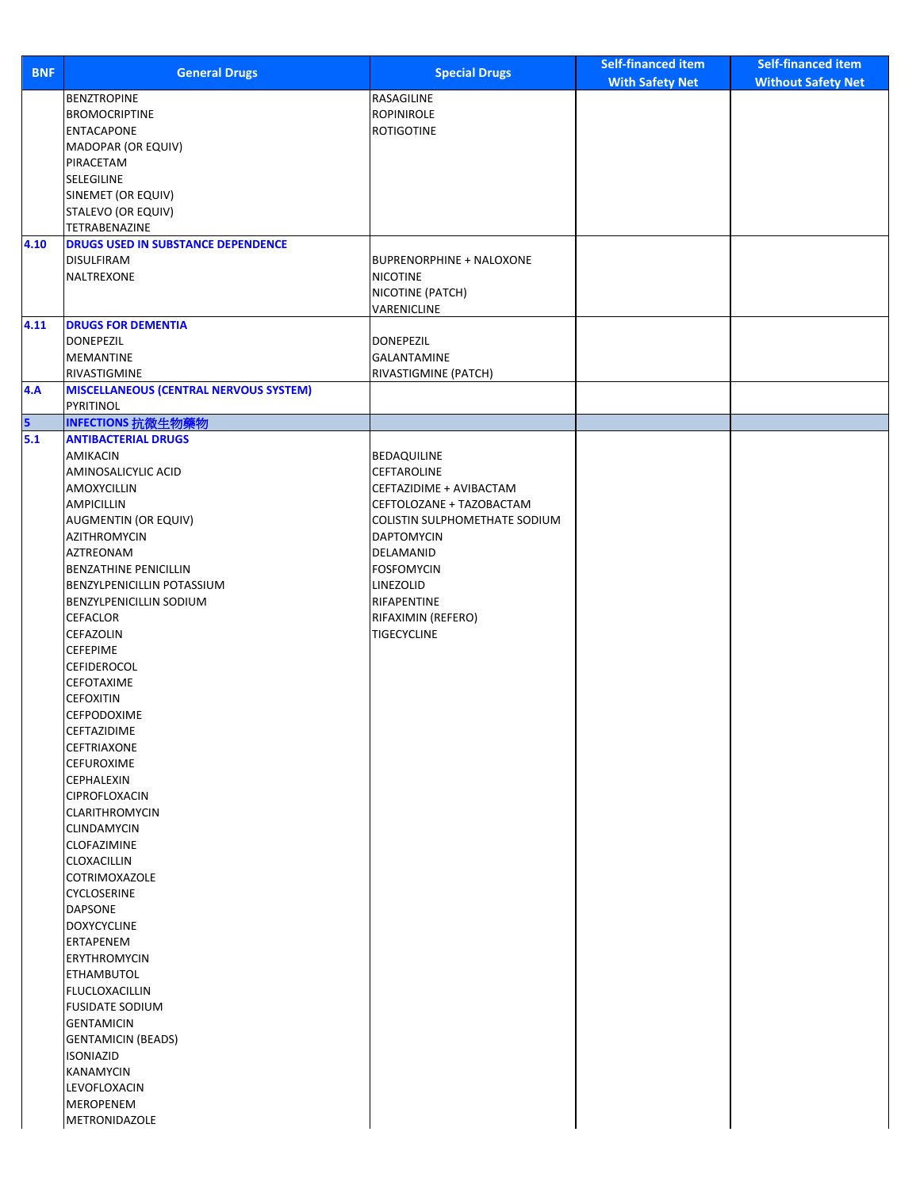| <b>BNF</b> | <b>General Drugs</b>                                  | <b>Special Drugs</b>            | <b>Self-financed item</b> | <b>Self-financed item</b> |
|------------|-------------------------------------------------------|---------------------------------|---------------------------|---------------------------|
|            | <b>BENZTROPINE</b>                                    | <b>RASAGILINE</b>               | <b>With Safety Net</b>    | <b>Without Safety Net</b> |
|            | <b>BROMOCRIPTINE</b>                                  | <b>ROPINIROLE</b>               |                           |                           |
|            | <b>ENTACAPONE</b>                                     | <b>ROTIGOTINE</b>               |                           |                           |
|            | MADOPAR (OR EQUIV)                                    |                                 |                           |                           |
|            | PIRACETAM                                             |                                 |                           |                           |
|            | SELEGILINE                                            |                                 |                           |                           |
|            | SINEMET (OR EQUIV)                                    |                                 |                           |                           |
|            | STALEVO (OR EQUIV)                                    |                                 |                           |                           |
|            | TETRABENAZINE                                         |                                 |                           |                           |
| 4.10       | <b>DRUGS USED IN SUBSTANCE DEPENDENCE</b>             |                                 |                           |                           |
|            | <b>DISULFIRAM</b>                                     | <b>BUPRENORPHINE + NALOXONE</b> |                           |                           |
|            | NALTREXONE                                            | <b>NICOTINE</b>                 |                           |                           |
|            |                                                       | NICOTINE (PATCH)                |                           |                           |
|            |                                                       | VARENICLINE                     |                           |                           |
| 4.11       | <b>DRUGS FOR DEMENTIA</b>                             |                                 |                           |                           |
|            | <b>DONEPEZIL</b><br><b>MEMANTINE</b>                  | DONEPEZIL<br>GALANTAMINE        |                           |                           |
|            | RIVASTIGMINE                                          | RIVASTIGMINE (PATCH)            |                           |                           |
| 4.A        | <b>MISCELLANEOUS (CENTRAL NERVOUS SYSTEM)</b>         |                                 |                           |                           |
|            | PYRITINOL                                             |                                 |                           |                           |
| 5          | INFECTIONS 抗微生物藥物                                     |                                 |                           |                           |
| 5.1        | <b>ANTIBACTERIAL DRUGS</b>                            |                                 |                           |                           |
|            | <b>AMIKACIN</b>                                       | BEDAQUILINE                     |                           |                           |
|            | AMINOSALICYLIC ACID                                   | CEFTAROLINE                     |                           |                           |
|            | <b>AMOXYCILLIN</b>                                    | CEFTAZIDIME + AVIBACTAM         |                           |                           |
|            | <b>AMPICILLIN</b>                                     | CEFTOLOZANE + TAZOBACTAM        |                           |                           |
|            | AUGMENTIN (OR EQUIV)                                  | COLISTIN SULPHOMETHATE SODIUM   |                           |                           |
|            | <b>AZITHROMYCIN</b>                                   | <b>DAPTOMYCIN</b>               |                           |                           |
|            | AZTREONAM                                             | DELAMANID                       |                           |                           |
|            | <b>BENZATHINE PENICILLIN</b>                          | <b>FOSFOMYCIN</b>               |                           |                           |
|            | BENZYLPENICILLIN POTASSIUM<br>BENZYLPENICILLIN SODIUM | LINEZOLID<br>RIFAPENTINE        |                           |                           |
|            | <b>CEFACLOR</b>                                       | RIFAXIMIN (REFERO)              |                           |                           |
|            | <b>CEFAZOLIN</b>                                      | <b>TIGECYCLINE</b>              |                           |                           |
|            | <b>CEFEPIME</b>                                       |                                 |                           |                           |
|            | <b>CEFIDEROCOL</b>                                    |                                 |                           |                           |
|            | CEFOTAXIME                                            |                                 |                           |                           |
|            | <b>CEFOXITIN</b>                                      |                                 |                           |                           |
|            | CEFPODOXIME                                           |                                 |                           |                           |
|            | CEFTAZIDIME                                           |                                 |                           |                           |
|            | <b>CEFTRIAXONE</b>                                    |                                 |                           |                           |
|            | <b>CEFUROXIME</b>                                     |                                 |                           |                           |
|            | <b>CEPHALEXIN</b>                                     |                                 |                           |                           |
|            | CIPROFLOXACIN                                         |                                 |                           |                           |
|            | <b>CLARITHROMYCIN</b><br><b>CLINDAMYCIN</b>           |                                 |                           |                           |
|            | <b>CLOFAZIMINE</b>                                    |                                 |                           |                           |
|            | CLOXACILLIN                                           |                                 |                           |                           |
|            | COTRIMOXAZOLE                                         |                                 |                           |                           |
|            | <b>CYCLOSERINE</b>                                    |                                 |                           |                           |
|            | <b>DAPSONE</b>                                        |                                 |                           |                           |
|            | <b>DOXYCYCLINE</b>                                    |                                 |                           |                           |
|            | <b>ERTAPENEM</b>                                      |                                 |                           |                           |
|            | <b>ERYTHROMYCIN</b>                                   |                                 |                           |                           |
|            | <b>ETHAMBUTOL</b>                                     |                                 |                           |                           |
|            | <b>FLUCLOXACILLIN</b>                                 |                                 |                           |                           |
|            | <b>FUSIDATE SODIUM</b>                                |                                 |                           |                           |
|            | <b>GENTAMICIN</b>                                     |                                 |                           |                           |
|            | <b>GENTAMICIN (BEADS)</b>                             |                                 |                           |                           |
|            | <b>ISONIAZID</b>                                      |                                 |                           |                           |
|            | <b>KANAMYCIN</b><br>LEVOFLOXACIN                      |                                 |                           |                           |
|            | <b>MEROPENEM</b>                                      |                                 |                           |                           |
|            | METRONIDAZOLE                                         |                                 |                           |                           |
|            |                                                       |                                 |                           |                           |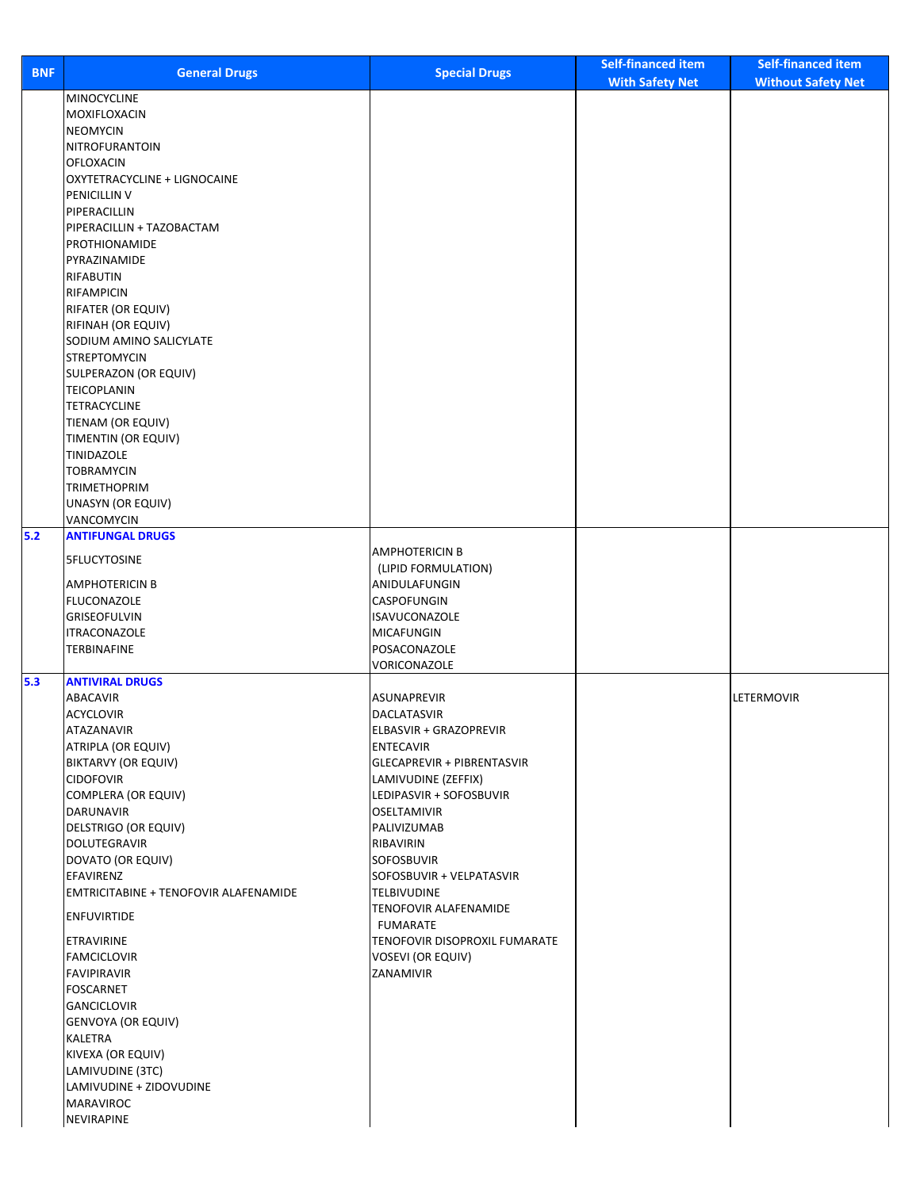| <b>BNF</b> | <b>General Drugs</b>                             | <b>Special Drugs</b>                         | <b>Self-financed item</b> | <b>Self-financed item</b> |
|------------|--------------------------------------------------|----------------------------------------------|---------------------------|---------------------------|
|            |                                                  |                                              | <b>With Safety Net</b>    | <b>Without Safety Net</b> |
|            | <b>MINOCYCLINE</b>                               |                                              |                           |                           |
|            | MOXIFLOXACIN                                     |                                              |                           |                           |
|            | <b>NEOMYCIN</b>                                  |                                              |                           |                           |
|            | NITROFURANTOIN                                   |                                              |                           |                           |
|            | <b>OFLOXACIN</b><br>OXYTETRACYCLINE + LIGNOCAINE |                                              |                           |                           |
|            | PENICILLIN V                                     |                                              |                           |                           |
|            | PIPERACILLIN                                     |                                              |                           |                           |
|            | PIPERACILLIN + TAZOBACTAM                        |                                              |                           |                           |
|            | PROTHIONAMIDE                                    |                                              |                           |                           |
|            | PYRAZINAMIDE                                     |                                              |                           |                           |
|            | RIFABUTIN                                        |                                              |                           |                           |
|            | RIFAMPICIN                                       |                                              |                           |                           |
|            | RIFATER (OR EQUIV)                               |                                              |                           |                           |
|            | RIFINAH (OR EQUIV)                               |                                              |                           |                           |
|            | SODIUM AMINO SALICYLATE                          |                                              |                           |                           |
|            | <b>STREPTOMYCIN</b><br>SULPERAZON (OR EQUIV)     |                                              |                           |                           |
|            | TEICOPLANIN                                      |                                              |                           |                           |
|            | TETRACYCLINE                                     |                                              |                           |                           |
|            | TIENAM (OR EQUIV)                                |                                              |                           |                           |
|            | TIMENTIN (OR EQUIV)                              |                                              |                           |                           |
|            | TINIDAZOLE                                       |                                              |                           |                           |
|            | <b>TOBRAMYCIN</b>                                |                                              |                           |                           |
|            | <b>TRIMETHOPRIM</b>                              |                                              |                           |                           |
|            | UNASYN (OR EQUIV)                                |                                              |                           |                           |
|            | VANCOMYCIN                                       |                                              |                           |                           |
| 5.2        | <b>ANTIFUNGAL DRUGS</b>                          |                                              |                           |                           |
|            | <b>5FLUCYTOSINE</b>                              | <b>AMPHOTERICIN B</b><br>(LIPID FORMULATION) |                           |                           |
|            | <b>AMPHOTERICIN B</b>                            | ANIDULAFUNGIN                                |                           |                           |
|            | <b>FLUCONAZOLE</b>                               | CASPOFUNGIN                                  |                           |                           |
|            | GRISEOFULVIN                                     | ISAVUCONAZOLE                                |                           |                           |
|            | <b>ITRACONAZOLE</b>                              | <b>MICAFUNGIN</b>                            |                           |                           |
|            | <b>TERBINAFINE</b>                               | POSACONAZOLE                                 |                           |                           |
|            |                                                  | VORICONAZOLE                                 |                           |                           |
| 5.3        | <b>ANTIVIRAL DRUGS</b>                           |                                              |                           |                           |
|            | ABACAVIR                                         | <b>ASUNAPREVIR</b>                           |                           | LETERMOVIR                |
|            | <b>ACYCLOVIR</b>                                 | DACLATASVIR                                  |                           |                           |
|            | ATAZANAVIR<br>ATRIPLA (OR EQUIV)                 | ELBASVIR + GRAZOPREVIR<br><b>ENTECAVIR</b>   |                           |                           |
|            | BIKTARVY (OR EQUIV)                              | <b>GLECAPREVIR + PIBRENTASVIR</b>            |                           |                           |
|            | <b>CIDOFOVIR</b>                                 | LAMIVUDINE (ZEFFIX)                          |                           |                           |
|            | COMPLERA (OR EQUIV)                              | LEDIPASVIR + SOFOSBUVIR                      |                           |                           |
|            | DARUNAVIR                                        | <b>OSELTAMIVIR</b>                           |                           |                           |
|            | DELSTRIGO (OR EQUIV)                             | PALIVIZUMAB                                  |                           |                           |
|            | DOLUTEGRAVIR                                     | RIBAVIRIN                                    |                           |                           |
|            | DOVATO (OR EQUIV)                                | SOFOSBUVIR                                   |                           |                           |
|            | EFAVIRENZ                                        | SOFOSBUVIR + VELPATASVIR                     |                           |                           |
|            | EMTRICITABINE + TENOFOVIR ALAFENAMIDE            | <b>TELBIVUDINE</b>                           |                           |                           |
|            | <b>ENFUVIRTIDE</b>                               | TENOFOVIR ALAFENAMIDE<br><b>FUMARATE</b>     |                           |                           |
|            | <b>ETRAVIRINE</b>                                | TENOFOVIR DISOPROXIL FUMARATE                |                           |                           |
|            | <b>FAMCICLOVIR</b>                               | <b>VOSEVI (OR EQUIV)</b>                     |                           |                           |
|            | <b>FAVIPIRAVIR</b>                               | ZANAMIVIR                                    |                           |                           |
|            | FOSCARNET                                        |                                              |                           |                           |
|            | <b>GANCICLOVIR</b>                               |                                              |                           |                           |
|            | <b>GENVOYA (OR EQUIV)</b>                        |                                              |                           |                           |
|            | KALETRA                                          |                                              |                           |                           |
|            | KIVEXA (OR EQUIV)                                |                                              |                           |                           |
|            | LAMIVUDINE (3TC)                                 |                                              |                           |                           |
|            | LAMIVUDINE + ZIDOVUDINE                          |                                              |                           |                           |
|            | <b>MARAVIROC</b>                                 |                                              |                           |                           |
|            | <b>NEVIRAPINE</b>                                |                                              |                           |                           |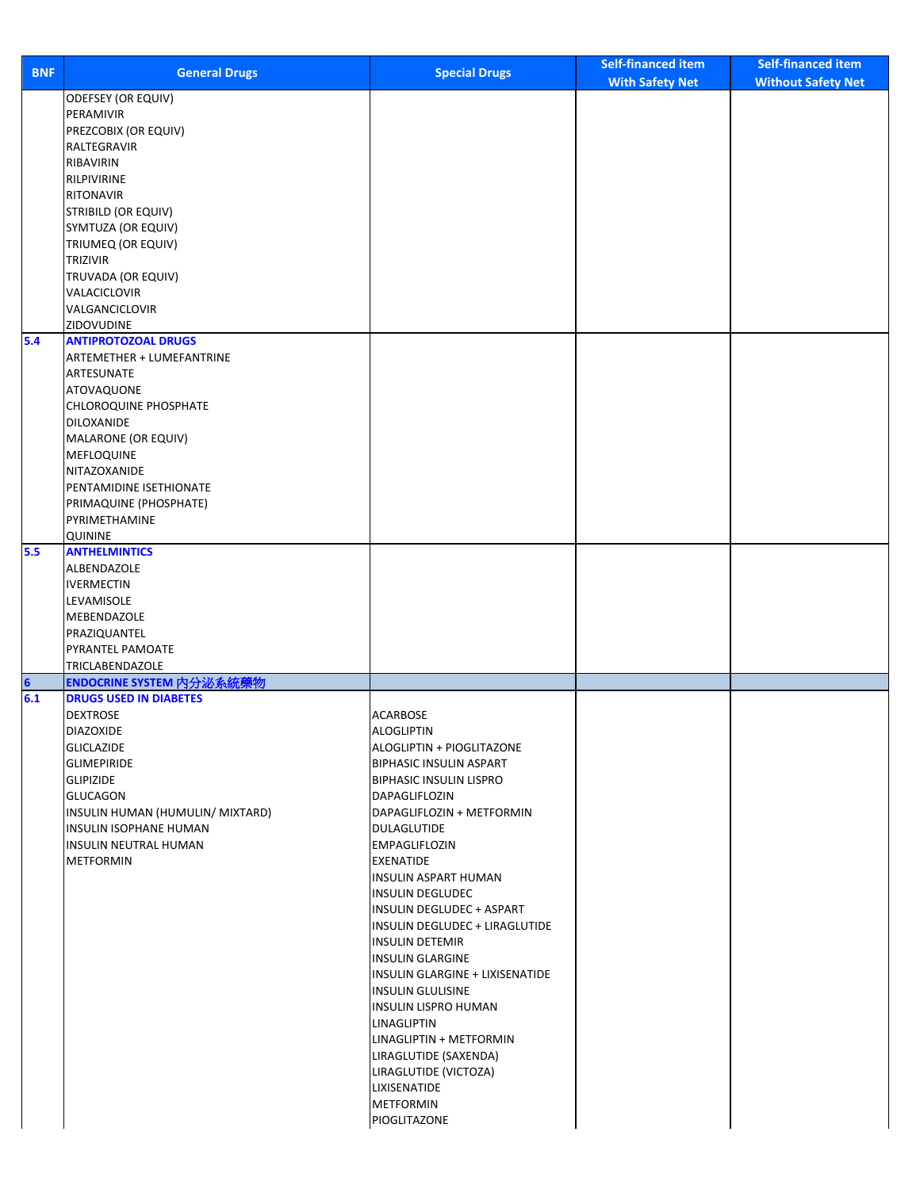| <b>BNF</b>     | <b>General Drugs</b>                   | <b>Special Drugs</b>                             | <b>Self-financed item</b> | <b>Self-financed item</b> |
|----------------|----------------------------------------|--------------------------------------------------|---------------------------|---------------------------|
|                |                                        |                                                  | <b>With Safety Net</b>    | <b>Without Safety Net</b> |
|                | <b>ODEFSEY (OR EQUIV)</b><br>PERAMIVIR |                                                  |                           |                           |
|                | PREZCOBIX (OR EQUIV)                   |                                                  |                           |                           |
|                | RALTEGRAVIR                            |                                                  |                           |                           |
|                | RIBAVIRIN                              |                                                  |                           |                           |
|                | RILPIVIRINE                            |                                                  |                           |                           |
|                | <b>RITONAVIR</b>                       |                                                  |                           |                           |
|                | <b>STRIBILD (OR EQUIV)</b>             |                                                  |                           |                           |
|                | SYMTUZA (OR EQUIV)                     |                                                  |                           |                           |
|                | TRIUMEQ (OR EQUIV)                     |                                                  |                           |                           |
|                | TRIZIVIR                               |                                                  |                           |                           |
|                | TRUVADA (OR EQUIV)<br>VALACICLOVIR     |                                                  |                           |                           |
|                | VALGANCICLOVIR                         |                                                  |                           |                           |
|                | ZIDOVUDINE                             |                                                  |                           |                           |
| 5.4            | <b>ANTIPROTOZOAL DRUGS</b>             |                                                  |                           |                           |
|                | ARTEMETHER + LUMEFANTRINE              |                                                  |                           |                           |
|                | ARTESUNATE                             |                                                  |                           |                           |
|                | <b>ATOVAQUONE</b>                      |                                                  |                           |                           |
|                | <b>CHLOROQUINE PHOSPHATE</b>           |                                                  |                           |                           |
|                | DILOXANIDE                             |                                                  |                           |                           |
|                | MALARONE (OR EQUIV)<br>MEFLOQUINE      |                                                  |                           |                           |
|                | NITAZOXANIDE                           |                                                  |                           |                           |
|                | PENTAMIDINE ISETHIONATE                |                                                  |                           |                           |
|                | PRIMAQUINE (PHOSPHATE)                 |                                                  |                           |                           |
|                | PYRIMETHAMINE                          |                                                  |                           |                           |
|                | <b>QUININE</b>                         |                                                  |                           |                           |
| 5.5            | <b>ANTHELMINTICS</b>                   |                                                  |                           |                           |
|                | ALBENDAZOLE                            |                                                  |                           |                           |
|                | <b>IVERMECTIN</b>                      |                                                  |                           |                           |
|                | LEVAMISOLE                             |                                                  |                           |                           |
|                | MEBENDAZOLE                            |                                                  |                           |                           |
|                | PRAZIQUANTEL                           |                                                  |                           |                           |
|                | PYRANTEL PAMOATE<br>TRICLABENDAZOLE    |                                                  |                           |                           |
| $6\phantom{a}$ | ENDOCRINE SYSTEM 内分泌系統藥物               |                                                  |                           |                           |
| 6.1            | <b>DRUGS USED IN DIABETES</b>          |                                                  |                           |                           |
|                | <b>DEXTROSE</b>                        | ACARBOSE                                         |                           |                           |
|                | <b>DIAZOXIDE</b>                       | <b>ALOGLIPTIN</b>                                |                           |                           |
|                | <b>GLICLAZIDE</b>                      | ALOGLIPTIN + PIOGLITAZONE                        |                           |                           |
|                | <b>GLIMEPIRIDE</b>                     | <b>BIPHASIC INSULIN ASPART</b>                   |                           |                           |
|                | <b>GLIPIZIDE</b>                       | <b>BIPHASIC INSULIN LISPRO</b>                   |                           |                           |
|                | <b>GLUCAGON</b>                        | <b>DAPAGLIFLOZIN</b>                             |                           |                           |
|                | INSULIN HUMAN (HUMULIN/ MIXTARD)       | DAPAGLIFLOZIN + METFORMIN                        |                           |                           |
|                | <b>INSULIN ISOPHANE HUMAN</b>          | <b>DULAGLUTIDE</b>                               |                           |                           |
|                | INSULIN NEUTRAL HUMAN<br>METFORMIN     | <b>EMPAGLIFLOZIN</b><br>EXENATIDE                |                           |                           |
|                |                                        | <b>INSULIN ASPART HUMAN</b>                      |                           |                           |
|                |                                        | <b>INSULIN DEGLUDEC</b>                          |                           |                           |
|                |                                        | INSULIN DEGLUDEC + ASPART                        |                           |                           |
|                |                                        | INSULIN DEGLUDEC + LIRAGLUTIDE                   |                           |                           |
|                |                                        | <b>INSULIN DETEMIR</b>                           |                           |                           |
|                |                                        | <b>INSULIN GLARGINE</b>                          |                           |                           |
|                |                                        | INSULIN GLARGINE + LIXISENATIDE                  |                           |                           |
|                |                                        | <b>INSULIN GLULISINE</b>                         |                           |                           |
|                |                                        | <b>INSULIN LISPRO HUMAN</b>                      |                           |                           |
|                |                                        | LINAGLIPTIN                                      |                           |                           |
|                |                                        | LINAGLIPTIN + METFORMIN<br>LIRAGLUTIDE (SAXENDA) |                           |                           |
|                |                                        | LIRAGLUTIDE (VICTOZA)                            |                           |                           |
|                |                                        | LIXISENATIDE                                     |                           |                           |
|                |                                        | <b>METFORMIN</b>                                 |                           |                           |
|                |                                        | PIOGLITAZONE                                     |                           |                           |
|                |                                        |                                                  |                           |                           |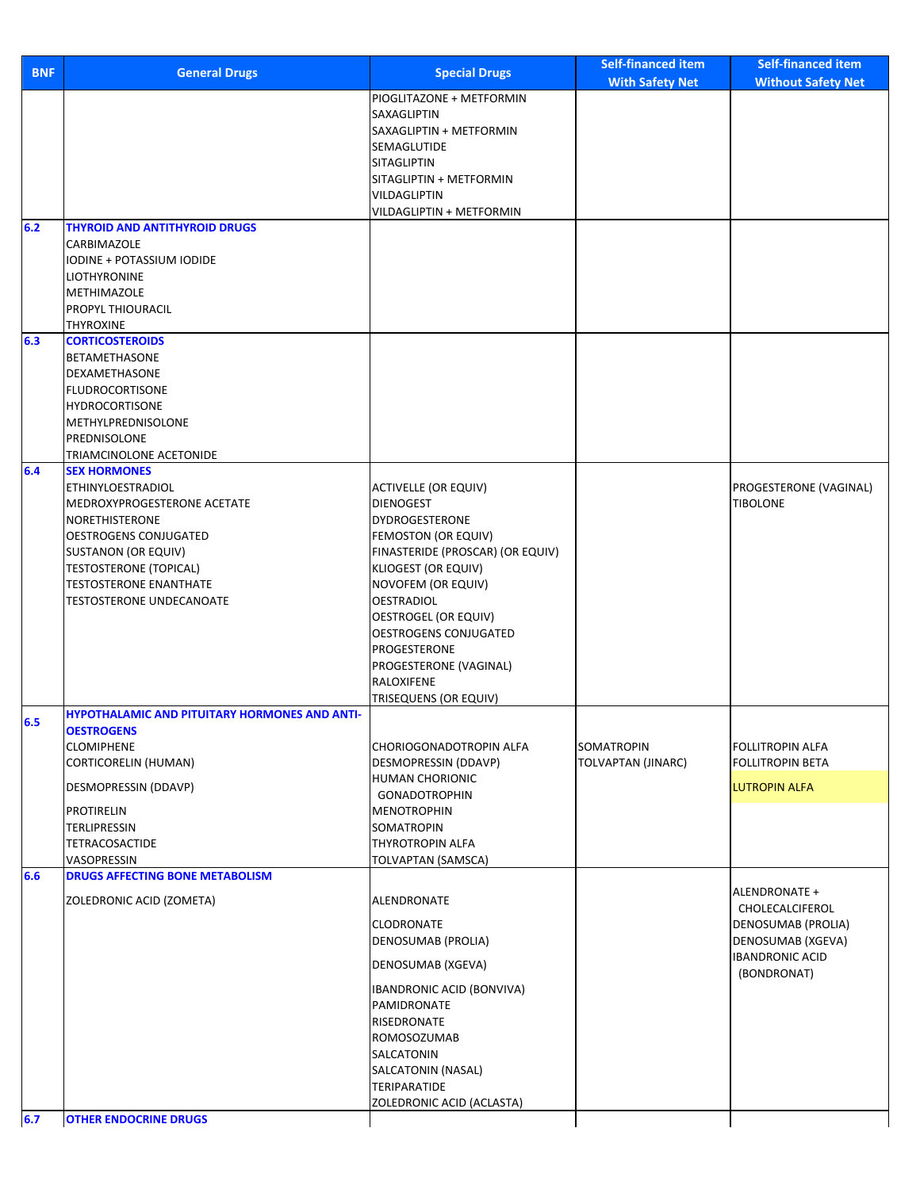| <b>BNF</b> | <b>General Drugs</b>                                 | <b>Special Drugs</b>                     | <b>Self-financed item</b><br><b>With Safety Net</b> | <b>Self-financed item</b><br><b>Without Safety Net</b> |
|------------|------------------------------------------------------|------------------------------------------|-----------------------------------------------------|--------------------------------------------------------|
|            |                                                      | PIOGLITAZONE + METFORMIN                 |                                                     |                                                        |
|            |                                                      | SAXAGLIPTIN                              |                                                     |                                                        |
|            |                                                      | SAXAGLIPTIN + METFORMIN                  |                                                     |                                                        |
|            |                                                      | SEMAGLUTIDE                              |                                                     |                                                        |
|            |                                                      | <b>SITAGLIPTIN</b>                       |                                                     |                                                        |
|            |                                                      | SITAGLIPTIN + METFORMIN                  |                                                     |                                                        |
|            |                                                      | VILDAGLIPTIN<br>VILDAGLIPTIN + METFORMIN |                                                     |                                                        |
| 6.2        | <b>THYROID AND ANTITHYROID DRUGS</b>                 |                                          |                                                     |                                                        |
|            | CARBIMAZOLE                                          |                                          |                                                     |                                                        |
|            | IODINE + POTASSIUM IODIDE                            |                                          |                                                     |                                                        |
|            | LIOTHYRONINE                                         |                                          |                                                     |                                                        |
|            | METHIMAZOLE                                          |                                          |                                                     |                                                        |
|            | PROPYL THIOURACIL                                    |                                          |                                                     |                                                        |
|            | THYROXINE                                            |                                          |                                                     |                                                        |
| 6.3        | <b>CORTICOSTEROIDS</b>                               |                                          |                                                     |                                                        |
|            | BETAMETHASONE                                        |                                          |                                                     |                                                        |
|            | DEXAMETHASONE                                        |                                          |                                                     |                                                        |
|            | <b>FLUDROCORTISONE</b><br><b>HYDROCORTISONE</b>      |                                          |                                                     |                                                        |
|            | METHYLPREDNISOLONE                                   |                                          |                                                     |                                                        |
|            | PREDNISOLONE                                         |                                          |                                                     |                                                        |
|            | TRIAMCINOLONE ACETONIDE                              |                                          |                                                     |                                                        |
| 6.4        | <b>SEX HORMONES</b>                                  |                                          |                                                     |                                                        |
|            | <b>ETHINYLOESTRADIOL</b>                             | <b>ACTIVELLE (OR EQUIV)</b>              |                                                     | PROGESTERONE (VAGINAL)                                 |
|            | MEDROXYPROGESTERONE ACETATE                          | <b>DIENOGEST</b>                         |                                                     | <b>TIBOLONE</b>                                        |
|            | NORETHISTERONE                                       | <b>DYDROGESTERONE</b>                    |                                                     |                                                        |
|            | OESTROGENS CONJUGATED                                | FEMOSTON (OR EQUIV)                      |                                                     |                                                        |
|            | SUSTANON (OR EQUIV)                                  | FINASTERIDE (PROSCAR) (OR EQUIV)         |                                                     |                                                        |
|            | <b>TESTOSTERONE (TOPICAL)</b>                        | KLIOGEST (OR EQUIV)                      |                                                     |                                                        |
|            | <b>TESTOSTERONE ENANTHATE</b>                        | NOVOFEM (OR EQUIV)                       |                                                     |                                                        |
|            | TESTOSTERONE UNDECANOATE                             | <b>OESTRADIOL</b>                        |                                                     |                                                        |
|            |                                                      | OESTROGEL (OR EQUIV)                     |                                                     |                                                        |
|            |                                                      | OESTROGENS CONJUGATED                    |                                                     |                                                        |
|            |                                                      | PROGESTERONE                             |                                                     |                                                        |
|            |                                                      | PROGESTERONE (VAGINAL)<br>RALOXIFENE     |                                                     |                                                        |
|            |                                                      | TRISEQUENS (OR EQUIV)                    |                                                     |                                                        |
| 6.5        | <b>HYPOTHALAMIC AND PITUITARY HORMONES AND ANTI-</b> |                                          |                                                     |                                                        |
|            | <b>OESTROGENS</b>                                    |                                          |                                                     |                                                        |
|            | <b>CLOMIPHENE</b>                                    | CHORIOGONADOTROPIN ALFA                  | SOMATROPIN                                          | <b>FOLLITROPIN ALFA</b>                                |
|            | <b>CORTICORELIN (HUMAN)</b>                          | DESMOPRESSIN (DDAVP)                     | <b>TOLVAPTAN (JINARC)</b>                           | <b>FOLLITROPIN BETA</b>                                |
|            | DESMOPRESSIN (DDAVP)                                 | <b>HUMAN CHORIONIC</b>                   |                                                     | <b>LUTROPIN ALFA</b>                                   |
|            |                                                      | <b>GONADOTROPHIN</b>                     |                                                     |                                                        |
|            | PROTIRELIN                                           | <b>MENOTROPHIN</b>                       |                                                     |                                                        |
|            | TERLIPRESSIN<br><b>TETRACOSACTIDE</b>                | SOMATROPIN<br><b>THYROTROPIN ALFA</b>    |                                                     |                                                        |
|            | VASOPRESSIN                                          | <b>TOLVAPTAN (SAMSCA)</b>                |                                                     |                                                        |
| 6.6        | <b>DRUGS AFFECTING BONE METABOLISM</b>               |                                          |                                                     |                                                        |
|            |                                                      |                                          |                                                     | ALENDRONATE +                                          |
|            | ZOLEDRONIC ACID (ZOMETA)                             | ALENDRONATE                              |                                                     | CHOLECALCIFEROL                                        |
|            |                                                      | CLODRONATE                               |                                                     | DENOSUMAB (PROLIA)                                     |
|            |                                                      | DENOSUMAB (PROLIA)                       |                                                     | DENOSUMAB (XGEVA)                                      |
|            |                                                      | DENOSUMAB (XGEVA)                        |                                                     | <b>IBANDRONIC ACID</b>                                 |
|            |                                                      |                                          |                                                     | (BONDRONAT)                                            |
|            |                                                      | <b>IBANDRONIC ACID (BONVIVA)</b>         |                                                     |                                                        |
|            |                                                      | PAMIDRONATE                              |                                                     |                                                        |
|            |                                                      | RISEDRONATE                              |                                                     |                                                        |
|            |                                                      | ROMOSOZUMAB                              |                                                     |                                                        |
|            |                                                      | SALCATONIN                               |                                                     |                                                        |
|            |                                                      | SALCATONIN (NASAL)<br>TERIPARATIDE       |                                                     |                                                        |
|            |                                                      |                                          |                                                     |                                                        |
|            |                                                      | ZOLEDRONIC ACID (ACLASTA)                |                                                     |                                                        |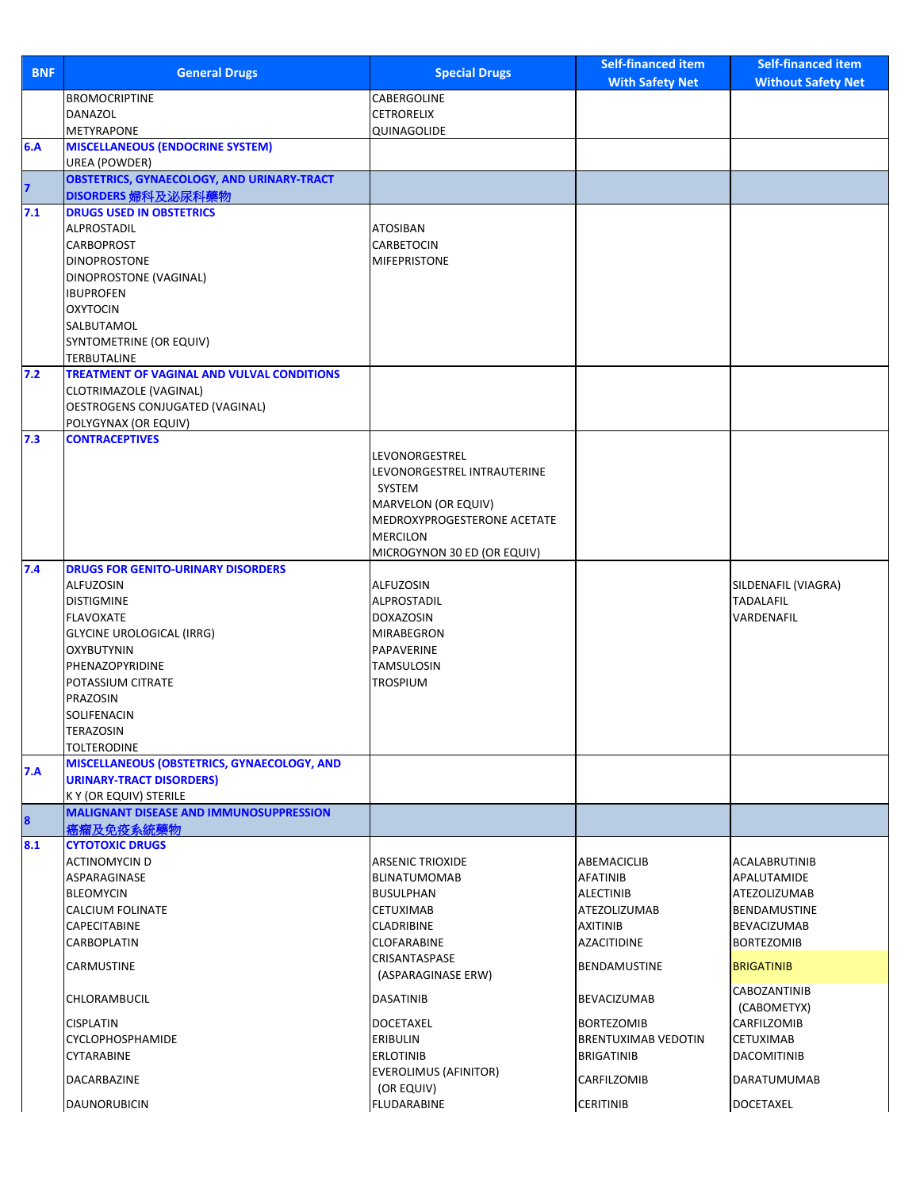| <b>BNF</b>              | <b>General Drugs</b>                                                    | <b>Special Drugs</b>                               | <b>Self-financed item</b>        | <b>Self-financed item</b>           |
|-------------------------|-------------------------------------------------------------------------|----------------------------------------------------|----------------------------------|-------------------------------------|
|                         |                                                                         |                                                    | <b>With Safety Net</b>           | <b>Without Safety Net</b>           |
|                         | <b>BROMOCRIPTINE</b><br>DANAZOL                                         | CABERGOLINE<br><b>CETRORELIX</b>                   |                                  |                                     |
|                         | <b>METYRAPONE</b>                                                       | QUINAGOLIDE                                        |                                  |                                     |
| 6.A                     | <b>MISCELLANEOUS (ENDOCRINE SYSTEM)</b>                                 |                                                    |                                  |                                     |
|                         | <b>UREA (POWDER)</b>                                                    |                                                    |                                  |                                     |
| $\overline{\mathbf{z}}$ | <b>OBSTETRICS, GYNAECOLOGY, AND URINARY-TRACT</b><br>DISORDERS 婦科及泌尿科藥物 |                                                    |                                  |                                     |
| 7.1                     | <b>DRUGS USED IN OBSTETRICS</b>                                         |                                                    |                                  |                                     |
|                         | ALPROSTADIL                                                             | <b>ATOSIBAN</b>                                    |                                  |                                     |
|                         | <b>CARBOPROST</b><br><b>DINOPROSTONE</b>                                | CARBETOCIN<br><b>MIFEPRISTONE</b>                  |                                  |                                     |
|                         | <b>DINOPROSTONE (VAGINAL)</b>                                           |                                                    |                                  |                                     |
|                         | <b>IBUPROFEN</b>                                                        |                                                    |                                  |                                     |
|                         | <b>OXYTOCIN</b>                                                         |                                                    |                                  |                                     |
|                         | SALBUTAMOL                                                              |                                                    |                                  |                                     |
|                         | SYNTOMETRINE (OR EQUIV)<br><b>TERBUTALINE</b>                           |                                                    |                                  |                                     |
| 7.2                     | <b>TREATMENT OF VAGINAL AND VULVAL CONDITIONS</b>                       |                                                    |                                  |                                     |
|                         | CLOTRIMAZOLE (VAGINAL)                                                  |                                                    |                                  |                                     |
|                         | OESTROGENS CONJUGATED (VAGINAL)                                         |                                                    |                                  |                                     |
| 7.3                     | POLYGYNAX (OR EQUIV)<br><b>CONTRACEPTIVES</b>                           |                                                    |                                  |                                     |
|                         |                                                                         | LEVONORGESTREL                                     |                                  |                                     |
|                         |                                                                         | LEVONORGESTREL INTRAUTERINE                        |                                  |                                     |
|                         |                                                                         | SYSTEM                                             |                                  |                                     |
|                         |                                                                         | MARVELON (OR EQUIV)<br>MEDROXYPROGESTERONE ACETATE |                                  |                                     |
|                         |                                                                         | <b>MERCILON</b>                                    |                                  |                                     |
|                         |                                                                         | MICROGYNON 30 ED (OR EQUIV)                        |                                  |                                     |
| 7.4                     | <b>DRUGS FOR GENITO-URINARY DISORDERS</b>                               |                                                    |                                  |                                     |
|                         | <b>ALFUZOSIN</b><br><b>DISTIGMINE</b>                                   | <b>ALFUZOSIN</b><br>ALPROSTADIL                    |                                  | SILDENAFIL (VIAGRA)<br>TADALAFIL    |
|                         | <b>FLAVOXATE</b>                                                        | <b>DOXAZOSIN</b>                                   |                                  | VARDENAFIL                          |
|                         | <b>GLYCINE UROLOGICAL (IRRG)</b>                                        | MIRABEGRON                                         |                                  |                                     |
|                         | <b>OXYBUTYNIN</b><br>PHENAZOPYRIDINE                                    | PAPAVERINE<br><b>TAMSULOSIN</b>                    |                                  |                                     |
|                         | POTASSIUM CITRATE                                                       | <b>TROSPIUM</b>                                    |                                  |                                     |
|                         | PRAZOSIN                                                                |                                                    |                                  |                                     |
|                         | SOLIFENACIN                                                             |                                                    |                                  |                                     |
|                         | TERAZOSIN                                                               |                                                    |                                  |                                     |
|                         | TOLTERODINE<br>MISCELLANEOUS (OBSTETRICS, GYNAECOLOGY, AND              |                                                    |                                  |                                     |
| 7.A                     | <b>URINARY-TRACT DISORDERS)</b>                                         |                                                    |                                  |                                     |
|                         | K Y (OR EQUIV) STERILE                                                  |                                                    |                                  |                                     |
| 8                       | <b>MALIGNANT DISEASE AND IMMUNOSUPPRESSION</b><br>癌瘤及免疫系統藥物             |                                                    |                                  |                                     |
| 8.1                     | <b>CYTOTOXIC DRUGS</b>                                                  |                                                    |                                  |                                     |
|                         | <b>ACTINOMYCIN D</b>                                                    | <b>ARSENIC TRIOXIDE</b>                            | ABEMACICLIB                      | <b>ACALABRUTINIB</b>                |
|                         | ASPARAGINASE                                                            | <b>BLINATUMOMAB</b>                                | AFATINIB                         | APALUTAMIDE                         |
|                         | <b>BLEOMYCIN</b><br><b>CALCIUM FOLINATE</b>                             | <b>BUSULPHAN</b><br><b>CETUXIMAB</b>               | <b>ALECTINIB</b><br>ATEZOLIZUMAB | ATEZOLIZUMAB<br><b>BENDAMUSTINE</b> |
|                         | CAPECITABINE                                                            | CLADRIBINE                                         | <b>AXITINIB</b>                  | <b>BEVACIZUMAB</b>                  |
|                         | CARBOPLATIN                                                             | <b>CLOFARABINE</b>                                 | AZACITIDINE                      | <b>BORTEZOMIB</b>                   |
|                         | CARMUSTINE                                                              | CRISANTASPASE<br>(ASPARAGINASE ERW)                | <b>BENDAMUSTINE</b>              | <b>BRIGATINIB</b>                   |
|                         | CHLORAMBUCIL                                                            | DASATINIB                                          | BEVACIZUMAB                      | <b>CABOZANTINIB</b><br>(CABOMETYX)  |
|                         | <b>CISPLATIN</b>                                                        | <b>DOCETAXEL</b>                                   | <b>BORTEZOMIB</b>                | CARFILZOMIB                         |
|                         | <b>CYCLOPHOSPHAMIDE</b>                                                 | ERIBULIN                                           | BRENTUXIMAB VEDOTIN              | <b>CETUXIMAB</b>                    |
|                         | CYTARABINE                                                              | <b>ERLOTINIB</b>                                   | <b>BRIGATINIB</b>                | <b>DACOMITINIB</b>                  |
|                         | DACARBAZINE                                                             | EVEROLIMUS (AFINITOR)<br>(OR EQUIV)                | CARFILZOMIB                      | <b>DARATUMUMAB</b>                  |
|                         | DAUNORUBICIN                                                            | <b>FLUDARABINE</b>                                 | <b>CERITINIB</b>                 | <b>DOCETAXEL</b>                    |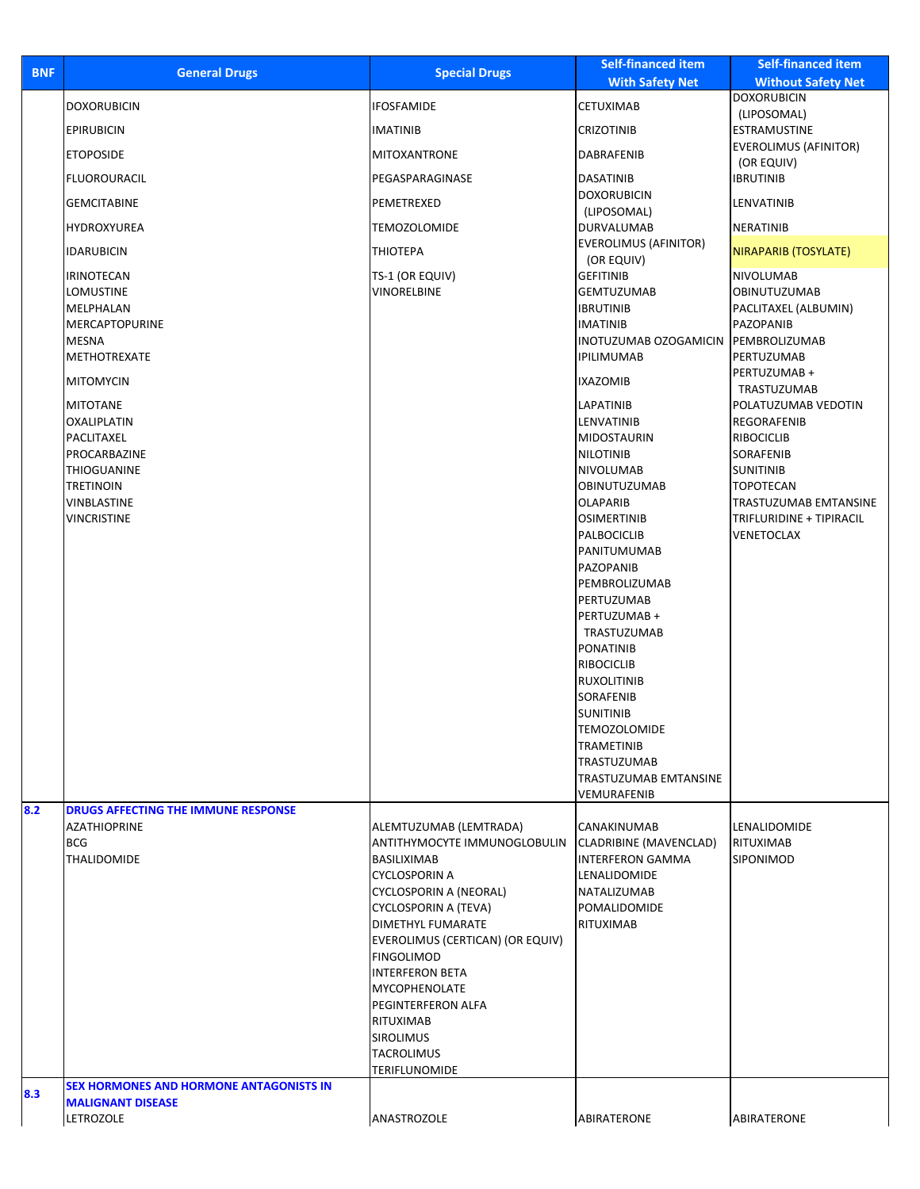| <b>BNF</b> | <b>General Drugs</b>                           | <b>Special Drugs</b>                                   | <b>Self-financed item</b>                  | <b>Self-financed item</b>                 |
|------------|------------------------------------------------|--------------------------------------------------------|--------------------------------------------|-------------------------------------------|
|            |                                                |                                                        | <b>With Safety Net</b>                     | <b>Without Safety Net</b>                 |
|            | <b>DOXORUBICIN</b>                             | <b>IFOSFAMIDE</b>                                      | <b>CETUXIMAB</b>                           | <b>DOXORUBICIN</b>                        |
|            | <b>EPIRUBICIN</b>                              | <b>IMATINIB</b>                                        | <b>CRIZOTINIB</b>                          | (LIPOSOMAL)<br>ESTRAMUSTINE               |
|            |                                                |                                                        |                                            | <b>EVEROLIMUS (AFINITOR)</b>              |
|            | <b>ETOPOSIDE</b>                               | MITOXANTRONE                                           | DABRAFENIB                                 | (OR EQUIV)                                |
|            | <b>FLUOROURACIL</b>                            | PEGASPARAGINASE                                        | <b>DASATINIB</b>                           | <b>IBRUTINIB</b>                          |
|            | <b>GEMCITABINE</b>                             | PEMETREXED                                             | <b>DOXORUBICIN</b>                         | LENVATINIB                                |
|            | <b>HYDROXYUREA</b>                             | <b>TEMOZOLOMIDE</b>                                    | (LIPOSOMAL)<br>DURVALUMAB                  | <b>NERATINIB</b>                          |
|            |                                                |                                                        | <b>EVEROLIMUS (AFINITOR)</b>               |                                           |
|            | <b>IDARUBICIN</b>                              | <b>THIOTEPA</b>                                        | (OR EQUIV)                                 | <b>NIRAPARIB (TOSYLATE)</b>               |
|            | IRINOTECAN                                     | TS-1 (OR EQUIV)                                        | <b>GEFITINIB</b>                           | <b>NIVOLUMAB</b>                          |
|            | LOMUSTINE                                      | VINORELBINE                                            | <b>GEMTUZUMAB</b>                          | <b>OBINUTUZUMAB</b>                       |
|            | MELPHALAN<br>MERCAPTOPURINE                    |                                                        | <b>IBRUTINIB</b><br><b>IMATINIB</b>        | PACLITAXEL (ALBUMIN)<br><b>PAZOPANIB</b>  |
|            | MESNA                                          |                                                        | INOTUZUMAB OZOGAMICIN   PEMBROLIZUMAB      |                                           |
|            | <b>METHOTREXATE</b>                            |                                                        | <b>IPILIMUMAB</b>                          | PERTUZUMAB                                |
|            | <b>MITOMYCIN</b>                               |                                                        | <b>IXAZOMIB</b>                            | PERTUZUMAB +                              |
|            |                                                |                                                        |                                            | TRASTUZUMAB                               |
|            | <b>MITOTANE</b><br>OXALIPLATIN                 |                                                        | <b>LAPATINIB</b><br>LENVATINIB             | POLATUZUMAB VEDOTIN<br><b>REGORAFENIB</b> |
|            | PACLITAXEL                                     |                                                        | <b>MIDOSTAURIN</b>                         | <b>RIBOCICLIB</b>                         |
|            | PROCARBAZINE                                   |                                                        | <b>NILOTINIB</b>                           | <b>SORAFENIB</b>                          |
|            | <b>THIOGUANINE</b>                             |                                                        | <b>NIVOLUMAB</b>                           | <b>SUNITINIB</b>                          |
|            | TRETINOIN                                      |                                                        | OBINUTUZUMAB                               | TOPOTECAN                                 |
|            | VINBLASTINE                                    |                                                        | <b>OLAPARIB</b>                            | TRASTUZUMAB EMTANSINE                     |
|            | <b>VINCRISTINE</b>                             |                                                        | <b>OSIMERTINIB</b><br>PALBOCICLIB          | TRIFLURIDINE + TIPIRACIL<br>VENETOCLAX    |
|            |                                                |                                                        | PANITUMUMAB                                |                                           |
|            |                                                |                                                        | PAZOPANIB                                  |                                           |
|            |                                                |                                                        | PEMBROLIZUMAB                              |                                           |
|            |                                                |                                                        | PERTUZUMAB                                 |                                           |
|            |                                                |                                                        | PERTUZUMAB+                                |                                           |
|            |                                                |                                                        | TRASTUZUMAB<br><b>PONATINIB</b>            |                                           |
|            |                                                |                                                        | <b>RIBOCICLIB</b>                          |                                           |
|            |                                                |                                                        | <b>RUXOLITINIB</b>                         |                                           |
|            |                                                |                                                        | SORAFENIB                                  |                                           |
|            |                                                |                                                        | SUNITINIB                                  |                                           |
|            |                                                |                                                        | <b>TEMOZOLOMIDE</b><br>TRAMETINIB          |                                           |
|            |                                                |                                                        | TRASTUZUMAB                                |                                           |
|            |                                                |                                                        | TRASTUZUMAB EMTANSINE                      |                                           |
|            |                                                |                                                        | VEMURAFENIB                                |                                           |
| 8.2        | DRUGS AFFECTING THE IMMUNE RESPONSE            |                                                        |                                            |                                           |
|            | AZATHIOPRINE<br><b>BCG</b>                     | ALEMTUZUMAB (LEMTRADA)<br>ANTITHYMOCYTE IMMUNOGLOBULIN | CANAKINUMAB                                | LENALIDOMIDE<br><b>RITUXIMAB</b>          |
|            | THALIDOMIDE                                    | BASILIXIMAB                                            | CLADRIBINE (MAVENCLAD)<br>INTERFERON GAMMA | <b>SIPONIMOD</b>                          |
|            |                                                | <b>CYCLOSPORIN A</b>                                   | LENALIDOMIDE                               |                                           |
|            |                                                | CYCLOSPORIN A (NEORAL)                                 | NATALIZUMAB                                |                                           |
|            |                                                | CYCLOSPORIN A (TEVA)                                   | POMALIDOMIDE                               |                                           |
|            |                                                | DIMETHYL FUMARATE                                      | RITUXIMAB                                  |                                           |
|            |                                                | EVEROLIMUS (CERTICAN) (OR EQUIV)<br><b>FINGOLIMOD</b>  |                                            |                                           |
|            |                                                | <b>INTERFERON BETA</b>                                 |                                            |                                           |
|            |                                                | <b>MYCOPHENOLATE</b>                                   |                                            |                                           |
|            |                                                | PEGINTERFERON ALFA                                     |                                            |                                           |
|            |                                                | <b>RITUXIMAB</b>                                       |                                            |                                           |
|            |                                                | <b>SIROLIMUS</b>                                       |                                            |                                           |
|            |                                                | TACROLIMUS<br>TERIFLUNOMIDE                            |                                            |                                           |
|            | <b>SEX HORMONES AND HORMONE ANTAGONISTS IN</b> |                                                        |                                            |                                           |
| 8.3        | <b>MALIGNANT DISEASE</b>                       |                                                        |                                            |                                           |
|            | LETROZOLE                                      | ANASTROZOLE                                            | ABIRATERONE                                | ABIRATERONE                               |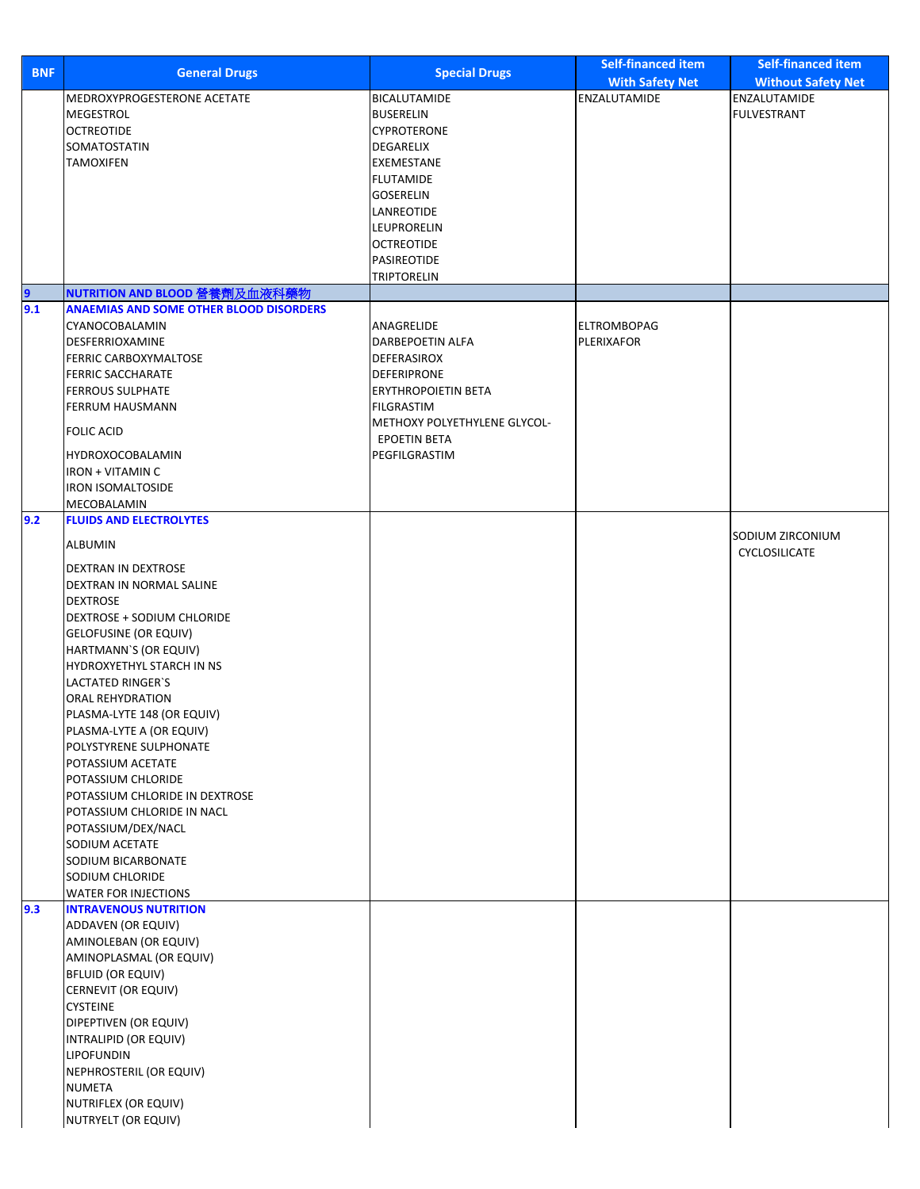| <b>BNF</b> | <b>General Drugs</b>                                                            | <b>Special Drugs</b>         | <b>Self-financed item</b> | <b>Self-financed item</b> |
|------------|---------------------------------------------------------------------------------|------------------------------|---------------------------|---------------------------|
|            |                                                                                 |                              | <b>With Safety Net</b>    | <b>Without Safety Net</b> |
|            | MEDROXYPROGESTERONE ACETATE                                                     | <b>BICALUTAMIDE</b>          | ENZALUTAMIDE              | ENZALUTAMIDE              |
|            | MEGESTROL                                                                       | <b>BUSERELIN</b>             |                           | <b>FULVESTRANT</b>        |
|            | <b>OCTREOTIDE</b>                                                               | <b>CYPROTERONE</b>           |                           |                           |
|            | SOMATOSTATIN                                                                    | DEGARELIX                    |                           |                           |
|            | <b>TAMOXIFEN</b>                                                                | EXEMESTANE                   |                           |                           |
|            |                                                                                 | <b>FLUTAMIDE</b>             |                           |                           |
|            |                                                                                 | <b>GOSERELIN</b>             |                           |                           |
|            |                                                                                 | LANREOTIDE                   |                           |                           |
|            |                                                                                 | LEUPRORELIN                  |                           |                           |
|            |                                                                                 | <b>OCTREOTIDE</b>            |                           |                           |
|            |                                                                                 | PASIREOTIDE                  |                           |                           |
| 9          |                                                                                 | TRIPTORELIN                  |                           |                           |
| 9.1        | NUTRITION AND BLOOD 營養劑及血液科藥物<br><b>ANAEMIAS AND SOME OTHER BLOOD DISORDERS</b> |                              |                           |                           |
|            | CYANOCOBALAMIN                                                                  | ANAGRELIDE                   | <b>ELTROMBOPAG</b>        |                           |
|            | DESFERRIOXAMINE                                                                 | DARBEPOETIN ALFA             | <b>PLERIXAFOR</b>         |                           |
|            | <b>FERRIC CARBOXYMALTOSE</b>                                                    | DEFERASIROX                  |                           |                           |
|            | <b>FERRIC SACCHARATE</b>                                                        | <b>DEFERIPRONE</b>           |                           |                           |
|            | <b>FERROUS SULPHATE</b>                                                         | <b>ERYTHROPOIETIN BETA</b>   |                           |                           |
|            | FERRUM HAUSMANN                                                                 | <b>FILGRASTIM</b>            |                           |                           |
|            |                                                                                 | METHOXY POLYETHYLENE GLYCOL- |                           |                           |
|            | <b>FOLIC ACID</b>                                                               | <b>EPOETIN BETA</b>          |                           |                           |
|            | <b>HYDROXOCOBALAMIN</b>                                                         | PEGFILGRASTIM                |                           |                           |
|            | <b>IRON + VITAMIN C</b>                                                         |                              |                           |                           |
|            | <b>IRON ISOMALTOSIDE</b>                                                        |                              |                           |                           |
|            | MECOBALAMIN                                                                     |                              |                           |                           |
| 9.2        | <b>FLUIDS AND ELECTROLYTES</b>                                                  |                              |                           |                           |
|            |                                                                                 |                              |                           | SODIUM ZIRCONIUM          |
|            | <b>ALBUMIN</b>                                                                  |                              |                           | CYCLOSILICATE             |
|            | DEXTRAN IN DEXTROSE                                                             |                              |                           |                           |
|            | DEXTRAN IN NORMAL SALINE                                                        |                              |                           |                           |
|            | <b>DEXTROSE</b>                                                                 |                              |                           |                           |
|            | DEXTROSE + SODIUM CHLORIDE                                                      |                              |                           |                           |
|            | <b>GELOFUSINE (OR EQUIV)</b>                                                    |                              |                           |                           |
|            | HARTMANN'S (OR EQUIV)                                                           |                              |                           |                           |
|            | HYDROXYETHYL STARCH IN NS                                                       |                              |                           |                           |
|            | LACTATED RINGER'S                                                               |                              |                           |                           |
|            | ORAL REHYDRATION                                                                |                              |                           |                           |
|            | PLASMA-LYTE 148 (OR EQUIV)                                                      |                              |                           |                           |
|            | PLASMA-LYTE A (OR EQUIV)                                                        |                              |                           |                           |
|            | POLYSTYRENE SULPHONATE                                                          |                              |                           |                           |
|            | POTASSIUM ACETATE                                                               |                              |                           |                           |
|            | POTASSIUM CHLORIDE                                                              |                              |                           |                           |
|            | POTASSIUM CHLORIDE IN DEXTROSE                                                  |                              |                           |                           |
|            | POTASSIUM CHLORIDE IN NACL                                                      |                              |                           |                           |
|            | POTASSIUM/DEX/NACL                                                              |                              |                           |                           |
|            | SODIUM ACETATE                                                                  |                              |                           |                           |
|            | SODIUM BICARBONATE                                                              |                              |                           |                           |
|            | SODIUM CHLORIDE                                                                 |                              |                           |                           |
|            | <b>WATER FOR INJECTIONS</b>                                                     |                              |                           |                           |
| 9.3        | <b>INTRAVENOUS NUTRITION</b>                                                    |                              |                           |                           |
|            | ADDAVEN (OR EQUIV)                                                              |                              |                           |                           |
|            | AMINOLEBAN (OR EQUIV)                                                           |                              |                           |                           |
|            | AMINOPLASMAL (OR EQUIV)                                                         |                              |                           |                           |
|            | <b>BFLUID (OR EQUIV)</b>                                                        |                              |                           |                           |
|            | CERNEVIT (OR EQUIV)                                                             |                              |                           |                           |
|            | <b>CYSTEINE</b>                                                                 |                              |                           |                           |
|            | DIPEPTIVEN (OR EQUIV)                                                           |                              |                           |                           |
|            | INTRALIPID (OR EQUIV)                                                           |                              |                           |                           |
|            | LIPOFUNDIN                                                                      |                              |                           |                           |
|            | NEPHROSTERIL (OR EQUIV)                                                         |                              |                           |                           |
|            | <b>NUMETA</b>                                                                   |                              |                           |                           |
|            | NUTRIFLEX (OR EQUIV)                                                            |                              |                           |                           |
|            | NUTRYELT (OR EQUIV)                                                             |                              |                           |                           |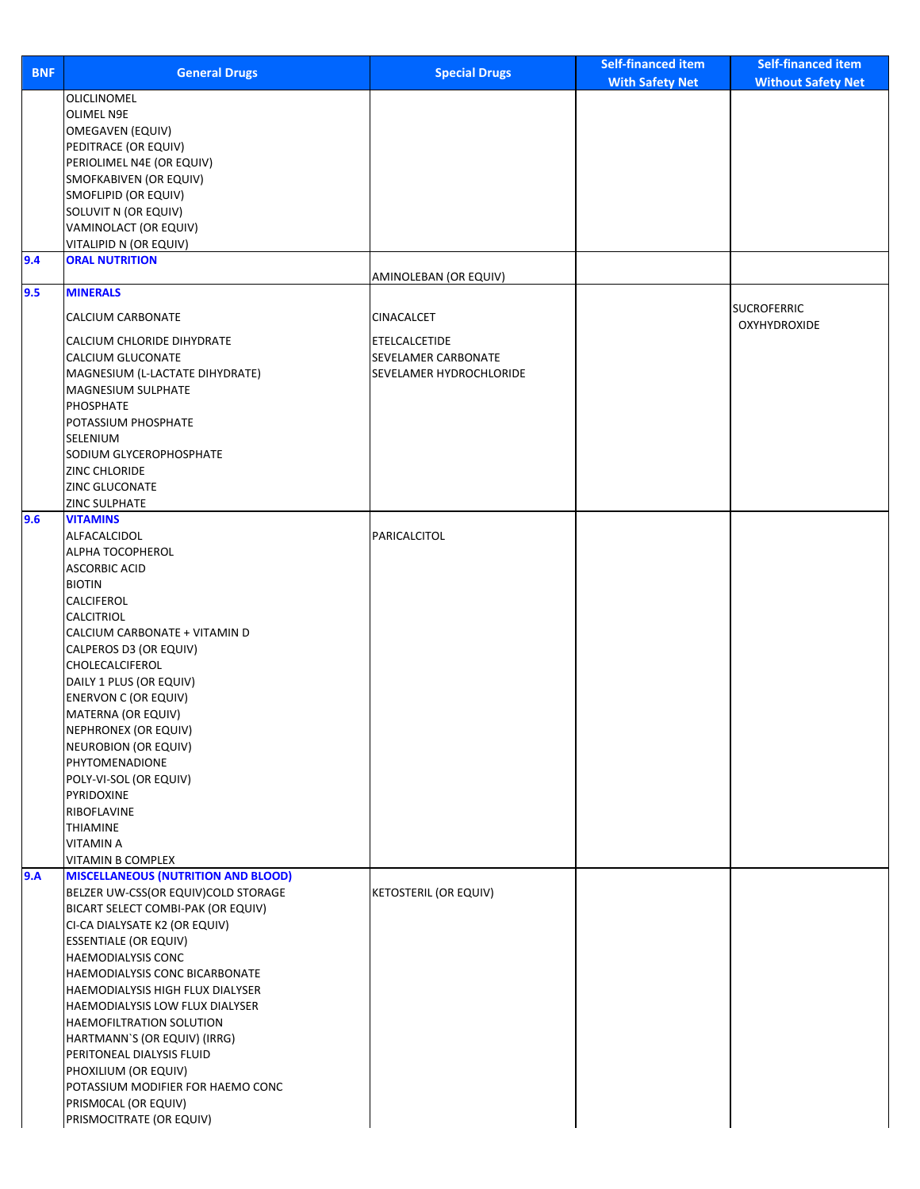| <b>BNF</b> | <b>General Drugs</b>                                          | <b>Special Drugs</b>                           | <b>Self-financed item</b><br><b>With Safety Net</b> | <b>Self-financed item</b><br><b>Without Safety Net</b> |
|------------|---------------------------------------------------------------|------------------------------------------------|-----------------------------------------------------|--------------------------------------------------------|
|            | OLICLINOMEL                                                   |                                                |                                                     |                                                        |
|            | <b>OLIMEL N9E</b>                                             |                                                |                                                     |                                                        |
|            | <b>OMEGAVEN (EQUIV)</b>                                       |                                                |                                                     |                                                        |
|            | PEDITRACE (OR EQUIV)<br>PERIOLIMEL N4E (OR EQUIV)             |                                                |                                                     |                                                        |
|            | SMOFKABIVEN (OR EQUIV)                                        |                                                |                                                     |                                                        |
|            | SMOFLIPID (OR EQUIV)                                          |                                                |                                                     |                                                        |
|            | SOLUVIT N (OR EQUIV)                                          |                                                |                                                     |                                                        |
|            | VAMINOLACT (OR EQUIV)                                         |                                                |                                                     |                                                        |
| 9.4        | VITALIPID N (OR EQUIV)<br><b>ORAL NUTRITION</b>               |                                                |                                                     |                                                        |
|            |                                                               | AMINOLEBAN (OR EQUIV)                          |                                                     |                                                        |
| 9.5        | <b>MINERALS</b>                                               |                                                |                                                     | <b>SUCROFERRIC</b>                                     |
|            | <b>CALCIUM CARBONATE</b>                                      | CINACALCET                                     |                                                     | <b>OXYHYDROXIDE</b>                                    |
|            | CALCIUM CHLORIDE DIHYDRATE                                    | ETELCALCETIDE                                  |                                                     |                                                        |
|            | CALCIUM GLUCONATE                                             | SEVELAMER CARBONATE<br>SEVELAMER HYDROCHLORIDE |                                                     |                                                        |
|            | MAGNESIUM (L-LACTATE DIHYDRATE)<br><b>MAGNESIUM SULPHATE</b>  |                                                |                                                     |                                                        |
|            | PHOSPHATE                                                     |                                                |                                                     |                                                        |
|            | POTASSIUM PHOSPHATE                                           |                                                |                                                     |                                                        |
|            | SELENIUM                                                      |                                                |                                                     |                                                        |
|            | SODIUM GLYCEROPHOSPHATE                                       |                                                |                                                     |                                                        |
|            | ZINC CHLORIDE<br>ZINC GLUCONATE                               |                                                |                                                     |                                                        |
|            | ZINC SULPHATE                                                 |                                                |                                                     |                                                        |
| 9.6        | <b>VITAMINS</b>                                               |                                                |                                                     |                                                        |
|            | ALFACALCIDOL                                                  | PARICALCITOL                                   |                                                     |                                                        |
|            | ALPHA TOCOPHEROL                                              |                                                |                                                     |                                                        |
|            | <b>ASCORBIC ACID</b>                                          |                                                |                                                     |                                                        |
|            | <b>BIOTIN</b><br>CALCIFEROL                                   |                                                |                                                     |                                                        |
|            | CALCITRIOL                                                    |                                                |                                                     |                                                        |
|            | CALCIUM CARBONATE + VITAMIN D                                 |                                                |                                                     |                                                        |
|            | CALPEROS D3 (OR EQUIV)                                        |                                                |                                                     |                                                        |
|            | CHOLECALCIFEROL                                               |                                                |                                                     |                                                        |
|            | DAILY 1 PLUS (OR EQUIV)                                       |                                                |                                                     |                                                        |
|            | <b>ENERVON C (OR EQUIV)</b><br>MATERNA (OR EQUIV)             |                                                |                                                     |                                                        |
|            | NEPHRONEX (OR EQUIV)                                          |                                                |                                                     |                                                        |
|            | <b>NEUROBION (OR EQUIV)</b>                                   |                                                |                                                     |                                                        |
|            | PHYTOMENADIONE                                                |                                                |                                                     |                                                        |
|            | POLY-VI-SOL (OR EQUIV)                                        |                                                |                                                     |                                                        |
|            | PYRIDOXINE                                                    |                                                |                                                     |                                                        |
|            | RIBOFLAVINE<br><b>THIAMINE</b>                                |                                                |                                                     |                                                        |
|            | <b>VITAMIN A</b>                                              |                                                |                                                     |                                                        |
|            | VITAMIN B COMPLEX                                             |                                                |                                                     |                                                        |
| 9.A        | <b>MISCELLANEOUS (NUTRITION AND BLOOD)</b>                    |                                                |                                                     |                                                        |
|            | BELZER UW-CSS(OR EQUIV)COLD STORAGE                           | <b>KETOSTERIL (OR EQUIV)</b>                   |                                                     |                                                        |
|            | BICART SELECT COMBI-PAK (OR EQUIV)                            |                                                |                                                     |                                                        |
|            | CI-CA DIALYSATE K2 (OR EQUIV)<br><b>ESSENTIALE (OR EQUIV)</b> |                                                |                                                     |                                                        |
|            | <b>HAEMODIALYSIS CONC</b>                                     |                                                |                                                     |                                                        |
|            | HAEMODIALYSIS CONC BICARBONATE                                |                                                |                                                     |                                                        |
|            | HAEMODIALYSIS HIGH FLUX DIALYSER                              |                                                |                                                     |                                                        |
|            | HAEMODIALYSIS LOW FLUX DIALYSER                               |                                                |                                                     |                                                        |
|            | HAEMOFILTRATION SOLUTION<br>HARTMANN'S (OR EQUIV) (IRRG)      |                                                |                                                     |                                                        |
|            | PERITONEAL DIALYSIS FLUID                                     |                                                |                                                     |                                                        |
|            | PHOXILIUM (OR EQUIV)                                          |                                                |                                                     |                                                        |
|            | POTASSIUM MODIFIER FOR HAEMO CONC                             |                                                |                                                     |                                                        |
|            | PRISMOCAL (OR EQUIV)                                          |                                                |                                                     |                                                        |
|            | PRISMOCITRATE (OR EQUIV)                                      |                                                |                                                     |                                                        |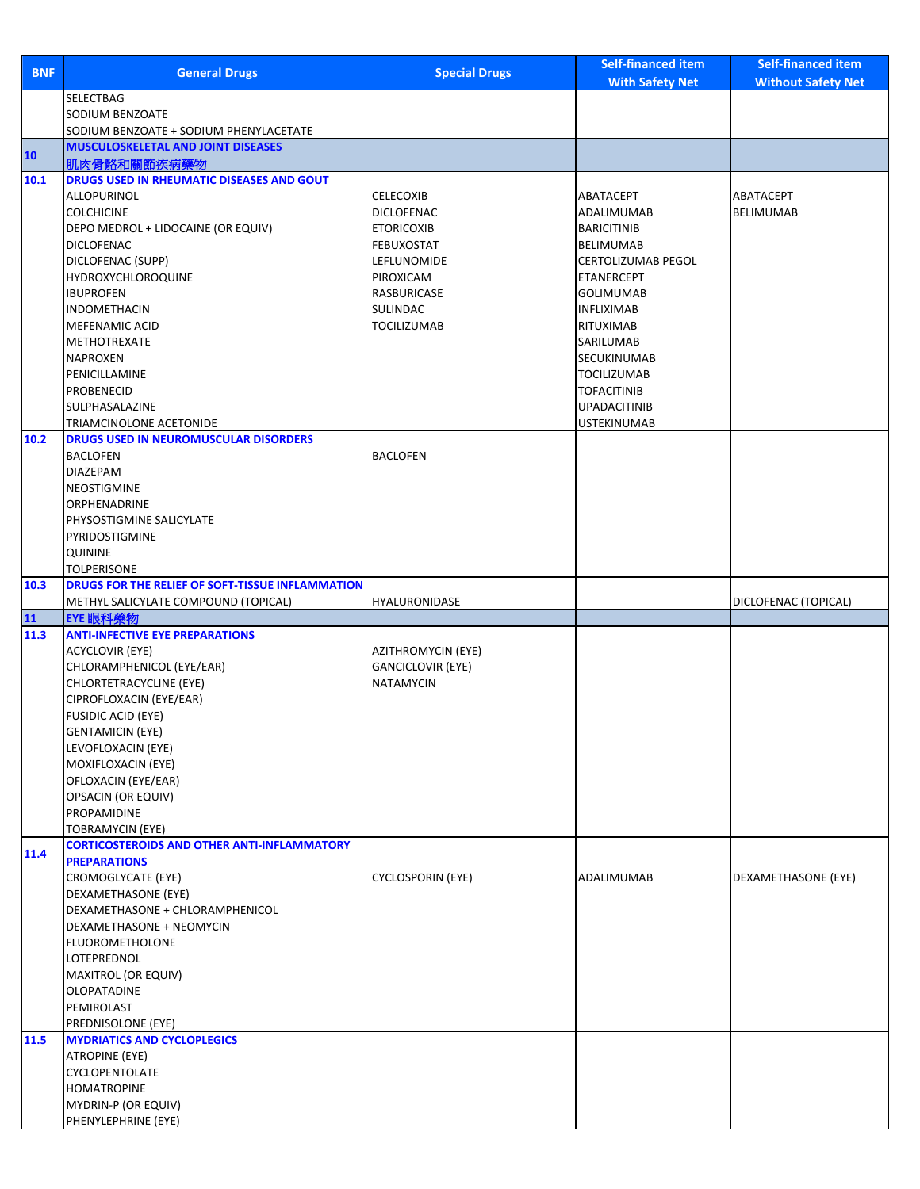| <b>BNF</b> | <b>General Drugs</b>                                                   | <b>Special Drugs</b>                   | <b>Self-financed item</b>              | <b>Self-financed item</b> |
|------------|------------------------------------------------------------------------|----------------------------------------|----------------------------------------|---------------------------|
|            |                                                                        |                                        | <b>With Safety Net</b>                 | <b>Without Safety Net</b> |
|            | SELECTBAG                                                              |                                        |                                        |                           |
|            | SODIUM BENZOATE                                                        |                                        |                                        |                           |
|            | SODIUM BENZOATE + SODIUM PHENYLACETATE                                 |                                        |                                        |                           |
| <b>10</b>  | <b>MUSCULOSKELETAL AND JOINT DISEASES</b>                              |                                        |                                        |                           |
|            | 肌肉骨骼和關節疾病藥物                                                            |                                        |                                        |                           |
| 10.1       | DRUGS USED IN RHEUMATIC DISEASES AND GOUT                              |                                        |                                        |                           |
|            | ALLOPURINOL                                                            | <b>CELECOXIB</b>                       | ABATACEPT                              | ABATACEPT                 |
|            | <b>COLCHICINE</b>                                                      | <b>DICLOFENAC</b>                      | ADALIMUMAB                             | <b>BELIMUMAB</b>          |
|            | DEPO MEDROL + LIDOCAINE (OR EQUIV)<br><b>DICLOFENAC</b>                | <b>ETORICOXIB</b><br><b>FEBUXOSTAT</b> | <b>BARICITINIB</b><br><b>BELIMUMAB</b> |                           |
|            | DICLOFENAC (SUPP)                                                      | LEFLUNOMIDE                            | CERTOLIZUMAB PEGOL                     |                           |
|            | <b>HYDROXYCHLOROQUINE</b>                                              | PIROXICAM                              | <b>ETANERCEPT</b>                      |                           |
|            | <b>IBUPROFEN</b>                                                       | RASBURICASE                            | <b>GOLIMUMAB</b>                       |                           |
|            | <b>INDOMETHACIN</b>                                                    | SULINDAC                               | <b>INFLIXIMAB</b>                      |                           |
|            | <b>MEFENAMIC ACID</b>                                                  | <b>TOCILIZUMAB</b>                     | RITUXIMAB                              |                           |
|            | METHOTREXATE                                                           |                                        | SARILUMAB                              |                           |
|            | <b>NAPROXEN</b>                                                        |                                        | <b>SECUKINUMAB</b>                     |                           |
|            | PENICILLAMINE                                                          |                                        | <b>TOCILIZUMAB</b>                     |                           |
|            | <b>PROBENECID</b>                                                      |                                        | <b>TOFACITINIB</b>                     |                           |
|            | SULPHASALAZINE                                                         |                                        | <b>UPADACITINIB</b>                    |                           |
|            | TRIAMCINOLONE ACETONIDE                                                |                                        | <b>USTEKINUMAB</b>                     |                           |
| 10.2       | DRUGS USED IN NEUROMUSCULAR DISORDERS                                  |                                        |                                        |                           |
|            | <b>BACLOFEN</b>                                                        | <b>BACLOFEN</b>                        |                                        |                           |
|            | <b>DIAZEPAM</b>                                                        |                                        |                                        |                           |
|            | NEOSTIGMINE                                                            |                                        |                                        |                           |
|            | ORPHENADRINE                                                           |                                        |                                        |                           |
|            | PHYSOSTIGMINE SALICYLATE                                               |                                        |                                        |                           |
|            | PYRIDOSTIGMINE                                                         |                                        |                                        |                           |
|            | <b>QUININE</b>                                                         |                                        |                                        |                           |
| 10.3       | <b>TOLPERISONE</b><br>DRUGS FOR THE RELIEF OF SOFT-TISSUE INFLAMMATION |                                        |                                        |                           |
|            | METHYL SALICYLATE COMPOUND (TOPICAL)                                   | HYALURONIDASE                          |                                        | DICLOFENAC (TOPICAL)      |
| 11         | EYE 眼科藥物                                                               |                                        |                                        |                           |
| 11.3       | <b>ANTI-INFECTIVE EYE PREPARATIONS</b>                                 |                                        |                                        |                           |
|            | <b>ACYCLOVIR (EYE)</b>                                                 | <b>AZITHROMYCIN (EYE)</b>              |                                        |                           |
|            | CHLORAMPHENICOL (EYE/EAR)                                              | <b>GANCICLOVIR (EYE)</b>               |                                        |                           |
|            | CHLORTETRACYCLINE (EYE)                                                | <b>NATAMYCIN</b>                       |                                        |                           |
|            | CIPROFLOXACIN (EYE/EAR)                                                |                                        |                                        |                           |
|            | <b>FUSIDIC ACID (EYE)</b>                                              |                                        |                                        |                           |
|            | <b>GENTAMICIN (EYE)</b>                                                |                                        |                                        |                           |
|            | LEVOFLOXACIN (EYE)                                                     |                                        |                                        |                           |
|            | MOXIFLOXACIN (EYE)                                                     |                                        |                                        |                           |
|            | OFLOXACIN (EYE/EAR)                                                    |                                        |                                        |                           |
|            | OPSACIN (OR EQUIV)                                                     |                                        |                                        |                           |
|            | PROPAMIDINE                                                            |                                        |                                        |                           |
|            | <b>TOBRAMYCIN (EYE)</b>                                                |                                        |                                        |                           |
| 11.4       | <b>CORTICOSTEROIDS AND OTHER ANTI-INFLAMMATORY</b>                     |                                        |                                        |                           |
|            | <b>PREPARATIONS</b>                                                    |                                        |                                        |                           |
|            | CROMOGLYCATE (EYE)<br><b>DEXAMETHASONE (EYE)</b>                       | <b>CYCLOSPORIN (EYE)</b>               | ADALIMUMAB                             | DEXAMETHASONE (EYE)       |
|            | DEXAMETHASONE + CHLORAMPHENICOL                                        |                                        |                                        |                           |
|            | DEXAMETHASONE + NEOMYCIN                                               |                                        |                                        |                           |
|            | <b>FLUOROMETHOLONE</b>                                                 |                                        |                                        |                           |
|            | LOTEPREDNOL                                                            |                                        |                                        |                           |
|            | MAXITROL (OR EQUIV)                                                    |                                        |                                        |                           |
|            | OLOPATADINE                                                            |                                        |                                        |                           |
|            | PEMIROLAST                                                             |                                        |                                        |                           |
|            | PREDNISOLONE (EYE)                                                     |                                        |                                        |                           |
| 11.5       | <b>MYDRIATICS AND CYCLOPLEGICS</b>                                     |                                        |                                        |                           |
|            | <b>ATROPINE (EYE)</b>                                                  |                                        |                                        |                           |
|            | CYCLOPENTOLATE                                                         |                                        |                                        |                           |
|            | <b>HOMATROPINE</b>                                                     |                                        |                                        |                           |
|            | MYDRIN-P (OR EQUIV)                                                    |                                        |                                        |                           |
|            | PHENYLEPHRINE (EYE)                                                    |                                        |                                        |                           |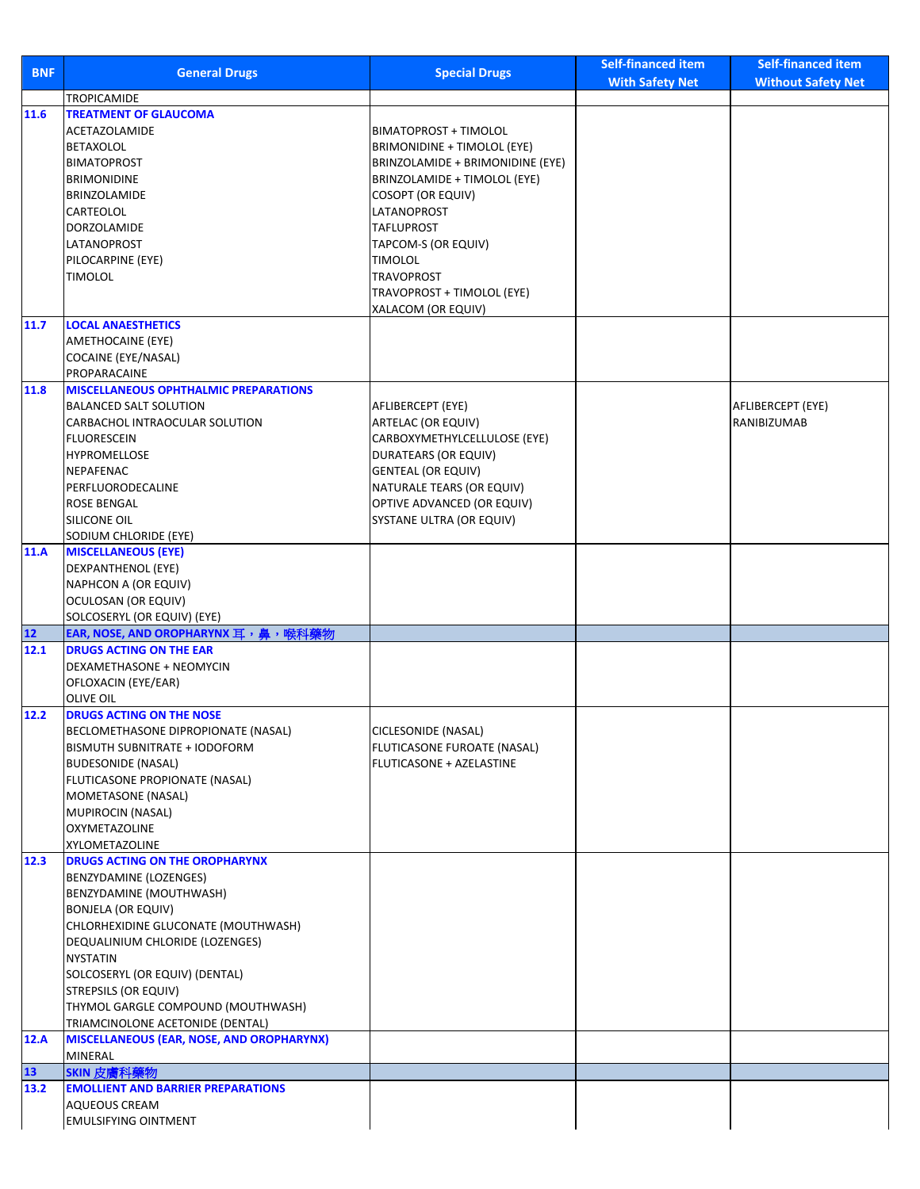| <b>BNF</b> | <b>General Drugs</b>                                                 | <b>Special Drugs</b>                               | <b>Self-financed item</b> | <b>Self-financed item</b> |
|------------|----------------------------------------------------------------------|----------------------------------------------------|---------------------------|---------------------------|
|            | TROPICAMIDE                                                          |                                                    | <b>With Safety Net</b>    | <b>Without Safety Net</b> |
| 11.6       | <b>TREATMENT OF GLAUCOMA</b>                                         |                                                    |                           |                           |
|            | <b>ACETAZOLAMIDE</b>                                                 | BIMATOPROST + TIMOLOL                              |                           |                           |
|            | <b>BETAXOLOL</b>                                                     | BRIMONIDINE + TIMOLOL (EYE)                        |                           |                           |
|            | <b>BIMATOPROST</b>                                                   | BRINZOLAMIDE + BRIMONIDINE (EYE)                   |                           |                           |
|            | <b>BRIMONIDINE</b>                                                   | BRINZOLAMIDE + TIMOLOL (EYE)                       |                           |                           |
|            | <b>BRINZOLAMIDE</b>                                                  | <b>COSOPT (OR EQUIV)</b>                           |                           |                           |
|            | CARTEOLOL                                                            | LATANOPROST                                        |                           |                           |
|            | DORZOLAMIDE                                                          | <b>TAFLUPROST</b>                                  |                           |                           |
|            | LATANOPROST                                                          | TAPCOM-S (OR EQUIV)                                |                           |                           |
|            | PILOCARPINE (EYE)                                                    | <b>TIMOLOL</b>                                     |                           |                           |
|            | <b>TIMOLOL</b>                                                       | <b>TRAVOPROST</b>                                  |                           |                           |
|            |                                                                      | TRAVOPROST + TIMOLOL (EYE)<br>XALACOM (OR EQUIV)   |                           |                           |
| 11.7       | <b>LOCAL ANAESTHETICS</b>                                            |                                                    |                           |                           |
|            | <b>AMETHOCAINE (EYE)</b>                                             |                                                    |                           |                           |
|            | COCAINE (EYE/NASAL)                                                  |                                                    |                           |                           |
|            | PROPARACAINE                                                         |                                                    |                           |                           |
| 11.8       | <b>MISCELLANEOUS OPHTHALMIC PREPARATIONS</b>                         |                                                    |                           |                           |
|            | <b>BALANCED SALT SOLUTION</b>                                        | AFLIBERCEPT (EYE)                                  |                           | AFLIBERCEPT (EYE)         |
|            | CARBACHOL INTRAOCULAR SOLUTION                                       | ARTELAC (OR EQUIV)                                 |                           | RANIBIZUMAB               |
|            | <b>FLUORESCEIN</b>                                                   | CARBOXYMETHYLCELLULOSE (EYE)                       |                           |                           |
|            | HYPROMELLOSE                                                         | <b>DURATEARS (OR EQUIV)</b>                        |                           |                           |
|            | NEPAFENAC                                                            | <b>GENTEAL (OR EQUIV)</b>                          |                           |                           |
|            | PERFLUORODECALINE                                                    | NATURALE TEARS (OR EQUIV)                          |                           |                           |
|            | <b>ROSE BENGAL</b>                                                   | OPTIVE ADVANCED (OR EQUIV)                         |                           |                           |
|            | SILICONE OIL<br>SODIUM CHLORIDE (EYE)                                | SYSTANE ULTRA (OR EQUIV)                           |                           |                           |
| 11.A       | <b>MISCELLANEOUS (EYE)</b>                                           |                                                    |                           |                           |
|            | <b>DEXPANTHENOL (EYE)</b>                                            |                                                    |                           |                           |
|            | NAPHCON A (OR EQUIV)                                                 |                                                    |                           |                           |
|            | OCULOSAN (OR EQUIV)                                                  |                                                    |                           |                           |
|            | SOLCOSERYL (OR EQUIV) (EYE)                                          |                                                    |                           |                           |
| 12         | EAR, NOSE, AND OROPHARYNX 耳,鼻,喉科藥物                                   |                                                    |                           |                           |
| 12.1       | <b>DRUGS ACTING ON THE EAR</b>                                       |                                                    |                           |                           |
|            | DEXAMETHASONE + NEOMYCIN                                             |                                                    |                           |                           |
|            | OFLOXACIN (EYE/EAR)                                                  |                                                    |                           |                           |
|            | <b>OLIVE OIL</b>                                                     |                                                    |                           |                           |
| 12.2       | <b>DRUGS ACTING ON THE NOSE</b>                                      |                                                    |                           |                           |
|            | BECLOMETHASONE DIPROPIONATE (NASAL)<br>BISMUTH SUBNITRATE + IODOFORM | CICLESONIDE (NASAL)<br>FLUTICASONE FUROATE (NASAL) |                           |                           |
|            | <b>BUDESONIDE (NASAL)</b>                                            | FLUTICASONE + AZELASTINE                           |                           |                           |
|            | FLUTICASONE PROPIONATE (NASAL)                                       |                                                    |                           |                           |
|            | <b>MOMETASONE (NASAL)</b>                                            |                                                    |                           |                           |
|            | MUPIROCIN (NASAL)                                                    |                                                    |                           |                           |
|            | OXYMETAZOLINE                                                        |                                                    |                           |                           |
|            | XYLOMETAZOLINE                                                       |                                                    |                           |                           |
| 12.3       | DRUGS ACTING ON THE OROPHARYNX                                       |                                                    |                           |                           |
|            | BENZYDAMINE (LOZENGES)                                               |                                                    |                           |                           |
|            | BENZYDAMINE (MOUTHWASH)                                              |                                                    |                           |                           |
|            | <b>BONJELA (OR EQUIV)</b>                                            |                                                    |                           |                           |
|            | CHLORHEXIDINE GLUCONATE (MOUTHWASH)                                  |                                                    |                           |                           |
|            | DEQUALINIUM CHLORIDE (LOZENGES)                                      |                                                    |                           |                           |
|            | <b>NYSTATIN</b>                                                      |                                                    |                           |                           |
|            | SOLCOSERYL (OR EQUIV) (DENTAL)<br>STREPSILS (OR EQUIV)               |                                                    |                           |                           |
|            | THYMOL GARGLE COMPOUND (MOUTHWASH)                                   |                                                    |                           |                           |
|            | TRIAMCINOLONE ACETONIDE (DENTAL)                                     |                                                    |                           |                           |
| 12.A       | <b>MISCELLANEOUS (EAR, NOSE, AND OROPHARYNX)</b>                     |                                                    |                           |                           |
|            | <b>MINERAL</b>                                                       |                                                    |                           |                           |
| 13         | SKIN 皮膚科藥物                                                           |                                                    |                           |                           |
| 13.2       | <b>EMOLLIENT AND BARRIER PREPARATIONS</b>                            |                                                    |                           |                           |
|            | <b>AQUEOUS CREAM</b>                                                 |                                                    |                           |                           |
|            | <b>EMULSIFYING OINTMENT</b>                                          |                                                    |                           |                           |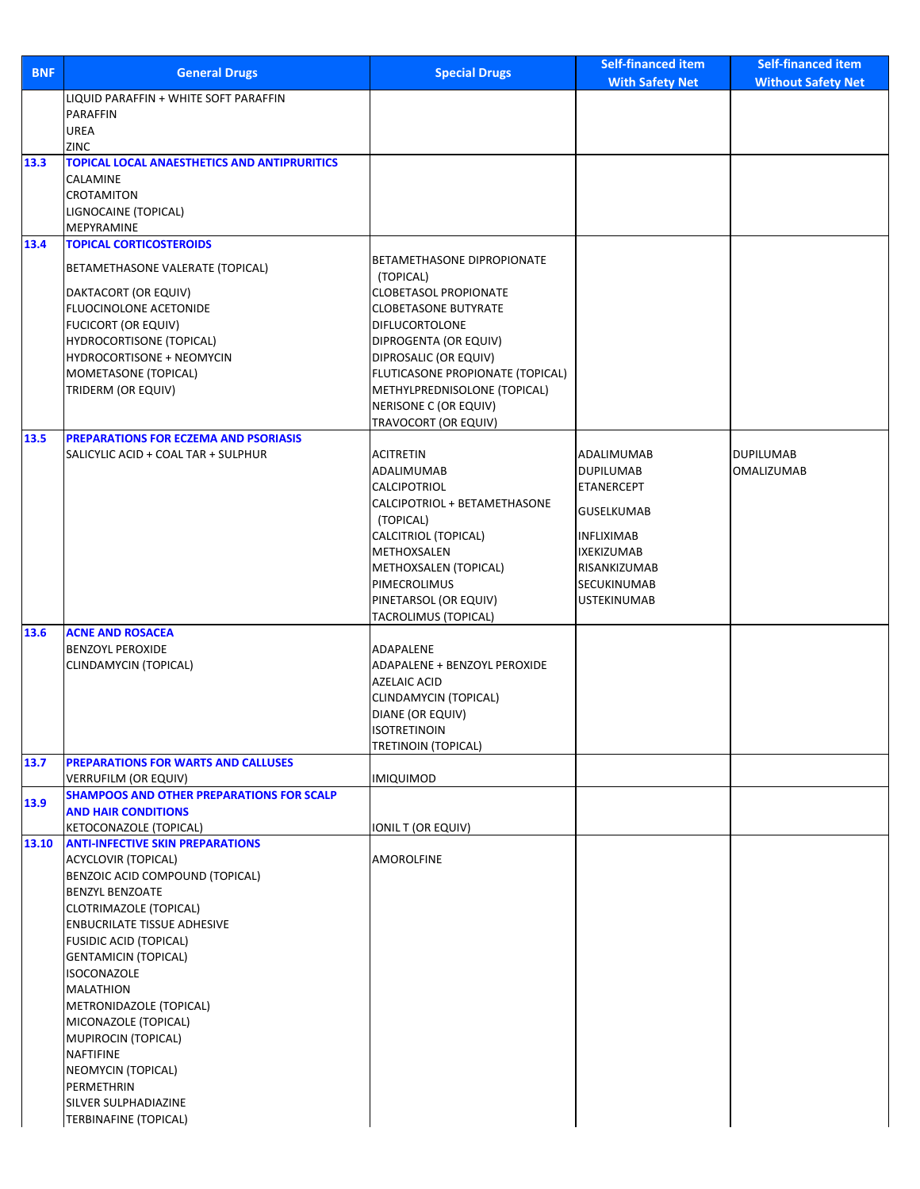| <b>BNF</b> | <b>General Drugs</b>                                                                | <b>Special Drugs</b>                                      | <b>Self-financed item</b>              | <b>Self-financed item</b> |
|------------|-------------------------------------------------------------------------------------|-----------------------------------------------------------|----------------------------------------|---------------------------|
|            |                                                                                     |                                                           | <b>With Safety Net</b>                 | <b>Without Safety Net</b> |
|            | LIQUID PARAFFIN + WHITE SOFT PARAFFIN<br><b>PARAFFIN</b>                            |                                                           |                                        |                           |
|            | UREA                                                                                |                                                           |                                        |                           |
|            | ZINC                                                                                |                                                           |                                        |                           |
| 13.3       | <b>TOPICAL LOCAL ANAESTHETICS AND ANTIPRURITICS</b>                                 |                                                           |                                        |                           |
|            | CALAMINE<br>CROTAMITON                                                              |                                                           |                                        |                           |
|            | LIGNOCAINE (TOPICAL)                                                                |                                                           |                                        |                           |
|            | MEPYRAMINE                                                                          |                                                           |                                        |                           |
| 13.4       | <b>TOPICAL CORTICOSTEROIDS</b>                                                      |                                                           |                                        |                           |
|            | BETAMETHASONE VALERATE (TOPICAL)                                                    | BETAMETHASONE DIPROPIONATE                                |                                        |                           |
|            | DAKTACORT (OR EQUIV)                                                                | (TOPICAL)<br><b>CLOBETASOL PROPIONATE</b>                 |                                        |                           |
|            | FLUOCINOLONE ACETONIDE                                                              | <b>CLOBETASONE BUTYRATE</b>                               |                                        |                           |
|            | <b>FUCICORT (OR EQUIV)</b>                                                          | <b>DIFLUCORTOLONE</b>                                     |                                        |                           |
|            | <b>HYDROCORTISONE (TOPICAL)</b>                                                     | DIPROGENTA (OR EQUIV)                                     |                                        |                           |
|            | <b>HYDROCORTISONE + NEOMYCIN</b><br>MOMETASONE (TOPICAL)                            | DIPROSALIC (OR EQUIV)<br>FLUTICASONE PROPIONATE (TOPICAL) |                                        |                           |
|            | TRIDERM (OR EQUIV)                                                                  | METHYLPREDNISOLONE (TOPICAL)                              |                                        |                           |
|            |                                                                                     | NERISONE C (OR EQUIV)                                     |                                        |                           |
|            |                                                                                     | TRAVOCORT (OR EQUIV)                                      |                                        |                           |
| 13.5       | <b>PREPARATIONS FOR ECZEMA AND PSORIASIS</b><br>SALICYLIC ACID + COAL TAR + SULPHUR | <b>ACITRETIN</b>                                          | ADALIMUMAB                             | <b>DUPILUMAB</b>          |
|            |                                                                                     | ADALIMUMAB                                                | <b>DUPILUMAB</b>                       | <b>OMALIZUMAB</b>         |
|            |                                                                                     | CALCIPOTRIOL                                              | ETANERCEPT                             |                           |
|            |                                                                                     | CALCIPOTRIOL + BETAMETHASONE                              | <b>GUSELKUMAB</b>                      |                           |
|            |                                                                                     | (TOPICAL)                                                 |                                        |                           |
|            |                                                                                     | CALCITRIOL (TOPICAL)<br>METHOXSALEN                       | <b>INFLIXIMAB</b><br><b>IXEKIZUMAB</b> |                           |
|            |                                                                                     | METHOXSALEN (TOPICAL)                                     | RISANKIZUMAB                           |                           |
|            |                                                                                     | PIMECROLIMUS                                              | SECUKINUMAB                            |                           |
|            |                                                                                     | PINETARSOL (OR EQUIV)                                     | USTEKINUMAB                            |                           |
| 13.6       | <b>ACNE AND ROSACEA</b>                                                             | TACROLIMUS (TOPICAL)                                      |                                        |                           |
|            | <b>BENZOYL PEROXIDE</b>                                                             | ADAPALENE                                                 |                                        |                           |
|            | CLINDAMYCIN (TOPICAL)                                                               | ADAPALENE + BENZOYL PEROXIDE                              |                                        |                           |
|            |                                                                                     | <b>AZELAIC ACID</b>                                       |                                        |                           |
|            |                                                                                     | CLINDAMYCIN (TOPICAL)<br>DIANE (OR EQUIV)                 |                                        |                           |
|            |                                                                                     | <b>ISOTRETINOIN</b>                                       |                                        |                           |
|            |                                                                                     | <b>TRETINOIN (TOPICAL)</b>                                |                                        |                           |
| 13.7       | PREPARATIONS FOR WARTS AND CALLUSES                                                 |                                                           |                                        |                           |
|            | <b>VERRUFILM (OR EQUIV)</b><br><b>SHAMPOOS AND OTHER PREPARATIONS FOR SCALP</b>     | <b>IMIQUIMOD</b>                                          |                                        |                           |
| 13.9       | <b>AND HAIR CONDITIONS</b>                                                          |                                                           |                                        |                           |
|            | KETOCONAZOLE (TOPICAL)                                                              | <b>IONIL T (OR EQUIV)</b>                                 |                                        |                           |
| 13.10      | <b>ANTI-INFECTIVE SKIN PREPARATIONS</b>                                             |                                                           |                                        |                           |
|            | <b>ACYCLOVIR (TOPICAL)</b><br>BENZOIC ACID COMPOUND (TOPICAL)                       | AMOROLFINE                                                |                                        |                           |
|            | <b>BENZYL BENZOATE</b>                                                              |                                                           |                                        |                           |
|            | CLOTRIMAZOLE (TOPICAL)                                                              |                                                           |                                        |                           |
|            | <b>ENBUCRILATE TISSUE ADHESIVE</b>                                                  |                                                           |                                        |                           |
|            | <b>FUSIDIC ACID (TOPICAL)</b>                                                       |                                                           |                                        |                           |
|            | <b>GENTAMICIN (TOPICAL)</b><br><b>ISOCONAZOLE</b>                                   |                                                           |                                        |                           |
|            | <b>MALATHION</b>                                                                    |                                                           |                                        |                           |
|            | METRONIDAZOLE (TOPICAL)                                                             |                                                           |                                        |                           |
|            | MICONAZOLE (TOPICAL)                                                                |                                                           |                                        |                           |
|            | MUPIROCIN (TOPICAL)<br><b>NAFTIFINE</b>                                             |                                                           |                                        |                           |
|            | NEOMYCIN (TOPICAL)                                                                  |                                                           |                                        |                           |
|            | PERMETHRIN                                                                          |                                                           |                                        |                           |
|            | SILVER SULPHADIAZINE                                                                |                                                           |                                        |                           |
|            | <b>TERBINAFINE (TOPICAL)</b>                                                        |                                                           |                                        |                           |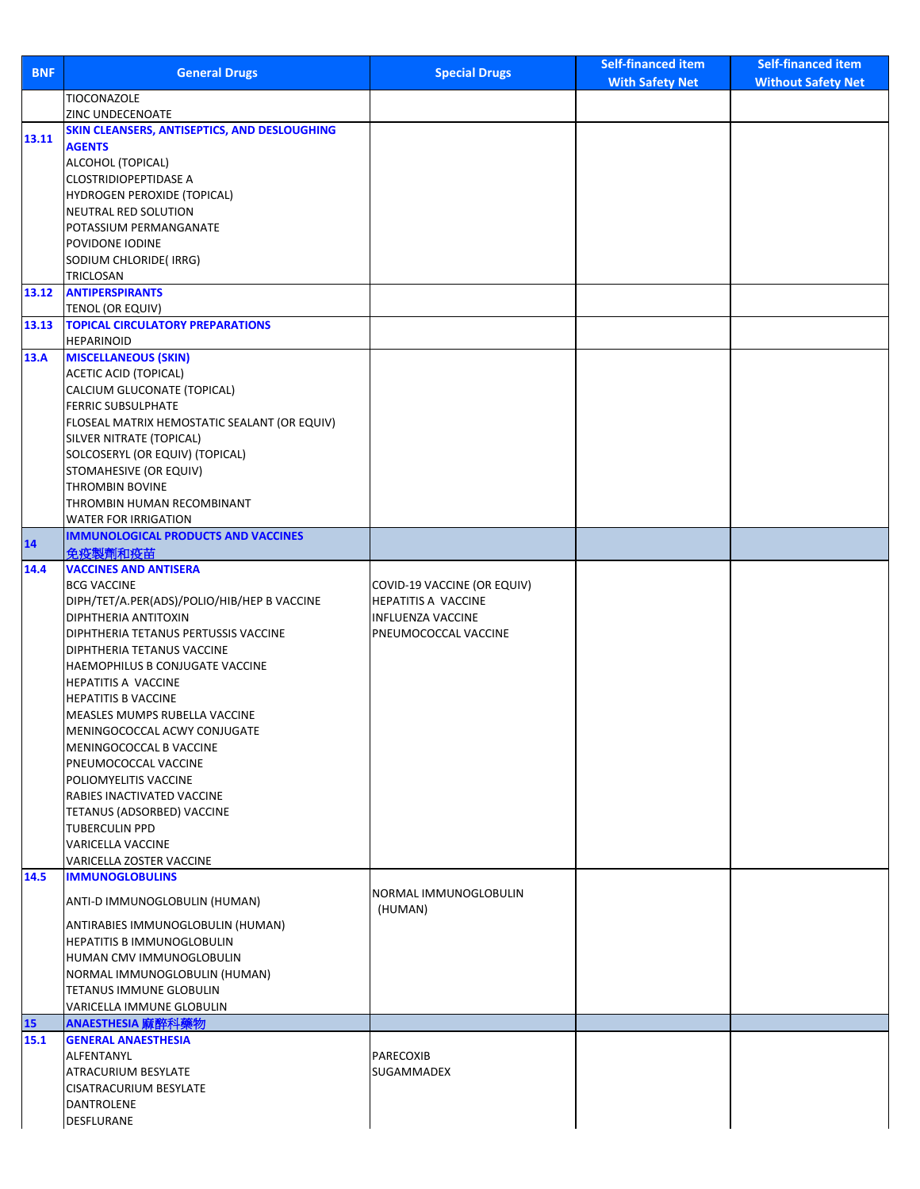| <b>BNF</b> | <b>General Drugs</b>                                     | <b>Special Drugs</b>        | <b>Self-financed item</b> | <b>Self-financed item</b> |
|------------|----------------------------------------------------------|-----------------------------|---------------------------|---------------------------|
|            | <b>TIOCONAZOLE</b>                                       |                             | <b>With Safety Net</b>    | <b>Without Safety Net</b> |
|            | ZINC UNDECENOATE                                         |                             |                           |                           |
|            | SKIN CLEANSERS, ANTISEPTICS, AND DESLOUGHING             |                             |                           |                           |
| 13.11      | <b>AGENTS</b>                                            |                             |                           |                           |
|            | ALCOHOL (TOPICAL)                                        |                             |                           |                           |
|            | <b>CLOSTRIDIOPEPTIDASE A</b>                             |                             |                           |                           |
|            | HYDROGEN PEROXIDE (TOPICAL)                              |                             |                           |                           |
|            | NEUTRAL RED SOLUTION                                     |                             |                           |                           |
|            | POTASSIUM PERMANGANATE                                   |                             |                           |                           |
|            | POVIDONE IODINE                                          |                             |                           |                           |
|            | SODIUM CHLORIDE(IRRG)                                    |                             |                           |                           |
|            | <b>TRICLOSAN</b>                                         |                             |                           |                           |
| 13.12      | <b>ANTIPERSPIRANTS</b><br>TENOL (OR EQUIV)               |                             |                           |                           |
| 13.13      | <b>TOPICAL CIRCULATORY PREPARATIONS</b>                  |                             |                           |                           |
|            | <b>HEPARINOID</b>                                        |                             |                           |                           |
| 13.A       | <b>MISCELLANEOUS (SKIN)</b>                              |                             |                           |                           |
|            | ACETIC ACID (TOPICAL)                                    |                             |                           |                           |
|            | CALCIUM GLUCONATE (TOPICAL)                              |                             |                           |                           |
|            | <b>FERRIC SUBSULPHATE</b>                                |                             |                           |                           |
|            | FLOSEAL MATRIX HEMOSTATIC SEALANT (OR EQUIV)             |                             |                           |                           |
|            | SILVER NITRATE (TOPICAL)                                 |                             |                           |                           |
|            | SOLCOSERYL (OR EQUIV) (TOPICAL)                          |                             |                           |                           |
|            | STOMAHESIVE (OR EQUIV)                                   |                             |                           |                           |
|            | <b>THROMBIN BOVINE</b>                                   |                             |                           |                           |
|            | THROMBIN HUMAN RECOMBINANT                               |                             |                           |                           |
|            | <b>WATER FOR IRRIGATION</b>                              |                             |                           |                           |
| 14         | <b>IMMUNOLOGICAL PRODUCTS AND VACCINES</b>               |                             |                           |                           |
| 14.4       | 免疫製劑和疫苗<br><b>VACCINES AND ANTISERA</b>                  |                             |                           |                           |
|            | <b>BCG VACCINE</b>                                       | COVID-19 VACCINE (OR EQUIV) |                           |                           |
|            | DIPH/TET/A.PER(ADS)/POLIO/HIB/HEP B VACCINE              | HEPATITIS A VACCINE         |                           |                           |
|            | DIPHTHERIA ANTITOXIN                                     | <b>INFLUENZA VACCINE</b>    |                           |                           |
|            | DIPHTHERIA TETANUS PERTUSSIS VACCINE                     | PNEUMOCOCCAL VACCINE        |                           |                           |
|            | DIPHTHERIA TETANUS VACCINE                               |                             |                           |                           |
|            | HAEMOPHILUS B CONJUGATE VACCINE                          |                             |                           |                           |
|            | <b>HEPATITIS A VACCINE</b>                               |                             |                           |                           |
|            | <b>HEPATITIS B VACCINE</b>                               |                             |                           |                           |
|            | MEASLES MUMPS RUBELLA VACCINE                            |                             |                           |                           |
|            | MENINGOCOCCAL ACWY CONJUGATE                             |                             |                           |                           |
|            | MENINGOCOCCAL B VACCINE                                  |                             |                           |                           |
|            | PNEUMOCOCCAL VACCINE                                     |                             |                           |                           |
|            | POLIOMYELITIS VACCINE                                    |                             |                           |                           |
|            | RABIES INACTIVATED VACCINE                               |                             |                           |                           |
|            | TETANUS (ADSORBED) VACCINE                               |                             |                           |                           |
|            | <b>TUBERCULIN PPD</b>                                    |                             |                           |                           |
|            | VARICELLA VACCINE<br><b>VARICELLA ZOSTER VACCINE</b>     |                             |                           |                           |
| 14.5       | <b>IMMUNOGLOBULINS</b>                                   |                             |                           |                           |
|            | ANTI-D IMMUNOGLOBULIN (HUMAN)                            | NORMAL IMMUNOGLOBULIN       |                           |                           |
|            |                                                          | (HUMAN)                     |                           |                           |
|            | ANTIRABIES IMMUNOGLOBULIN (HUMAN)                        |                             |                           |                           |
|            | <b>HEPATITIS B IMMUNOGLOBULIN</b>                        |                             |                           |                           |
|            | HUMAN CMV IMMUNOGLOBULIN                                 |                             |                           |                           |
|            | NORMAL IMMUNOGLOBULIN (HUMAN)<br>TETANUS IMMUNE GLOBULIN |                             |                           |                           |
|            | VARICELLA IMMUNE GLOBULIN                                |                             |                           |                           |
| 15         | ANAESTHESIA 麻醉科藥物                                        |                             |                           |                           |
| 15.1       | <b>GENERAL ANAESTHESIA</b>                               |                             |                           |                           |
|            | ALFENTANYL                                               | PARECOXIB                   |                           |                           |
|            | ATRACURIUM BESYLATE                                      | SUGAMMADEX                  |                           |                           |
|            | CISATRACURIUM BESYLATE                                   |                             |                           |                           |
|            | DANTROLENE                                               |                             |                           |                           |
|            | DESFLURANE                                               |                             |                           |                           |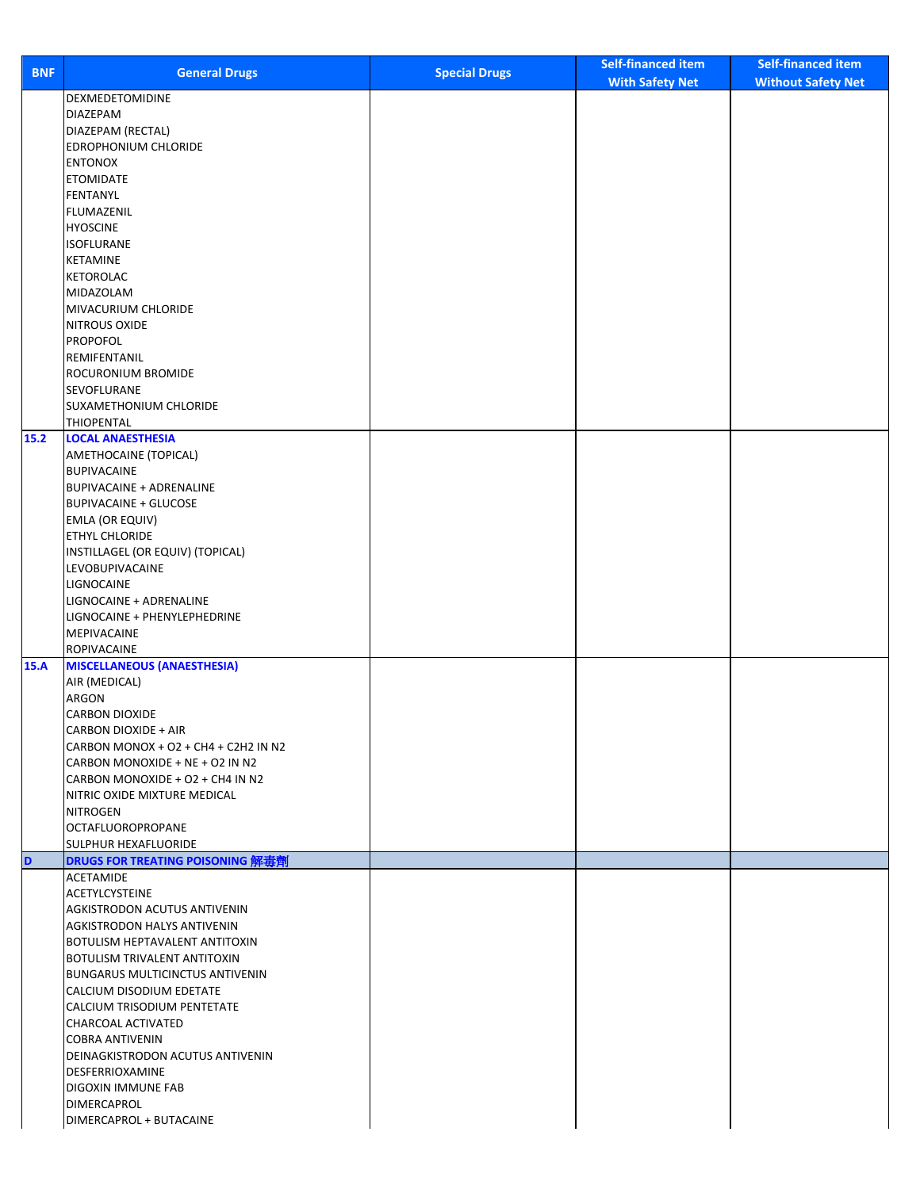| <b>BNF</b> | <b>General Drugs</b>                                                    | <b>Special Drugs</b> | <b>Self-financed item</b><br><b>With Safety Net</b> | <b>Self-financed item</b><br><b>Without Safety Net</b> |
|------------|-------------------------------------------------------------------------|----------------------|-----------------------------------------------------|--------------------------------------------------------|
|            | DEXMEDETOMIDINE                                                         |                      |                                                     |                                                        |
|            | <b>DIAZEPAM</b>                                                         |                      |                                                     |                                                        |
|            | DIAZEPAM (RECTAL)                                                       |                      |                                                     |                                                        |
|            | <b>EDROPHONIUM CHLORIDE</b><br><b>ENTONOX</b>                           |                      |                                                     |                                                        |
|            | <b>ETOMIDATE</b>                                                        |                      |                                                     |                                                        |
|            | FENTANYL                                                                |                      |                                                     |                                                        |
|            | FLUMAZENIL                                                              |                      |                                                     |                                                        |
|            | <b>HYOSCINE</b>                                                         |                      |                                                     |                                                        |
|            | <b>ISOFLURANE</b><br>KETAMINE                                           |                      |                                                     |                                                        |
|            | <b>KETOROLAC</b>                                                        |                      |                                                     |                                                        |
|            | MIDAZOLAM                                                               |                      |                                                     |                                                        |
|            | MIVACURIUM CHLORIDE                                                     |                      |                                                     |                                                        |
|            | NITROUS OXIDE                                                           |                      |                                                     |                                                        |
|            | <b>PROPOFOL</b><br>REMIFENTANIL                                         |                      |                                                     |                                                        |
|            | ROCURONIUM BROMIDE                                                      |                      |                                                     |                                                        |
|            | SEVOFLURANE                                                             |                      |                                                     |                                                        |
|            | SUXAMETHONIUM CHLORIDE                                                  |                      |                                                     |                                                        |
|            | <b>THIOPENTAL</b>                                                       |                      |                                                     |                                                        |
| 15.2       | <b>LOCAL ANAESTHESIA</b><br>AMETHOCAINE (TOPICAL)                       |                      |                                                     |                                                        |
|            | <b>BUPIVACAINE</b>                                                      |                      |                                                     |                                                        |
|            | <b>BUPIVACAINE + ADRENALINE</b>                                         |                      |                                                     |                                                        |
|            | <b>BUPIVACAINE + GLUCOSE</b>                                            |                      |                                                     |                                                        |
|            | <b>EMLA (OR EQUIV)</b>                                                  |                      |                                                     |                                                        |
|            | ETHYL CHLORIDE                                                          |                      |                                                     |                                                        |
|            | INSTILLAGEL (OR EQUIV) (TOPICAL)<br>LEVOBUPIVACAINE                     |                      |                                                     |                                                        |
|            | LIGNOCAINE                                                              |                      |                                                     |                                                        |
|            | LIGNOCAINE + ADRENALINE                                                 |                      |                                                     |                                                        |
|            | LIGNOCAINE + PHENYLEPHEDRINE                                            |                      |                                                     |                                                        |
|            | MEPIVACAINE<br><b>ROPIVACAINE</b>                                       |                      |                                                     |                                                        |
| 15.A       | <b>MISCELLANEOUS (ANAESTHESIA)</b>                                      |                      |                                                     |                                                        |
|            | AIR (MEDICAL)                                                           |                      |                                                     |                                                        |
|            | ARGON                                                                   |                      |                                                     |                                                        |
|            | <b>CARBON DIOXIDE</b>                                                   |                      |                                                     |                                                        |
|            | CARBON DIOXIDE + AIR                                                    |                      |                                                     |                                                        |
|            | CARBON MONOX + O2 + CH4 + C2H2 IN N2<br>CARBON MONOXIDE + NE + O2 IN N2 |                      |                                                     |                                                        |
|            | CARBON MONOXIDE + O2 + CH4 IN N2                                        |                      |                                                     |                                                        |
|            | NITRIC OXIDE MIXTURE MEDICAL                                            |                      |                                                     |                                                        |
|            | <b>NITROGEN</b>                                                         |                      |                                                     |                                                        |
|            | <b>OCTAFLUOROPROPANE</b>                                                |                      |                                                     |                                                        |
| D          | SULPHUR HEXAFLUORIDE<br><b>DRUGS FOR TREATING POISONING 解毒劑</b>         |                      |                                                     |                                                        |
|            | <b>ACETAMIDE</b>                                                        |                      |                                                     |                                                        |
|            | <b>ACETYLCYSTEINE</b>                                                   |                      |                                                     |                                                        |
|            | AGKISTRODON ACUTUS ANTIVENIN                                            |                      |                                                     |                                                        |
|            | AGKISTRODON HALYS ANTIVENIN                                             |                      |                                                     |                                                        |
|            | BOTULISM HEPTAVALENT ANTITOXIN<br>BOTULISM TRIVALENT ANTITOXIN          |                      |                                                     |                                                        |
|            | <b>BUNGARUS MULTICINCTUS ANTIVENIN</b>                                  |                      |                                                     |                                                        |
|            | CALCIUM DISODIUM EDETATE                                                |                      |                                                     |                                                        |
|            | CALCIUM TRISODIUM PENTETATE                                             |                      |                                                     |                                                        |
|            | CHARCOAL ACTIVATED                                                      |                      |                                                     |                                                        |
|            | <b>COBRA ANTIVENIN</b><br>DEINAGKISTRODON ACUTUS ANTIVENIN              |                      |                                                     |                                                        |
|            | DESFERRIOXAMINE                                                         |                      |                                                     |                                                        |
|            | DIGOXIN IMMUNE FAB                                                      |                      |                                                     |                                                        |
|            | DIMERCAPROL                                                             |                      |                                                     |                                                        |
|            | DIMERCAPROL + BUTACAINE                                                 |                      |                                                     |                                                        |